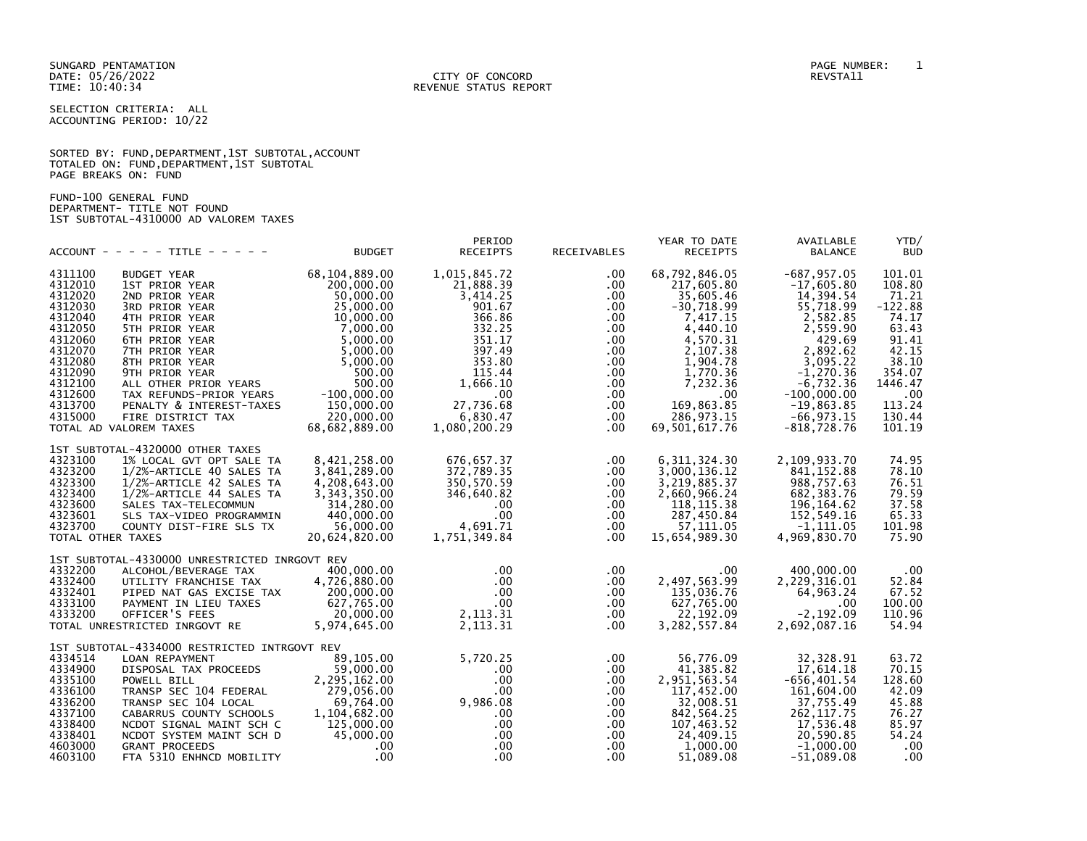SUNGARD PENTAMATION PAGE NUMBER: 1

SELECTION CRITERIA: ALL ACCOUNTING PERIOD: 10/22

|                      |  |  | SORTED BY: FUND, DEPARTMENT, 1ST SUBTOTAL, ACCOUNT |  |
|----------------------|--|--|----------------------------------------------------|--|
|                      |  |  | TOTALED ON: FUND, DEPARTMENT, 1ST SUBTOTAL         |  |
| PAGE BREAKS ON: FUND |  |  |                                                    |  |

FUND-100 GENERAL FUND DEPARTMENT- TITLE NOT FOUND 1ST SUBTOTAL-4310000 AD VALOREM TAXES

|                   | $ACCOUNT - - - - - TITLE - - - - -$           | <b>BUDGET</b> | PERIOD<br><b>RECEIPTS</b> | RECEIVABLES | YEAR TO DATE<br><b>RECEIPTS</b> | AVAILABLE<br><b>BALANCE</b> | YTD/<br><b>BUD</b> |
|-------------------|-----------------------------------------------|---------------|---------------------------|-------------|---------------------------------|-----------------------------|--------------------|
| 4311100           | <b>BUDGET YEAR</b>                            | 68,104,889.00 | 1,015,845.72              | .00.        | 68,792,846.05                   | $-687, 957.05$              | 101.01             |
| 4312010           | 1ST PRIOR YEAR                                | 200,000.00    | 21,888.39                 | .00         | 217,605.80                      | $-17,605.80$                | 108.80             |
| 4312020           | 2ND PRIOR YEAR                                | 50.000.00     | 3,414.25                  | .00         | 35,605.46                       | 14,394.54                   | 71.21              |
| 4312030           | 3RD PRIOR YEAR                                | 25,000.00     | 901.67                    | .00.        | $-30,718.99$                    | 55,718.99                   | $-122.88$          |
| 4312040           | 4TH PRIOR YEAR                                | 10,000.00     | 366.86                    | $.00 \,$    | 7,417.15                        | 2,582.85                    | 74.17              |
| 4312050           | 5TH PRIOR YEAR                                | 7,000.00      | 332.25                    | $.00 \,$    | 4,440.10                        | 2,559.90                    | 63.43              |
| 4312060           | 6TH PRIOR YEAR                                | 5,000.00      | 351.17                    | $.00 \,$    | 4,570.31                        | 429.69                      | 91.41              |
| 4312070           | 7TH PRIOR YEAR                                | 5,000.00      | 397.49                    | $.00 \,$    | 2,107.38                        | 2,892.62                    | 42.15              |
| 4312080           | 8TH PRIOR YEAR                                | 5,000.00      | 353.80                    | $.00 \,$    | 1,904.78                        | 3,095.22                    | 38.10              |
| 4312090           | 9TH PRIOR YEAR                                | 500.00        | 115.44                    | $.00 \,$    | 1,770.36                        | $-1,270.36$                 | 354.07             |
| 4312100           | ALL OTHER PRIOR YEARS                         | 500.00        | 1,666.10                  | $.00 \,$    | 7,232.36                        | $-6,732.36$                 | 1446.47            |
| 4312600           | TAX REFUNDS-PRIOR YEARS                       | $-100.000.00$ | $.00 \ \,$                | $.00 \,$    | .00                             | $-100.000.00$               | .00                |
| 4313700           | PENALTY & INTEREST-TAXES                      | 150,000.00    | 27,736.68                 | $.00 \,$    | 169,863.85                      | $-19,863.85$                | 113.24             |
| 4315000           | FIRE DISTRICT TAX                             | 220,000.00    | 6,830.47                  | .00         | 286, 973. 15                    | $-66, 973.15$               | 130.44             |
|                   | TOTAL AD VALOREM TAXES                        | 68,682,889.00 | 1,080,200.29              | $.00 \cdot$ | 69,501,617.76                   | $-818,728.76$               | 101.19             |
|                   | 1ST SUBTOTAL-4320000 OTHER TAXES              |               |                           |             |                                 |                             |                    |
| 4323100           | 1% LOCAL GVT OPT SALE TA                      | 8,421,258.00  | 676,657.37                | $.00 \,$    | 6, 311, 324.30                  | 2,109,933.70                | 74.95              |
| 4323200           | 1/2%-ARTICLE 40 SALES TA                      | 3,841,289.00  | 372,789.35                | $.00 \,$    | 3,000,136.12                    | 841, 152.88                 | 78.10              |
| 4323300           | 1/2%-ARTICLE 42 SALES TA                      | 4,208,643.00  | 350,570.59                | .00         | 3,219,885.37                    | 988,757.63                  | 76.51              |
| 4323400           | 1/2%-ARTICLE 44 SALES TA                      | 3,343,350.00  | 346,640.82                | .00         | 2,660,966.24                    | 682, 383.76                 | 79.59              |
| 4323600           | SALES TAX-TELECOMMUN                          | 314,280.00    | $.00 \cdot$               | $.00 \,$    | 118, 115.38                     | 196, 164.62                 | 37.58              |
| 4323601           | SLS TAX-VIDEO PROGRAMMIN                      | 440,000.00    | $.00 \times$              | .00         | 287,450.84                      | 152,549.16                  | 65.33              |
| 4323700           | COUNTY DIST-FIRE SLS TX                       | 56,000.00     | 4,691.71                  | .00.        | 57,111.05                       | $-1, 111.05$                | 101.98             |
| TOTAL OTHER TAXES |                                               | 20,624,820.00 | 1,751,349.84              | $.00 \,$    | 15,654,989.30                   | 4,969,830.70                | 75.90              |
|                   | 1ST SUBTOTAL-4330000 UNRESTRICTED INRGOVT REV |               |                           |             |                                 |                             |                    |
| 4332200           | ALCOHOL/BEVERAGE TAX                          | 400,000.00    | $.00 \,$                  | $.00 \,$    | $.00 \cdot$                     | 400,000.00                  | .00                |
| 4332400           | UTILITY FRANCHISE TAX                         | 4,726,880.00  | $.00 \cdot$               | $.00 \,$    | 2,497,563.99                    | 2,229,316.01                | 52.84              |
| 4332401           | PIPED NAT GAS EXCISE TAX                      | 200,000.00    | $.00 \,$                  | $.00 \,$    | 135,036.76                      | 64,963.24                   | 67.52              |
| 4333100           | PAYMENT IN LIEU TAXES                         | 627,765.00    | $.00 \times$              | .00.        | 627,765.00                      | .00.                        | 100.00             |
| 4333200           | OFFICER'S FEES                                | 20.000.00     | 2, 113. 31                | $.00 \,$    | 22,192.09                       | $-2, 192.09$                | 110.96             |
|                   | TOTAL UNRESTRICTED INRGOVT RE                 | 5,974,645.00  | 2, 113.31                 | .00.        | 3, 282, 557.84                  | 2,692,087.16                | 54.94              |
|                   | 1ST SUBTOTAL-4334000 RESTRICTED INTRGOVT REV  |               |                           |             |                                 |                             |                    |
| 4334514           | LOAN REPAYMENT                                | 89,105.00     | 5,720.25                  | .00         | 56,776.09                       | 32, 328.91                  | 63.72              |
| 4334900           | DISPOSAL TAX PROCEEDS                         | 59,000.00     | $.00 \,$                  | .00         | 41,385.82                       | 17,614.18                   | 70.15              |
| 4335100           | POWELL BILL                                   | 2,295,162.00  | $.00 \,$                  | .00         | 2,951,563.54                    | $-656, 401.54$              | 128.60             |
| 4336100           | TRANSP SEC 104 FEDERAL                        | 279,056.00    | $.00 \times$              | .00         | 117,452.00                      | 161,604.00                  | 42.09              |
| 4336200           | TRANSP SEC 104 LOCAL                          | 69,764.00     | 9,986.08                  | $.00 \,$    | 32,008.51                       | 37,755.49                   | 45.88              |
| 4337100           | CABARRUS COUNTY SCHOOLS                       | 1,104,682.00  | $.00 \,$                  | .00         | 842,564.25                      | 262, 117.75                 | 76.27              |
| 4338400           | NCDOT SIGNAL MAINT SCH C                      | 125,000.00    | $.00 \,$                  | $.00 \,$    | 107,463.52                      | 17,536.48                   | 85.97              |
| 4338401           | NCDOT SYSTEM MAINT SCH D                      | 45,000,00     | .00 <sub>1</sub>          | .00.        | 24,409.15                       | 20,590.85                   | 54.24              |
| 4603000           | <b>GRANT PROCEEDS</b>                         | $.00 \,$      | $.00 \,$                  | .00.        | 1,000.00                        | $-1,000.00$                 | .00                |
| 4603100           | FTA 5310 ENHNCD MOBILITY                      | .00.          | $.00 \times$              | $.00 \,$    | 51,089.08                       | $-51,089.08$                | .00                |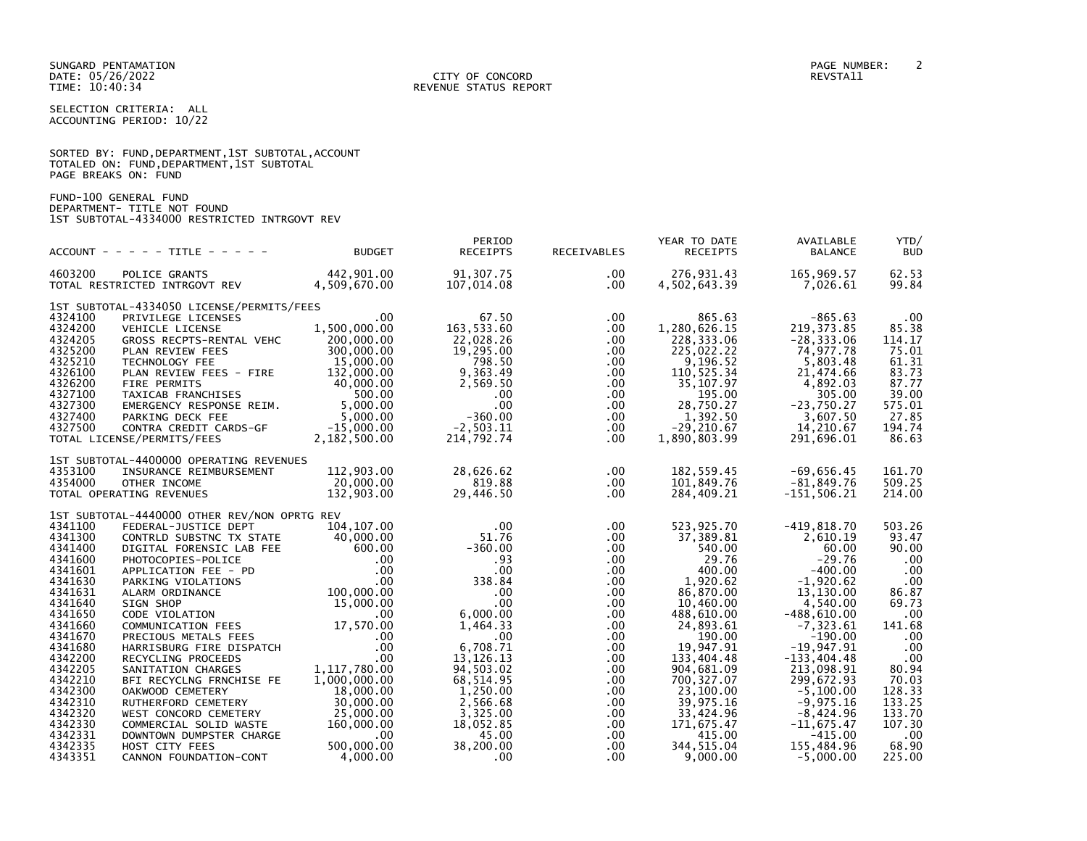|                      |  |  | SORTED BY: FUND, DEPARTMENT, 1ST SUBTOTAL, ACCOUNT |  |
|----------------------|--|--|----------------------------------------------------|--|
|                      |  |  | TOTALED ON: FUND,DEPARTMENT,1ST SUBTOTAL           |  |
| PAGE BREAKS ON: FUND |  |  |                                                    |  |

FUND-100 GENERAL FUND DEPARTMENT- TITLE NOT FOUND 1ST SUBTOTAL-4334000 RESTRICTED INTRGOVT REV

|                                                                                                                       | $ACCOUNT - - - - + TITE - - - - -$                                                                                                                                                                                                                                                                                                                     | <b>BUDGET</b>                                                                                       | PERIOD<br><b>RECEIPTS</b>                                                                                                                         | RECEIVABLES                                                                                                                             | YEAR TO DATE<br><b>RECEIPTS</b>                                                                                                                               | AVAILABLE<br><b>BALANCE</b>                                                                                                                                  | YTD/<br><b>BUD</b>                                                                                             |
|-----------------------------------------------------------------------------------------------------------------------|--------------------------------------------------------------------------------------------------------------------------------------------------------------------------------------------------------------------------------------------------------------------------------------------------------------------------------------------------------|-----------------------------------------------------------------------------------------------------|---------------------------------------------------------------------------------------------------------------------------------------------------|-----------------------------------------------------------------------------------------------------------------------------------------|---------------------------------------------------------------------------------------------------------------------------------------------------------------|--------------------------------------------------------------------------------------------------------------------------------------------------------------|----------------------------------------------------------------------------------------------------------------|
| 4603200                                                                                                               | POLICE GRANTS<br>TOTAL RESTRICTED INTRGOVT REV                                                                                                                                                                                                                                                                                                         | 442,901.00<br>4,509,670.00                                                                          | 91,307.75<br>107,014.08                                                                                                                           | $.00 \,$<br>$.00 \,$                                                                                                                    | 276,931.43<br>4,502,643.39                                                                                                                                    | 165,969.57<br>7,026.61                                                                                                                                       | 62.53<br>99.84                                                                                                 |
|                                                                                                                       | 1ST SUBTOTAL-4334050 LICENSE/PERMITS/FEES                                                                                                                                                                                                                                                                                                              |                                                                                                     |                                                                                                                                                   |                                                                                                                                         |                                                                                                                                                               |                                                                                                                                                              |                                                                                                                |
| 4324100<br>4324200<br>4324205<br>4325200<br>4325210<br>4326100<br>4326200<br>4327100<br>4327300<br>4327400<br>4327500 | PRIVILEGE LICENSES<br><b>VEHICLE LICENSE</b><br>GROSS RECPTS-RENTAL VEHC<br>PLAN REVIEW FEES<br>TECHNOLOGY FEE<br>PLAN REVIEW FEES - FIRE<br>PLAN REVIEW TLLS<br>FIRE PERMITS<br>TAXICAB FRANCHISES 500.00<br>EMERGENCY RESPONSE REIM. 5,000.00<br>S,000.00<br>S,000.00<br>S,000.00<br>CONTRA CREDIT CARDS-GF -15,000.00<br>TOTAL LICENSE/PERMITS/FEES | $.00 \times$<br>1,500,000.00<br>200,000.00<br>300,000.00<br>15,000.00<br>132,000.00<br>2,182,500.00 | 67.50<br>163,533.60<br>22,028.26<br>19,295.00<br>798.50<br>9,363.49<br>2,569.50<br>$.00 \,$<br>$.00 \,$<br>$-360.00$<br>$-2,503.11$<br>214,792.74 | $.00 \,$<br>$.00 \,$<br>$.00 \,$<br>.00<br>$.00 \,$<br>$.00 \,$<br>$.00 \,$<br>$.00 \,$<br>$.00 \,$<br>$.00 \,$<br>$.00 \,$<br>$.00 \,$ | 865.63<br>1,280,626.15<br>228,333.06<br>225,022.22<br>9,196.52<br>110,525.34<br>35,107.97<br>195.00<br>28,750.27<br>1,392.50<br>$-29, 210.67$<br>1,890,803.99 | $-865.63$<br>219, 373.85<br>$-28, 333.06$<br>74,977.78<br>5,803.48<br>21,474.66<br>4,892.03<br>305.00<br>$-23,750.27$<br>3,607.50<br>14,210.67<br>291,696.01 | $.00 \,$<br>85.38<br>114.17<br>75.01<br>61.31<br>83.73<br>87.77<br>39.00<br>575.01<br>27.85<br>194.74<br>86.63 |
|                                                                                                                       |                                                                                                                                                                                                                                                                                                                                                        |                                                                                                     |                                                                                                                                                   |                                                                                                                                         |                                                                                                                                                               |                                                                                                                                                              |                                                                                                                |
| 4353100<br>4354000                                                                                                    | 1ST SUBTOTAL-4400000 OPERATING REVENUES<br>INSURANCE REIMBURSEMENT<br>OTHER INCOME<br>TOTAL OPERATING REVENUES                                                                                                                                                                                                                                         | 112,903.00<br>20,000.00<br>132,903.00                                                               | 28,626.62<br>819.88<br>29,446.50                                                                                                                  | $.00 \,$<br>$.00 \,$<br>$.00 \,$                                                                                                        | 182,559.45<br>101,849.76<br>284,409.21                                                                                                                        | $-69,656.45$<br>$-81,849.76$<br>$-151, 506.21$                                                                                                               | 161.70<br>509.25<br>214.00                                                                                     |
| 4341100                                                                                                               | 1ST SUBTOTAL-4440000 OTHER REV/NON OPRTG REV<br>FEDERAL-JUSTICE DEPT                                                                                                                                                                                                                                                                                   | 104,107.00                                                                                          | $.00 \,$                                                                                                                                          | $.00 \,$                                                                                                                                | 523,925.70                                                                                                                                                    | $-419,818.70$                                                                                                                                                | 503.26                                                                                                         |
| 4341300<br>4341400<br>4341600<br>4341601<br>4341630                                                                   | CONTRLD SUBSTNC TX STATE<br>CONTINUE SUBSTITE AND DIGITAL FORENSIC LAB FEE<br>PHOTOCOPIES-POLICE<br>PHOTOCOPIES-POLICE<br>PARKING VIOLATIONS 00<br>PARKING VIOLATIONS 00<br>ALARM ORDINANCE 100,000.00<br>SIGN SHOP 15,000.00<br>COMMUNICATION 15,000.00                                                                                               | 40,000.00                                                                                           | 51.76<br>$-360.00$<br>.93<br>$.00 \,$<br>338.84                                                                                                   | $.00 \,$<br>$.00 \,$<br>$.00 \,$<br>.00<br>$.00 \,$                                                                                     | 37,389.81<br>540.00<br>29.76<br>400.00<br>1,920.62                                                                                                            | 2,610.19<br>60.00<br>$-29.76$<br>$-400.00$<br>$-1,920.62$                                                                                                    | 93.47<br>90.00<br>$.00 \,$<br>.00<br>.00                                                                       |
| 4341631<br>4341640                                                                                                    |                                                                                                                                                                                                                                                                                                                                                        |                                                                                                     | .00<br>$.00 \,$                                                                                                                                   | $.00 \,$<br>$.00 \,$                                                                                                                    | 86,870.00<br>10,460.00                                                                                                                                        | 13.130.00<br>4,540.00                                                                                                                                        | 86.87<br>69.73                                                                                                 |
| 4341650<br>4341660<br>4341670<br>4341680                                                                              | CODE VIOLATION<br>COMMUNICATION FEES 17,570.00<br>PRECIOUS METALS FEES                                                                                                                                                                                                                                                                                 | .00<br>.00                                                                                          | 6,000.00<br>1,464.33<br>$.00 \,$<br>6,708.71                                                                                                      | $.00 \,$<br>$.00 \,$<br>$.00 \,$                                                                                                        | 488,610.00<br>24,893.61<br>190.00<br>19,947.91                                                                                                                | $-488,610.00$<br>$-7,323.61$<br>$-190.00$<br>$-19,947.91$                                                                                                    | $.00 \,$<br>141.68<br>.00<br>.00                                                                               |
| 4342200<br>4342205<br>4342210                                                                                         | HARRISBURG FIRE DISPATCH<br>RECYCLING PROCEEDS<br>SANITATION CHARGES<br>BFI RECYCLNG FRNCHISE FE                                                                                                                                                                                                                                                       | $.00 \,$<br>1,117,780.00<br>1,000,000.00                                                            | 13, 126. 13<br>94,503.02<br>68,514.95                                                                                                             | $.00 \,$<br>.00<br>$.00 \,$<br>$.00 \,$                                                                                                 | 133,404.48<br>904,681.09<br>700, 327.07                                                                                                                       | $-133,404.48$<br>213,098.91<br>299,672.93                                                                                                                    | $.00 \,$<br>80.94<br>70.03                                                                                     |
| 4342300<br>4342310<br>4342320                                                                                         | OAKWOOD CEMETERY<br>RUTHERFORD CEMETERY<br>WEST CONCORD CEMETERY                                                                                                                                                                                                                                                                                       | 18,000.00<br>30,000.00<br>25,000.00                                                                 | 1,250.00<br>2,566.68<br>3,325.00                                                                                                                  | $.00 \,$<br>$.00 \,$<br>$.00 \,$                                                                                                        | 23,100.00<br>39,975.16<br>33,424.96                                                                                                                           | $-5.100.00$<br>$-9,975.16$<br>$-8,424.96$                                                                                                                    | 128.33<br>133.25<br>133.70                                                                                     |
| 4342330<br>4342331<br>4342335                                                                                         | COMMERCIAL SOLID WASTE<br>DOWNTOWN DUMPSTER CHARGE<br>HOST CITY FEES                                                                                                                                                                                                                                                                                   | 160,000.00<br>.00<br>500,000.00                                                                     | 18,052.85<br>45.00<br>38,200.00                                                                                                                   | $.00 \,$<br>$.00 \,$<br>$.00 \,$                                                                                                        | 171,675.47<br>415.00<br>344, 515.04                                                                                                                           | $-11,675.47$<br>$-415.00$<br>155,484.96                                                                                                                      | 107.30<br>.00<br>68.90                                                                                         |
| 4343351                                                                                                               | CANNON FOUNDATION-CONT                                                                                                                                                                                                                                                                                                                                 | 4,000.00                                                                                            | $.00 \,$                                                                                                                                          | $.00 \cdot$                                                                                                                             | 9,000.00                                                                                                                                                      | $-5,000.00$                                                                                                                                                  | 225.00                                                                                                         |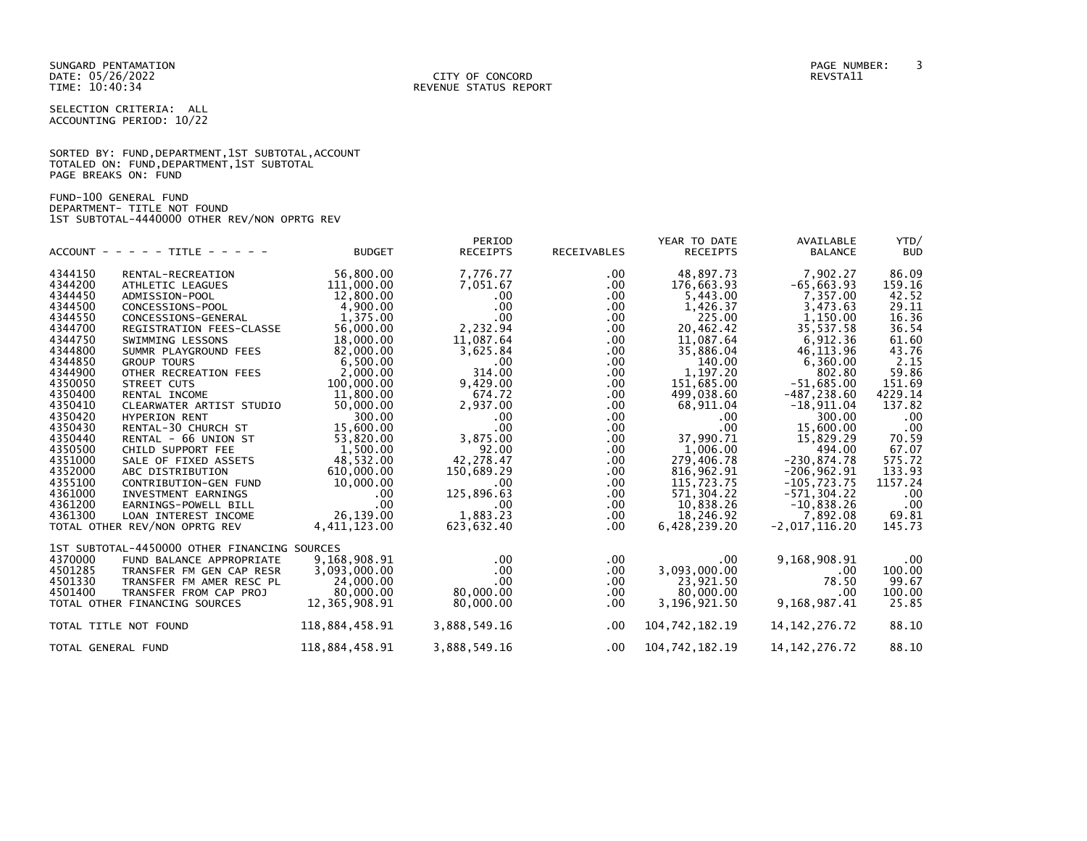SUNGARD PENTAMATION PAGE NUMBER: 3

SELECTION CRITERIA: ALL ACCOUNTING PERIOD: 10/22

|                      |  |  | SORTED BY: FUND, DEPARTMENT, 1ST SUBTOTAL, ACCOUNT |  |
|----------------------|--|--|----------------------------------------------------|--|
|                      |  |  | TOTALED ON: FUND, DEPARTMENT, 1ST SUBTOTAL         |  |
| PAGE BREAKS ON: FUND |  |  |                                                    |  |

FUND-100 GENERAL FUND DEPARTMENT- TITLE NOT FOUND 1ST SUBTOTAL-4440000 OTHER REV/NON OPRTG REV

|                    | $ACCOUNT - - - - - TITE - - - - - -$         | <b>BUDGET</b>  | PERIOD<br><b>RECEIPTS</b> | RECEIVABLES | YEAR TO DATE<br><b>RECEIPTS</b> | AVAILABLE<br><b>BALANCE</b> | YTD/<br><b>BUD</b> |
|--------------------|----------------------------------------------|----------------|---------------------------|-------------|---------------------------------|-----------------------------|--------------------|
| 4344150            | RENTAL-RECREATION                            | 56,800.00      | 7,776.77                  | .00.        | 48,897.73                       | 7,902.27                    | 86.09              |
| 4344200            | ATHLETIC LEAGUES                             | 111,000.00     | 7,051.67                  | .00         | 176,663.93                      | $-65, 663.93$               | 159.16             |
| 4344450            | ADMISSION-POOL                               | 12,800.00      | $.00 \cdot$               | .00         | 5,443.00                        | 7,357.00                    | 42.52              |
| 4344500            | CONCESSIONS-POOL                             | 4,900.00       | $.00 \times$              | .00.        | 1,426.37                        | 3,473.63                    | 29.11              |
| 4344550            | CONCESSIONS-GENERAL                          | 1,375.00       | $.00 \,$                  | .00.        | 225.00                          | 1,150.00                    | 16.36              |
| 4344700            | REGISTRATION FEES-CLASSE                     | 56,000.00      | 2,232.94                  | .00.        | 20,462.42                       | 35,537.58                   | 36.54              |
| 4344750            | SWIMMING LESSONS                             | 18,000.00      | 11,087.64                 | .00         | 11,087.64                       | 6,912.36                    | 61.60              |
| 4344800            | SUMMR PLAYGROUND FEES                        | 82,000.00      | 3,625.84                  | .00         | 35,886.04                       | 46, 113.96                  | 43.76              |
| 4344850            | <b>GROUP TOURS</b>                           | 6,500.00       | $.00 \,$                  | .00         | 140.00                          | 6,360.00                    | 2.15               |
| 4344900            | OTHER RECREATION FEES                        | 2,000.00       | 314.00                    | .00         | 1,197.20                        | 802.80                      | 59.86              |
| 4350050            | STREET CUTS                                  | 100,000.00     | 9,429.00                  | .00         | 151,685.00                      | $-51,685.00$                | 151.69             |
| 4350400            | RENTAL INCOME                                | 11,800.00      | 674.72                    | .00         | 499,038.60                      | $-487, 238.60$              | 4229.14            |
| 4350410            | CLEARWATER ARTIST STUDIO                     | 50,000.00      | 2,937.00                  | .00         | 68,911.04                       | $-18,911.04$                | 137.82             |
| 4350420            | <b>HYPERION RENT</b>                         | 300.00         | $.00 \times$              | .00.        | .00                             | 300.00                      | .00                |
| 4350430            | RENTAL-30 CHURCH ST                          | 15,600.00      | $.00 \times$              | .00.        | .00                             | 15,600.00                   | .00                |
| 4350440            | RENTAL - 66 UNION ST                         | 53,820.00      | 3,875.00                  | .00.        | 37,990.71                       | 15,829.29                   | 70.59              |
| 4350500            | CHILD SUPPORT FEE                            | 1.500.00       | 92.00                     | .00         | 1.006.00                        | 494.00                      | 67.07              |
| 4351000            | SALE OF FIXED ASSETS                         | 48,532.00      | 42,278.47                 | .00         | 279,406.78                      | $-230, 874.78$              | 575.72             |
| 4352000            | ABC DISTRIBUTION                             | 610,000.00     | 150,689.29                | .00         | 816, 962.91                     | $-206,962.91$               | 133.93             |
| 4355100            | CONTRIBUTION-GEN FUND                        | 10,000.00      | $.00 \times$              | .00         | 115,723.75                      | $-105, 723.75$              | 1157.24            |
| 4361000            | INVESTMENT EARNINGS                          | $.00 \,$       | 125,896.63                | .00.        | 571,304.22                      | $-571, 304.22$              | .00                |
| 4361200            | EARNINGS-POWELL BILL                         | .00            | $.00 \,$                  | .00.        | 10,838.26                       | $-10,838.26$                | .00                |
| 4361300            | LOAN INTEREST INCOME                         | 26,139.00      | 1,883.23                  | .00.        | 18,246.92                       | 7,892.08                    | 69.81              |
|                    | TOTAL OTHER REV/NON OPRTG REV                | 4,411,123.00   | 623,632.40                | .00         | 6,428,239.20                    | $-2,017,116.20$             | 145.73             |
|                    | 1ST SUBTOTAL-4450000 OTHER FINANCING SOURCES |                |                           |             |                                 |                             |                    |
| 4370000            | FUND BALANCE APPROPRIATE                     | 9,168,908.91   | $.00 \,$                  | .00.        | .00                             | 9,168,908.91                | $.00 \,$           |
| 4501285            | TRANSFER FM GEN CAP RESR                     | 3,093,000.00   | $.00 \,$                  | $.00 \,$    | 3,093,000.00                    | .00                         | 100.00             |
| 4501330            | TRANSFER FM AMER RESC PL                     | 24,000.00      | $.00 \,$                  | .00         | 23,921.50                       | 78.50                       | 99.67              |
| 4501400            | TRANSFER FROM CAP PROJ                       | 80,000.00      | 80.000.00                 | .00.        | 80,000.00                       | .00                         | 100.00             |
|                    | TOTAL OTHER FINANCING SOURCES                | 12,365,908.91  | 80,000.00                 | .00.        | 3,196,921.50                    | 9,168,987.41                | 25.85              |
|                    | TOTAL TITLE NOT FOUND                        | 118,884,458.91 | 3,888,549.16              | $.00 \,$    | 104,742,182.19                  | 14, 142, 276. 72            | 88.10              |
| TOTAL GENERAL FUND |                                              | 118,884,458.91 | 3,888,549.16              | .00         | 104,742,182.19                  | 14, 142, 276. 72            | 88.10              |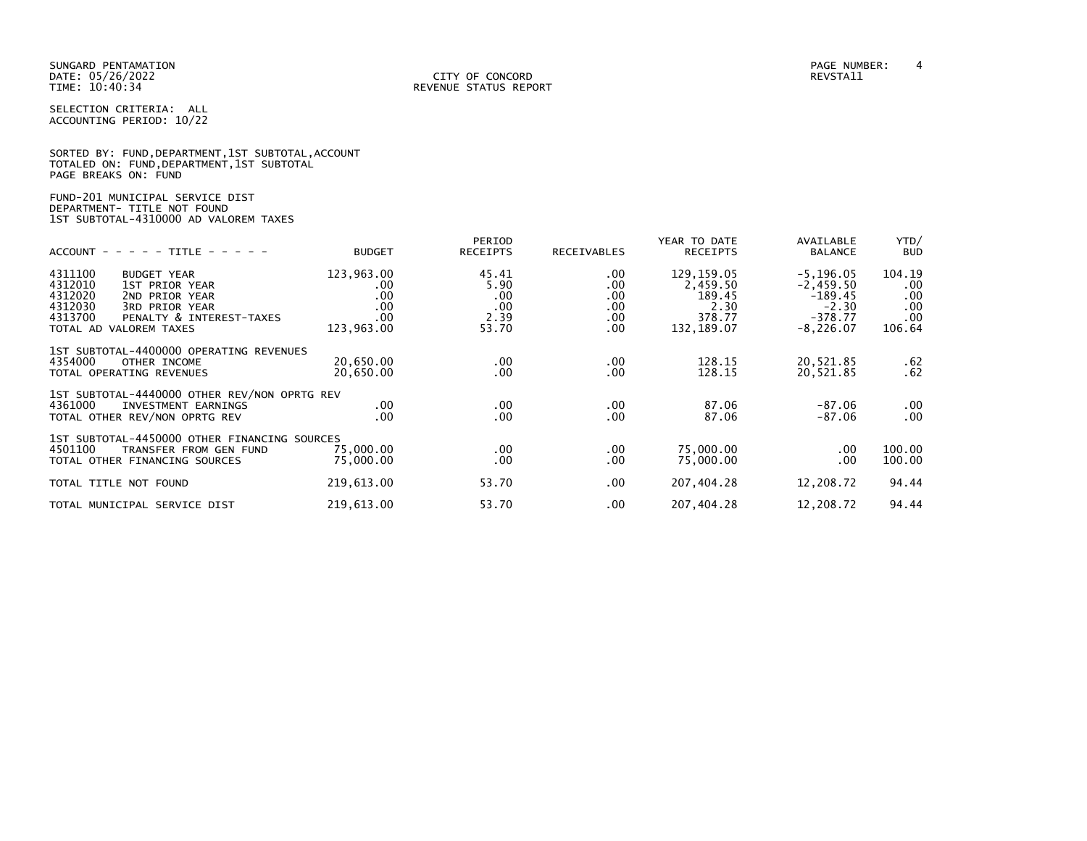|                      |                                          | SORTED BY: FUND, DEPARTMENT, 1ST SUBTOTAL, ACCOUNT |
|----------------------|------------------------------------------|----------------------------------------------------|
|                      | TOTALED ON: FUND,DEPARTMENT,1ST SUBTOTAL |                                                    |
| PAGE BREAKS ON: FUND |                                          |                                                    |

# FUND-201 MUNICIPAL SERVICE DIST DEPARTMENT- TITLE NOT FOUND 1ST SUBTOTAL-4310000 AD VALOREM TAXES

| $ACCOUNT - - - - - TITLE - - - - -$                                                                                                                                                   | <b>BUDGET</b>                                              | PERIOD<br><b>RECEIPTS</b>                    | RECEIVABLES                                       | YEAR TO DATE<br><b>RECEIPTS</b>                                   | AVAILABLE<br><b>BALANCE</b>                                                     | YTD/<br><b>BUD</b>                                |
|---------------------------------------------------------------------------------------------------------------------------------------------------------------------------------------|------------------------------------------------------------|----------------------------------------------|---------------------------------------------------|-------------------------------------------------------------------|---------------------------------------------------------------------------------|---------------------------------------------------|
| 4311100<br><b>BUDGET YEAR</b><br>4312010<br>1ST PRIOR YEAR<br>4312020<br>2ND PRIOR YEAR<br>4312030<br>3RD PRIOR YEAR<br>4313700<br>PENALTY & INTEREST-TAXES<br>TOTAL AD VALOREM TAXES | 123,963.00<br>.00.<br>.00<br>$.00 \,$<br>.00<br>123,963.00 | 45.41<br>5.90<br>.00<br>.00<br>2.39<br>53.70 | $.00 \,$<br>.00<br>.00<br>.00<br>$.00 \,$<br>.00. | 129,159.05<br>2,459.50<br>189.45<br>2.30<br>378.77<br>132, 189.07 | $-5, 196.05$<br>$-2,459.50$<br>$-189.45$<br>$-2.30$<br>$-378.77$<br>$-8,226.07$ | 104.19<br>$.00 \,$<br>.00<br>.00<br>.00<br>106.64 |
| 1ST SUBTOTAL-4400000 OPERATING REVENUES<br>4354000<br>OTHER INCOME<br>TOTAL OPERATING REVENUES                                                                                        | 20.650.00<br>20,650.00                                     | $.00 \,$<br>.00.                             | .00.<br>.00                                       | 128.15<br>128.15                                                  | 20,521.85<br>20,521.85                                                          | .62<br>.62                                        |
| 1ST SUBTOTAL-4440000 OTHER REV/NON OPRTG REV<br>4361000<br>INVESTMENT EARNINGS<br>TOTAL OTHER REV/NON OPRTG REV                                                                       | $.00 \,$<br>$.00 \times$                                   | .00<br>$.00 \,$                              | .00.<br>.00                                       | 87.06<br>87.06                                                    | $-87.06$<br>$-87.06$                                                            | .00<br>.00                                        |
| 1ST SUBTOTAL-4450000 OTHER FINANCING SOURCES<br>4501100<br>TRANSFER FROM GEN FUND<br>TOTAL OTHER FINANCING SOURCES                                                                    | 75,000.00<br>75,000.00                                     | .00<br>.00.                                  | .00<br>.00                                        | 75,000.00<br>75,000.00                                            | $.00 \,$<br>.00                                                                 | 100.00<br>100.00                                  |
| TOTAL TITLE NOT FOUND                                                                                                                                                                 | 219,613.00                                                 | 53.70                                        | .00.                                              | 207,404.28                                                        | 12,208.72                                                                       | 94.44                                             |
| TOTAL MUNICIPAL SERVICE DIST                                                                                                                                                          | 219,613.00                                                 | 53.70                                        | .00                                               | 207,404.28                                                        | 12,208.72                                                                       | 94.44                                             |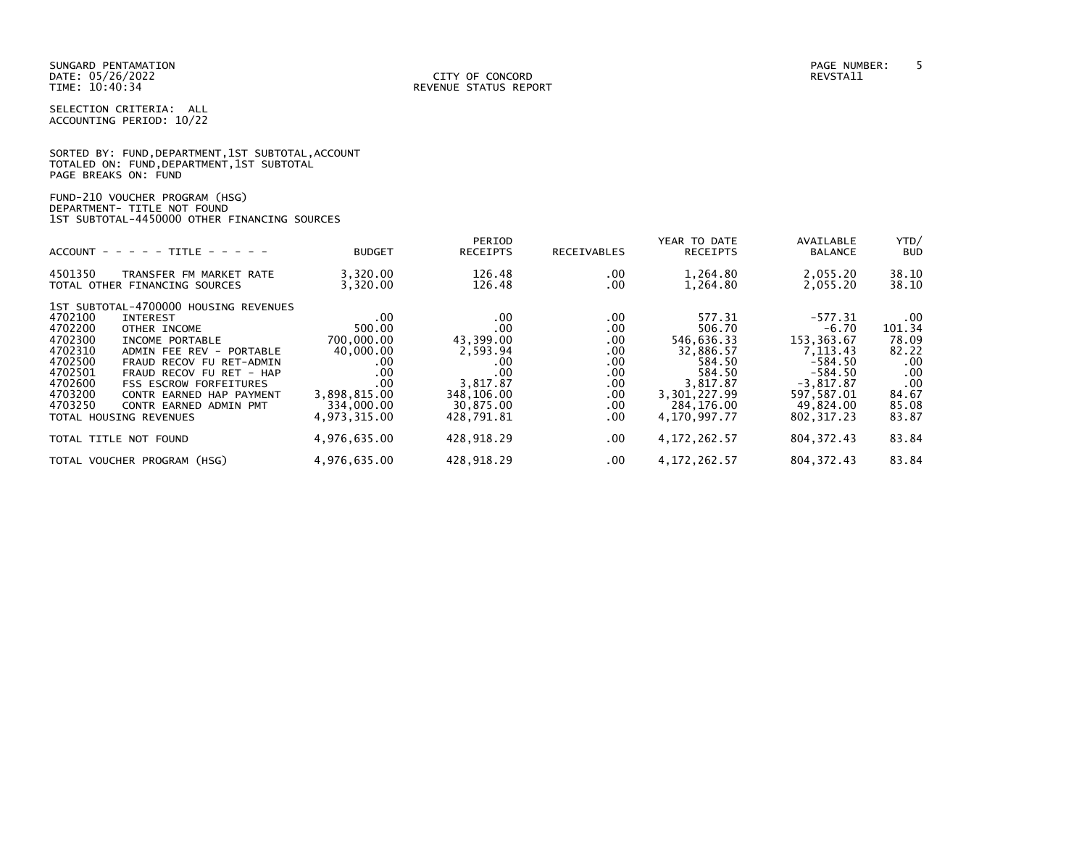|                      |  |  | SORTED BY: FUND, DEPARTMENT, 1ST SUBTOTAL, ACCOUNT |  |
|----------------------|--|--|----------------------------------------------------|--|
|                      |  |  | TOTALED ON: FUND,DEPARTMENT,1ST SUBTOTAL           |  |
| PAGE BREAKS ON: FUND |  |  |                                                    |  |

| FUND-210 VOUCHER PROGRAM (HSG)               |  |
|----------------------------------------------|--|
| DEPARTMENT- TITLE NOT FOUND                  |  |
| 1ST SUBTOTAL-4450000 OTHER FINANCING SOURCES |  |

| $ACCOUNT - - - - - TITLE - - - - -$                                                                                                                                                                                                                                                                                                                                                                 | <b>BUDGET</b>                                                                                                    | PERIOD<br><b>RECEIPTS</b>                                                                              | RECEIVABLES                                                                 | YEAR TO DATE<br><b>RECEIPTS</b>                                                                                           | AVAILABLE<br><b>BALANCE</b>                                                                                                         | YTD/<br><b>BUD</b>                                                                   |
|-----------------------------------------------------------------------------------------------------------------------------------------------------------------------------------------------------------------------------------------------------------------------------------------------------------------------------------------------------------------------------------------------------|------------------------------------------------------------------------------------------------------------------|--------------------------------------------------------------------------------------------------------|-----------------------------------------------------------------------------|---------------------------------------------------------------------------------------------------------------------------|-------------------------------------------------------------------------------------------------------------------------------------|--------------------------------------------------------------------------------------|
| 4501350<br>TRANSFER FM MARKET RATE<br>TOTAL OTHER FINANCING SOURCES                                                                                                                                                                                                                                                                                                                                 | 3,320.00<br>3,320.00                                                                                             | 126.48<br>126.48                                                                                       | .00.<br>.00                                                                 | 1,264.80<br>1,264.80                                                                                                      | 2,055.20<br>2,055.20                                                                                                                | 38.10<br>38.10                                                                       |
| 1ST SUBTOTAL-4700000 HOUSING REVENUES<br>4702100<br><b>INTEREST</b><br>4702200<br>OTHER INCOME<br>4702300<br>INCOME PORTABLE<br>4702310<br>ADMIN FEE REV - PORTABLE<br>4702500<br>FRAUD RECOV FU RET-ADMIN<br>4702501<br>FRAUD RECOV FU RET - HAP<br>4702600<br><b>FSS ESCROW FORFEITURES</b><br>4703200<br>CONTR EARNED HAP PAYMENT<br>4703250<br>CONTR EARNED ADMIN PMT<br>TOTAL HOUSING REVENUES | $.00 \,$<br>500.00<br>700,000.00<br>40,000.00<br>.00<br>.00<br>.00<br>3,898,815.00<br>334,000.00<br>4.973.315.00 | .00<br>.00<br>43,399.00<br>2,593.94<br>.00<br>.00<br>3,817.87<br>348,106.00<br>30,875.00<br>428.791.81 | .00.<br>.00.<br>.00.<br>.00.<br>.00.<br>.00<br>.00.<br>.00.<br>.00.<br>.00. | 577.31<br>506.70<br>546,636.33<br>32,886.57<br>584.50<br>584.50<br>3,817.87<br>3,301,227.99<br>284,176.00<br>4.170.997.77 | $-577.31$<br>$-6.70$<br>153, 363.67<br>7, 113, 43<br>$-584.50$<br>$-584.50$<br>$-3,817.87$<br>597,587.01<br>49,824.00<br>802.317.23 | $.00 \,$<br>101.34<br>78.09<br>82.22<br>.00<br>.00<br>.00<br>84.67<br>85.08<br>83.87 |
| TOTAL TITLE NOT FOUND                                                                                                                                                                                                                                                                                                                                                                               | 4,976,635.00                                                                                                     | 428,918.29                                                                                             | $.00 \,$                                                                    | 4, 172, 262.57                                                                                                            | 804, 372.43                                                                                                                         | 83.84                                                                                |
| TOTAL VOUCHER PROGRAM (HSG)                                                                                                                                                                                                                                                                                                                                                                         | 4,976,635.00                                                                                                     | 428,918.29                                                                                             | $.00 \,$                                                                    | 4, 172, 262.57                                                                                                            | 804, 372.43                                                                                                                         | 83.84                                                                                |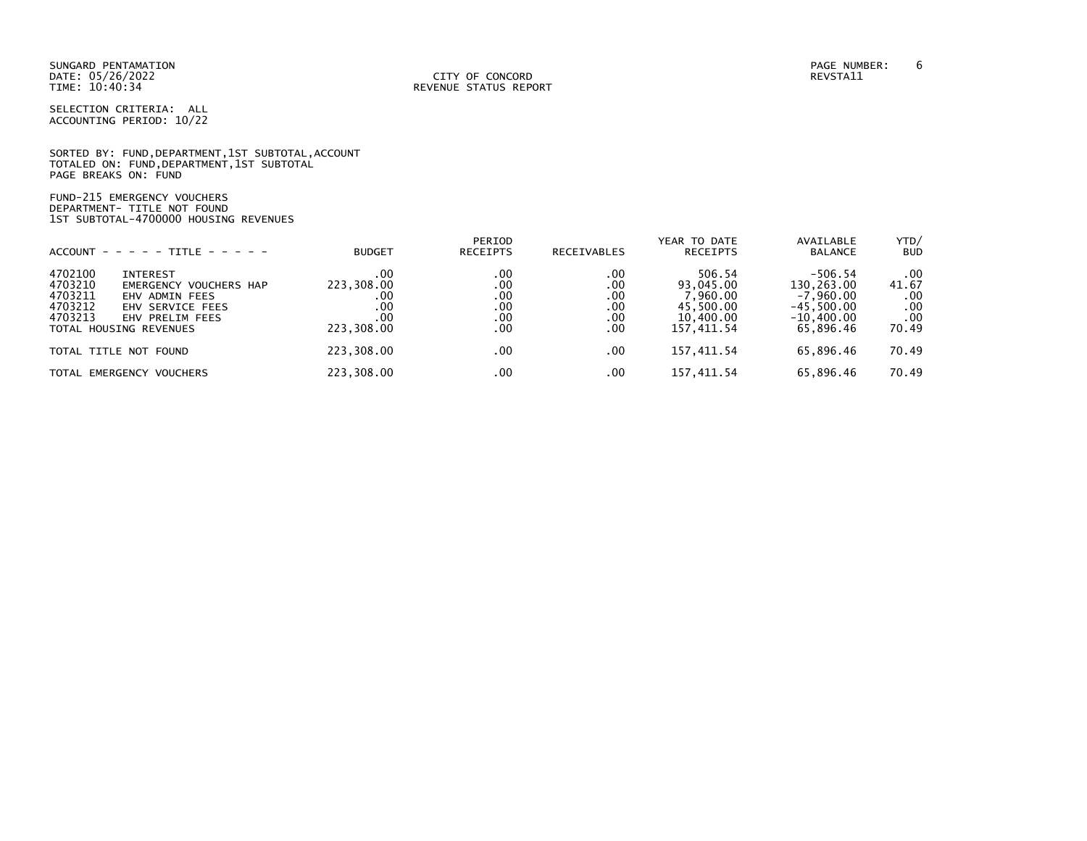SORTED BY: FUND,DEPARTMENT,1ST SUBTOTAL,ACCOUNT TOTALED ON: FUND,DEPARTMENT,1ST SUBTOTAL PAGE BREAKS ON: FUND

FUND-215 EMERGENCY VOUCHERS DEPARTMENT- TITLE NOT FOUND 1ST SUBTOTAL-4700000 HOUSING REVENUES

|                                                                                                  | $ACCOUNT - - - - + TITE - - - - -$                                              | <b>BUDGET</b>                                        | PERIOD<br><b>RECEIPTS</b>              | <b>RECEIVABLES</b>                     | YEAR TO DATE<br><b>RECEIPTS</b>                                          | AVAILABLE<br><b>BALANCE</b>                                                         | YTD/<br><b>BUD</b>                         |
|--------------------------------------------------------------------------------------------------|---------------------------------------------------------------------------------|------------------------------------------------------|----------------------------------------|----------------------------------------|--------------------------------------------------------------------------|-------------------------------------------------------------------------------------|--------------------------------------------|
| 4702100<br><b>INTEREST</b><br>4703210<br>4703211<br>4703212<br>4703213<br>TOTAL HOUSING REVENUES | EMERGENCY VOUCHERS HAP<br>EHV ADMIN FEES<br>EHV SERVICE FEES<br>EHV PRELIM FEES | .00<br>223,308.00<br>.00<br>.00<br>.00<br>223,308.00 | .00<br>.00<br>.00<br>.00<br>.00<br>.00 | .00<br>.00<br>.00<br>.00<br>.00<br>.00 | 506.54<br>93.045.00<br>7,960.00<br>45.500.00<br>10,400.00<br>157, 411.54 | $-506.54$<br>130,263.00<br>$-7.960.00$<br>$-45.500.00$<br>$-10.400.00$<br>65,896.46 | .00<br>41.67<br>.00<br>.00<br>.00<br>70.49 |
| TOTAL TITLE NOT FOUND                                                                            |                                                                                 | 223,308.00                                           | .00                                    | .00                                    | 157, 411.54                                                              | 65.896.46                                                                           | 70.49                                      |
| TOTAL EMERGENCY VOUCHERS                                                                         |                                                                                 | 223,308.00                                           | .00                                    | .00                                    | 157, 411.54                                                              | 65,896.46                                                                           | 70.49                                      |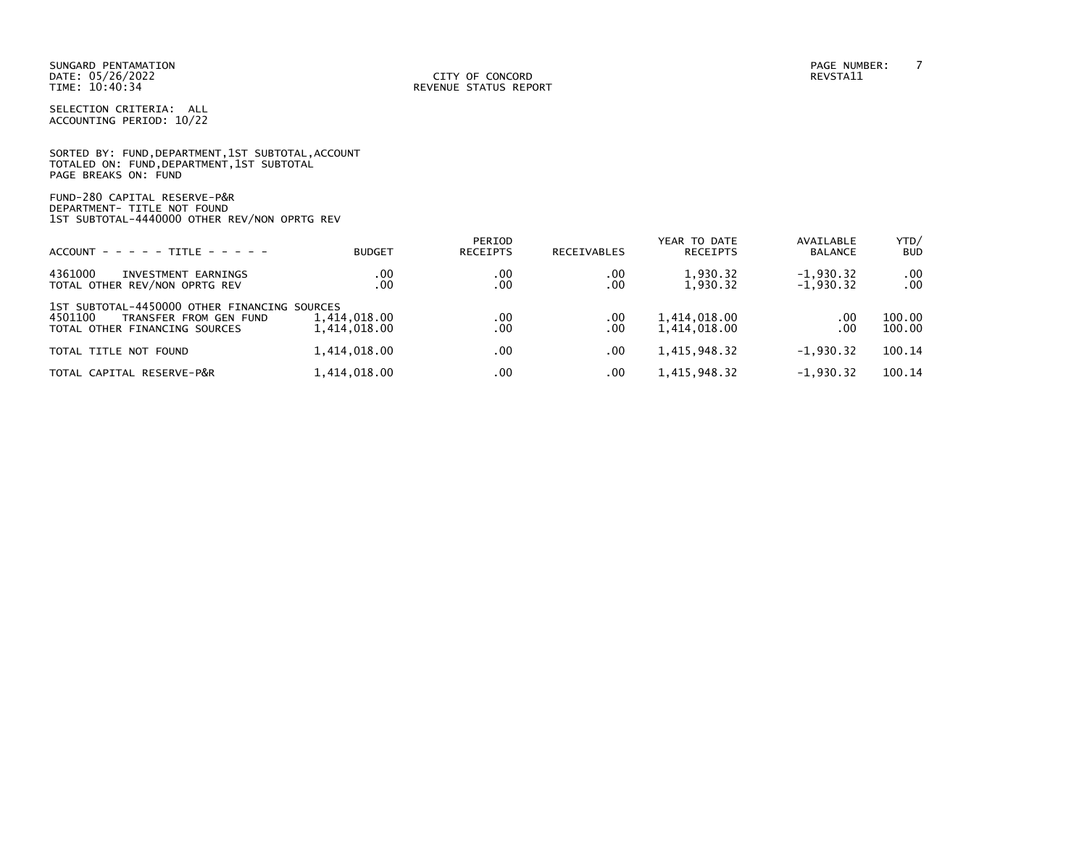|                      |  | SORTED BY: FUND, DEPARTMENT, 1ST SUBTOTAL, ACCOUNT |  |
|----------------------|--|----------------------------------------------------|--|
|                      |  | TOTALED ON: FUND, DEPARTMENT, 1ST SUBTOTAL         |  |
| PAGE BREAKS ON: FUND |  |                                                    |  |

FUND-280 CAPITAL RESERVE-P&R DEPARTMENT- TITLE NOT FOUND 1ST SUBTOTAL-4440000 OTHER REV/NON OPRTG REV

| $ACCOUNT - - - - - TITE - - - - -$                                                                                 | <b>BUDGET</b>                | PERIOD<br><b>RECEIPTS</b> | <b>RECEIVABLES</b> | YEAR TO DATE<br><b>RECEIPTS</b> | AVAILABLE<br><b>BALANCE</b> | YTD/<br><b>BUD</b>   |
|--------------------------------------------------------------------------------------------------------------------|------------------------------|---------------------------|--------------------|---------------------------------|-----------------------------|----------------------|
| 4361000<br>INVESTMENT EARNINGS<br>TOTAL OTHER REV/NON OPRTG REV                                                    | .00<br>.00                   | .00<br>.00                | .00<br>.00         | 1,930.32<br>1,930.32            | $-1,930.32$<br>$-1,930.32$  | $.00 \,$<br>$.00 \,$ |
| 1ST SUBTOTAL-4450000 OTHER FINANCING SOURCES<br>4501100<br>TRANSFER FROM GEN FUND<br>TOTAL OTHER FINANCING SOURCES | 1,414,018.00<br>1,414,018.00 | .00<br>.00                | .00<br>.00         | 1,414,018.00<br>1.414.018.00    | $.00 \,$<br>.00             | 100.00<br>100.00     |
| TOTAL TITLE NOT FOUND                                                                                              | 1,414,018.00                 | .00                       | .00                | 1,415,948.32                    | $-1,930.32$                 | 100.14               |
| TOTAL CAPITAL RESERVE-P&R                                                                                          | 1,414,018.00                 | $.00 \,$                  | .00                | 1,415,948.32                    | $-1,930.32$                 | 100.14               |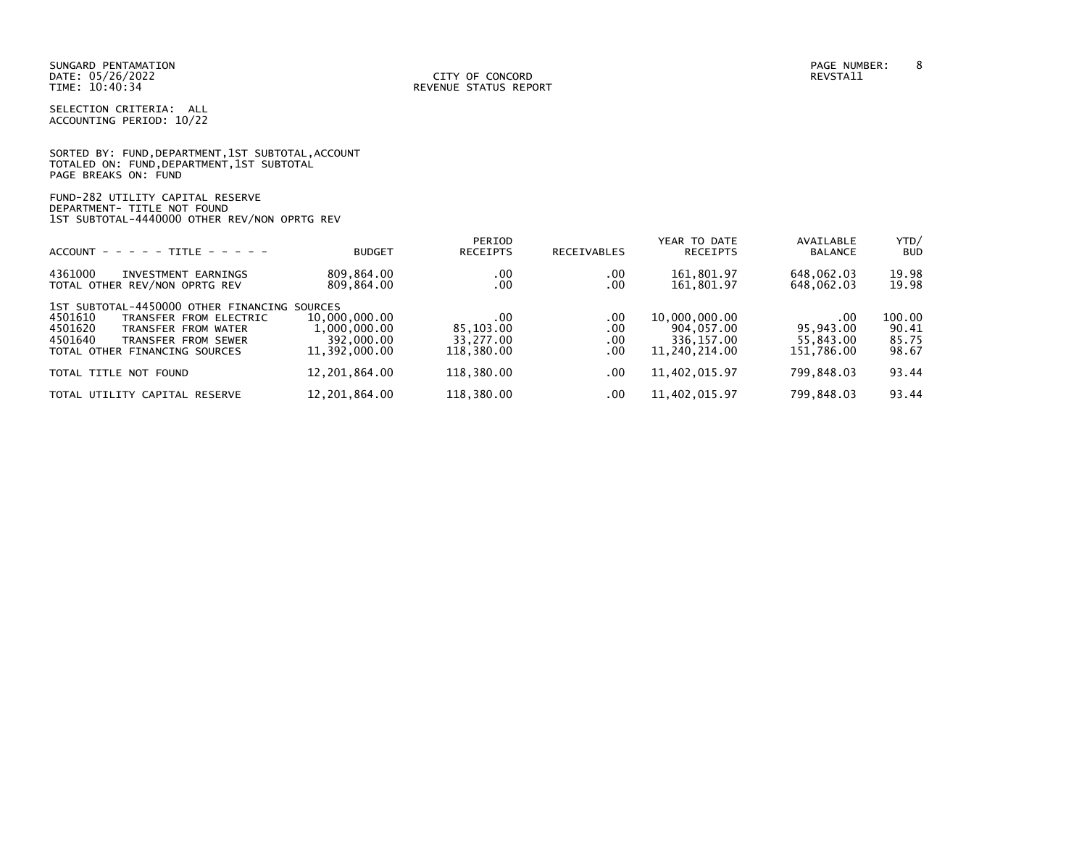SUNGARD PENTAMATION PAGE NUMBER: 8

SELECTION CRITERIA: ALL ACCOUNTING PERIOD: 10/22

|                      |  |  | SORTED BY: FUND, DEPARTMENT, 1ST SUBTOTAL, ACCOUNT |  |
|----------------------|--|--|----------------------------------------------------|--|
|                      |  |  | TOTALED ON: FUND, DEPARTMENT, 1ST SUBTOTAL         |  |
| PAGE BREAKS ON: FUND |  |  |                                                    |  |

# FUND-282 UTILITY CAPITAL RESERVE DEPARTMENT- TITLE NOT FOUND 1ST SUBTOTAL-4440000 OTHER REV/NON OPRTG REV

| $ACCOUNT - - - - - TITE - - - - -$                                                                                                                                                     | <b>BUDGET</b>                                                | PERIOD<br><b>RECEIPTS</b>                   | <b>RECEIVABLES</b>        | YEAR TO DATE<br><b>RECEIPTS</b>                            | AVAILABLE<br><b>BALANCE</b>                 | YTD/<br><b>BUD</b>                |
|----------------------------------------------------------------------------------------------------------------------------------------------------------------------------------------|--------------------------------------------------------------|---------------------------------------------|---------------------------|------------------------------------------------------------|---------------------------------------------|-----------------------------------|
| 4361000<br>INVESTMENT EARNINGS<br>TOTAL OTHER REV/NON OPRTG REV                                                                                                                        | 809,864.00<br>809,864.00                                     | .00<br>.00                                  | .00<br>.00                | 161,801.97<br>161,801.97                                   | 648,062.03<br>648,062.03                    | 19.98<br>19.98                    |
| 1ST SUBTOTAL-4450000 OTHER FINANCING SOURCES<br>4501610<br>TRANSFER FROM ELECTRIC<br>4501620<br>TRANSFER FROM WATER<br>4501640<br>TRANSFER FROM SEWER<br>TOTAL OTHER FINANCING SOURCES | 10,000,000.00<br>1,000,000.00<br>392,000.00<br>11.392.000.00 | .00<br>85,103.00<br>33,277.00<br>118.380.00 | .00<br>.00<br>.00<br>.00. | 10,000,000.00<br>904.057.00<br>336.157.00<br>11.240.214.00 | .00<br>95.943.00<br>55.843.00<br>151.786.00 | 100.00<br>90.41<br>85.75<br>98.67 |
| TOTAL TITLE NOT<br>FOUND                                                                                                                                                               | 12,201,864.00                                                | 118,380.00                                  | .00                       | 11,402,015.97                                              | 799,848.03                                  | 93.44                             |
| TOTAL UTILITY CAPITAL RESERVE                                                                                                                                                          | 12.201.864.00                                                | 118,380.00                                  | .00                       | 11.402.015.97                                              | 799.848.03                                  | 93.44                             |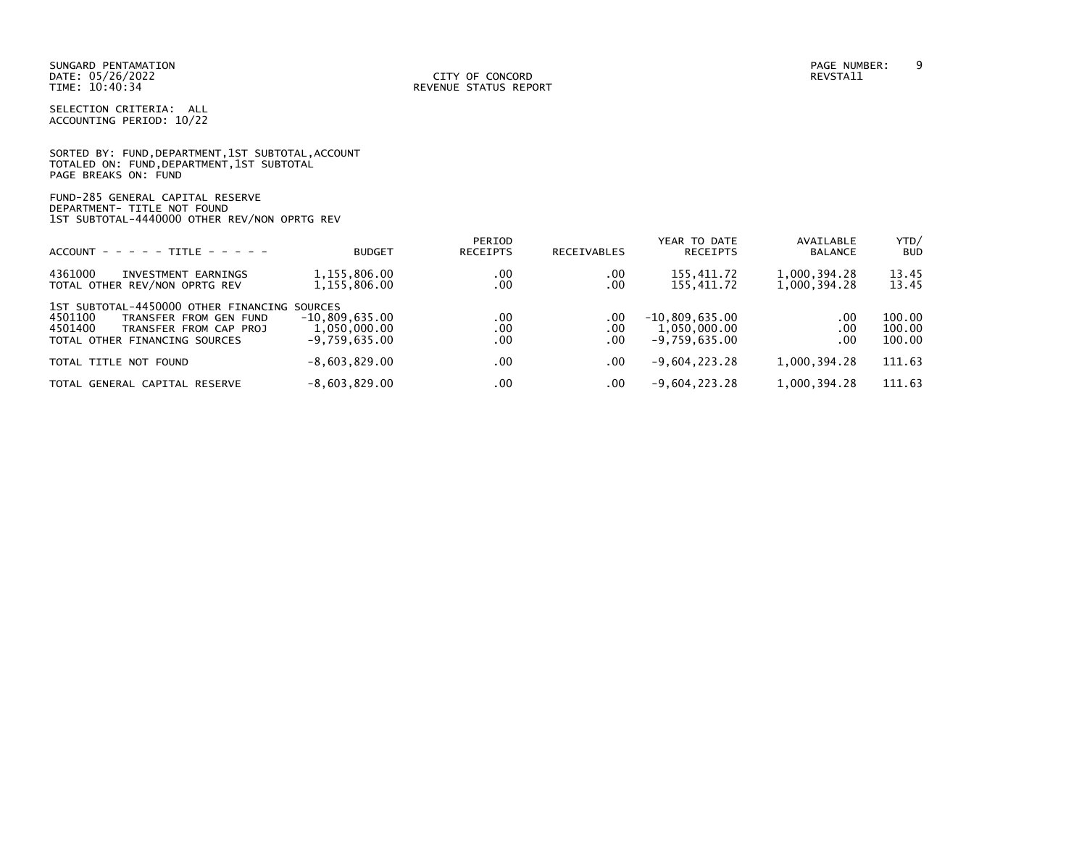SUNGARD PENTAMATION PAGE NUMBER: 9

SELECTION CRITERIA: ALL ACCOUNTING PERIOD: 10/22

|                      | SORTED BY: FUND, DEPARTMENT, 1ST SUBTOTAL, ACCOUNT |  |  |
|----------------------|----------------------------------------------------|--|--|
|                      | TOTALED ON: FUND, DEPARTMENT, 1ST SUBTOTAL         |  |  |
| PAGE BREAKS ON: FUND |                                                    |  |  |

# FUND-285 GENERAL CAPITAL RESERVE DEPARTMENT- TITLE NOT FOUND 1ST SUBTOTAL-4440000 OTHER REV/NON OPRTG REV

| $ACCOUNT - - - - - TITLE - - - - -$                                                                                                                     | <b>BUDGET</b>                                       | PERIOD<br><b>RECEIPTS</b> | <b>RECEIVABLES</b>    | YEAR TO DATE<br><b>RECEIPTS</b>                     | AVAILABLE<br><b>BALANCE</b>  | YTD/<br><b>BUD</b>         |
|---------------------------------------------------------------------------------------------------------------------------------------------------------|-----------------------------------------------------|---------------------------|-----------------------|-----------------------------------------------------|------------------------------|----------------------------|
| 4361000<br>INVESTMENT EARNINGS<br>TOTAL OTHER REV/NON OPRTG REV                                                                                         | 1,155,806.00<br>1,155,806.00                        | .00<br>.00                | .00<br>.00            | 155.411.72<br>155,411.72                            | 1,000,394.28<br>1,000,394.28 | 13.45<br>13.45             |
| 1ST SUBTOTAL-4450000 OTHER FINANCING SOURCES<br>4501100<br>TRANSFER FROM GEN FUND<br>4501400<br>TRANSFER FROM CAP PROJ<br>TOTAL OTHER FINANCING SOURCES | $-10.809.635.00$<br>1,050,000.00<br>$-9.759.635.00$ | .00<br>.00<br>.00         | .00<br>$.00$<br>$.00$ | $-10,809,635.00$<br>1,050,000.00<br>$-9.759.635.00$ | .00.<br>.00<br>.00           | 100.00<br>100.00<br>100.00 |
| TOTAL TITLE NOT FOUND                                                                                                                                   | $-8,603,829.00$                                     | .00                       | .00                   | $-9,604,223.28$                                     | 1,000,394.28                 | 111.63                     |
| TOTAL GENERAL CAPITAL RESERVE                                                                                                                           | $-8,603,829.00$                                     | .00                       | .00.                  | $-9,604,223.28$                                     | 1,000,394.28                 | 111.63                     |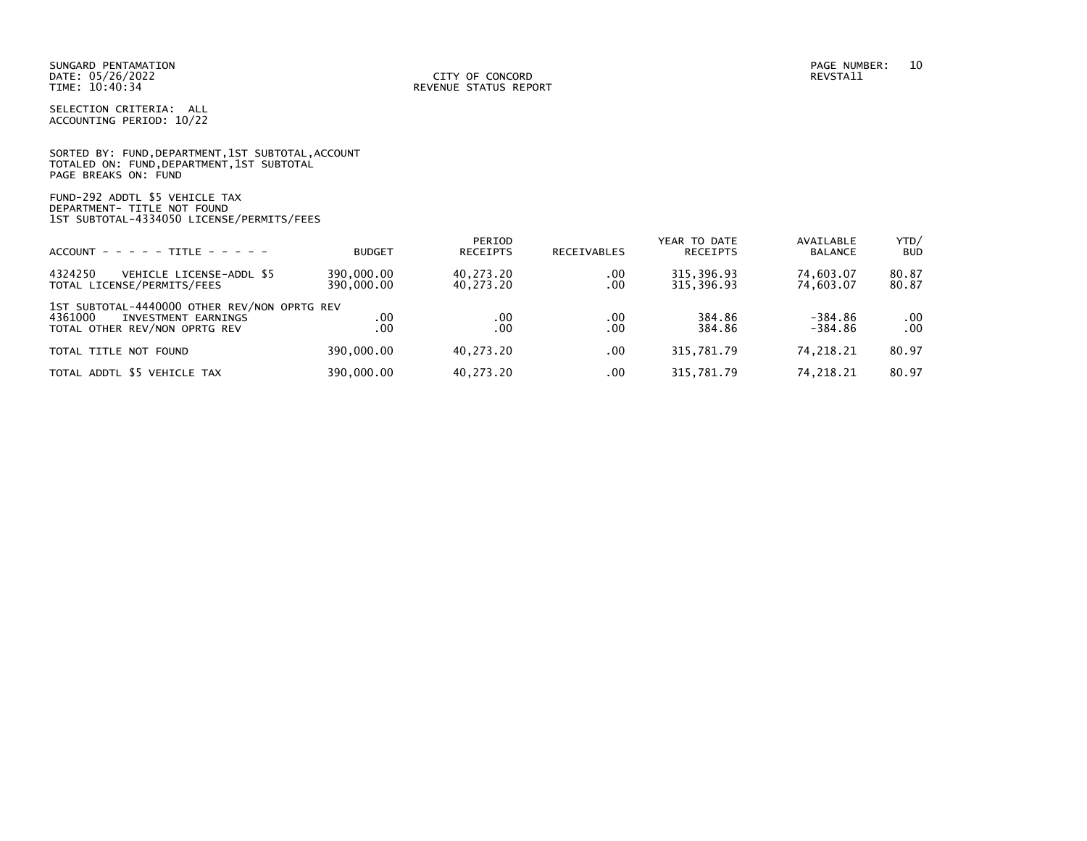|                      |  |  | SORTED BY: FUND, DEPARTMENT, 1ST SUBTOTAL, ACCOUNT |  |
|----------------------|--|--|----------------------------------------------------|--|
|                      |  |  | TOTALED ON: FUND,DEPARTMENT,1ST SUBTOTAL           |  |
| PAGE BREAKS ON: FUND |  |  |                                                    |  |

FUND-292 ADDTL \$5 VEHICLE TAX DEPARTMENT- TITLE NOT FOUND 1ST SUBTOTAL-4334050 LICENSE/PERMITS/FEES

| $ACCOUNT - - - - - TITE - - - - -$                                                                              | <b>BUDGET</b>            | PERIOD<br><b>RECEIPTS</b> | <b>RECEIVABLES</b> | YEAR TO DATE<br><b>RECEIPTS</b> | AVAILABLE<br><b>BALANCE</b> | YTD/<br><b>BUD</b> |
|-----------------------------------------------------------------------------------------------------------------|--------------------------|---------------------------|--------------------|---------------------------------|-----------------------------|--------------------|
| 4324250<br>VEHICLE LICENSE-ADDL \$5<br>TOTAL LICENSE/PERMITS/FEES                                               | 390,000.00<br>390,000.00 | 40.273.20<br>40.273.20    | .00<br>.00         | 315, 396.93<br>315.396.93       | 74,603.07<br>74.603.07      | 80.87<br>80.87     |
| 1ST SUBTOTAL-4440000 OTHER REV/NON OPRTG REV<br>4361000<br>INVESTMENT EARNINGS<br>TOTAL OTHER REV/NON OPRTG REV | .00<br>.00               | .00<br>.00                | .00<br>.00         | 384.86<br>384.86                | $-384.86$<br>$-384.86$      | .00<br>.00         |
| TOTAL TITLE NOT FOUND                                                                                           | 390,000,00               | 40.273.20                 | .00                | 315,781.79                      | 74.218.21                   | 80.97              |
| TOTAL ADDTL \$5 VEHICLE TAX                                                                                     | 390,000.00               | 40.273.20                 | .00                | 315,781.79                      | 74,218.21                   | 80.97              |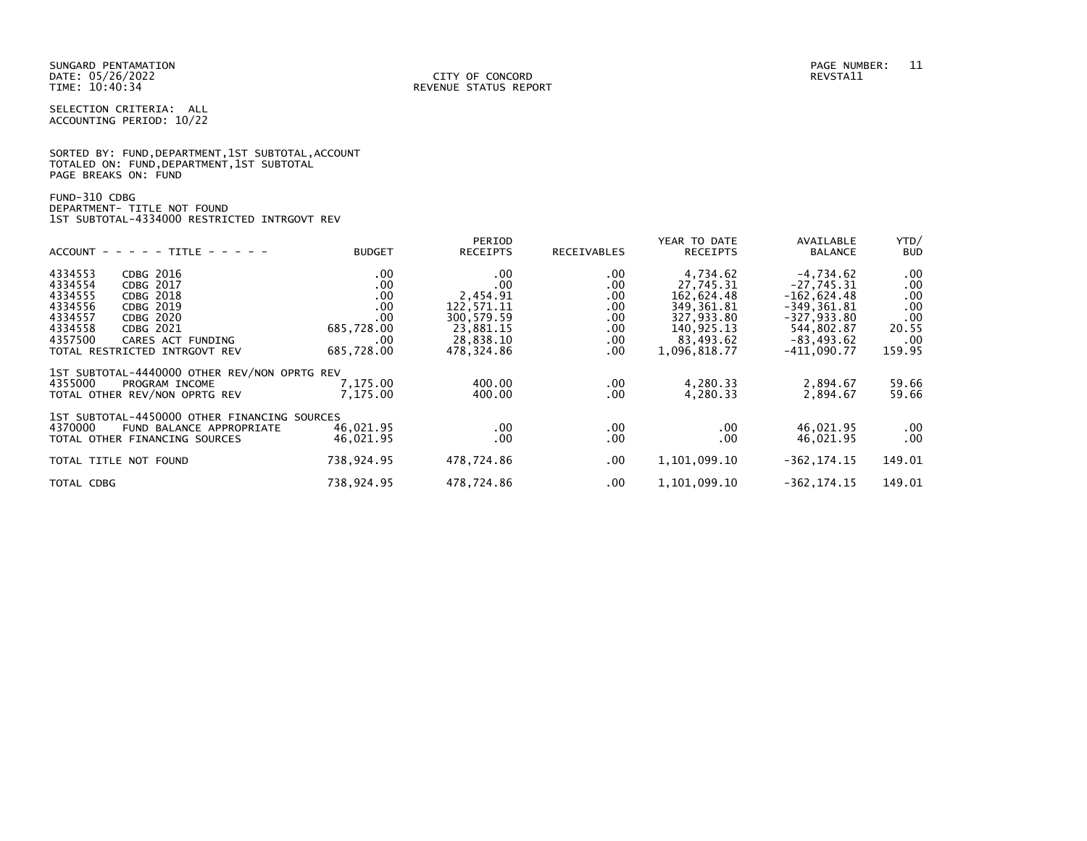|                      |  | SORTED BY: FUND, DEPARTMENT, 1ST SUBTOTAL, ACCOUNT |  |
|----------------------|--|----------------------------------------------------|--|
|                      |  | TOTALED ON: FUND, DEPARTMENT, 1ST SUBTOTAL         |  |
| PAGE BREAKS ON: FUND |  |                                                    |  |

# FUND-310 CDBG DEPARTMENT- TITLE NOT FOUND 1ST SUBTOTAL-4334000 RESTRICTED INTRGOVT REV

|                                              |               | PERIOD          |             | YEAR TO DATE    | AVAILABLE      | YTD/       |
|----------------------------------------------|---------------|-----------------|-------------|-----------------|----------------|------------|
| $ACCOUNT - - - - TITLE - - - - -$            | <b>BUDGET</b> | <b>RECEIPTS</b> | RECEIVABLES | <b>RECEIPTS</b> | <b>BALANCE</b> | <b>BUD</b> |
| 4334553<br>CDBG 2016                         | .00           | .00             | .00.        | 4,734.62        | $-4,734.62$    | .00        |
| 4334554<br>CDBG 2017                         | .00           | .00             | .00.        | 27.745.31       | $-27.745.31$   | .00        |
| 4334555<br><b>CDBG 2018</b>                  | .00           | 2,454.91        | .00.        | 162,624.48      | $-162,624.48$  | .00        |
| 4334556<br>CDBG 2019                         | .00           | 122,571.11      | .00.        | 349, 361.81     | $-349, 361.81$ | .00        |
| 4334557<br>CDBG 2020                         | .00           | 300, 579.59     | $.00 \,$    | 327,933.80      | $-327, 933.80$ | .00        |
| 4334558<br>CDBG 2021                         | 685,728.00    | 23,881.15       | $.00 \,$    | 140,925.13      | 544,802.87     | 20.55      |
| 4357500<br>CARES ACT FUNDING                 | .00.          | 28,838.10       | .00.        | 83,493.62       | $-83, 493.62$  | .00.       |
| TOTAL RESTRICTED INTRGOVT REV                | 685,728.00    | 478,324.86      | .00.        | 1,096,818.77    | -411,090.77    | 159.95     |
| 1ST SUBTOTAL-4440000 OTHER REV/NON OPRTG REV |               |                 |             |                 |                |            |
| 4355000<br>PROGRAM INCOME                    | 7,175.00      | 400.00          | $.00 \,$    | 4,280.33        | 2,894.67       | 59.66      |
| TOTAL OTHER REV/NON OPRTG REV                | 7,175.00      | 400.00          | .00.        | 4,280.33        | 2,894.67       | 59.66      |
|                                              |               |                 |             |                 |                |            |
| 1ST SUBTOTAL-4450000 OTHER FINANCING SOURCES |               |                 |             |                 |                |            |
| 4370000<br>FUND BALANCE APPROPRIATE          | 46,021.95     | .00             | .00.        | .00             | 46,021.95      | $.00 \,$   |
| TOTAL OTHER FINANCING SOURCES                | 46,021.95     | .00             | .00.        | .00.            | 46,021.95      | $.00 \,$   |
| TOTAL TITLE NOT FOUND                        | 738,924.95    | 478,724.86      | $.00 \,$    | 1,101,099.10    | $-362, 174.15$ | 149.01     |
|                                              |               |                 |             |                 |                |            |
| TOTAL CDBG                                   | 738,924.95    | 478,724.86      | $.00 \,$    | 1,101,099.10    | $-362, 174.15$ | 149.01     |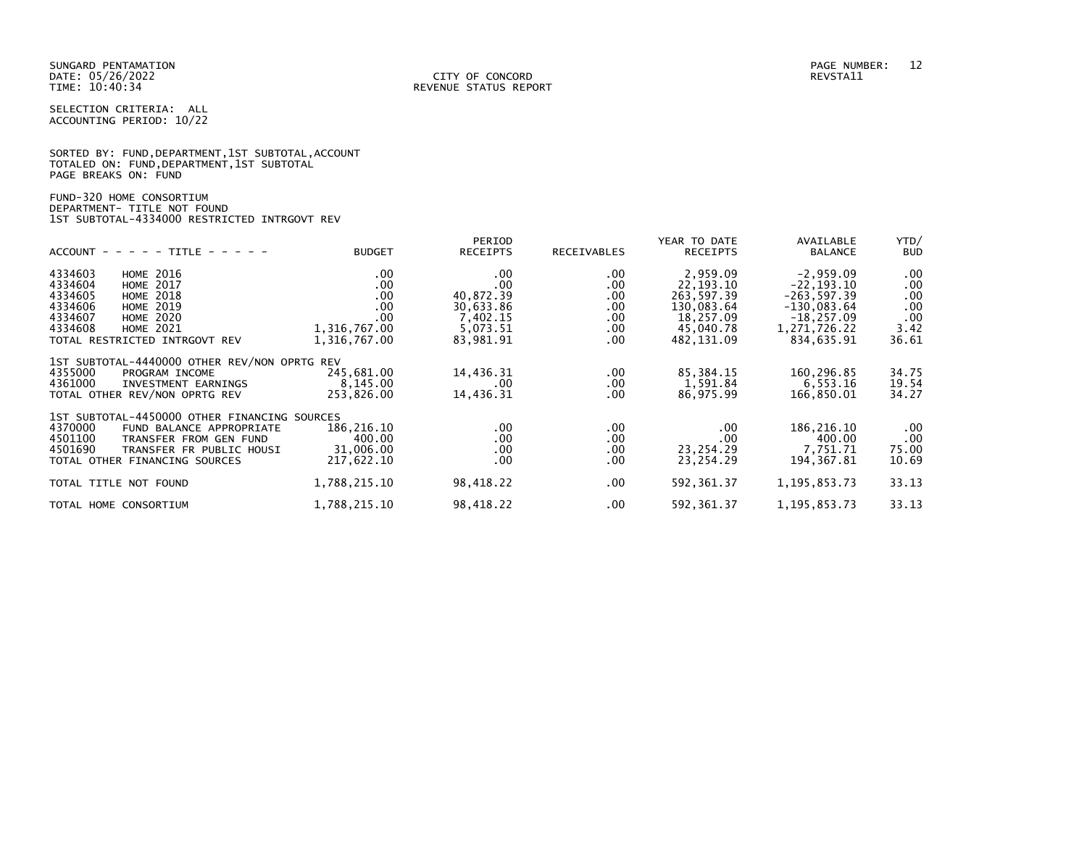|                      |  | SORTED BY: FUND, DEPARTMENT, 1ST SUBTOTAL, ACCOUNT |  |
|----------------------|--|----------------------------------------------------|--|
|                      |  | TOTALED ON: FUND, DEPARTMENT, 1ST SUBTOTAL         |  |
| PAGE BREAKS ON: FUND |  |                                                    |  |

# FUND-320 HOME CONSORTIUM DEPARTMENT- TITLE NOT FOUND 1ST SUBTOTAL-4334000 RESTRICTED INTRGOVT REV

| $ACCOUNT$ - - - - - TITLE - - - - -                                                                                                                                                                                     | <b>BUDGET</b>                                                               | PERIOD<br><b>RECEIPTS</b>                                                      | RECEIVABLES                                                        | YEAR TO DATE<br><b>RECEIPTS</b>                                                             | AVAILABLE<br><b>BALANCE</b>                                                                                    | YTD/<br><b>BUD</b>                                    |
|-------------------------------------------------------------------------------------------------------------------------------------------------------------------------------------------------------------------------|-----------------------------------------------------------------------------|--------------------------------------------------------------------------------|--------------------------------------------------------------------|---------------------------------------------------------------------------------------------|----------------------------------------------------------------------------------------------------------------|-------------------------------------------------------|
| 4334603<br><b>HOME 2016</b><br>4334604<br><b>HOME 2017</b><br>4334605<br><b>HOME 2018</b><br>4334606<br><b>HOME 2019</b><br>4334607<br><b>HOME 2020</b><br>4334608<br><b>HOME 2021</b><br>TOTAL RESTRICTED INTRGOVT REV | $.00 \,$<br>.00.<br>$.00 \,$<br>.00.<br>.00<br>1,316,767.00<br>1,316,767.00 | $.00 \,$<br>.00<br>40,872.39<br>30,633.86<br>7,402.15<br>5,073.51<br>83,981.91 | .00<br>$.00 \,$<br>$.00 \,$<br>$.00 \,$<br>.00<br>$.00 \,$<br>.00. | 2,959.09<br>22, 193. 10<br>263,597.39<br>130,083.64<br>18,257.09<br>45,040.78<br>482,131.09 | $-2,959.09$<br>$-22, 193.10$<br>$-263, 597.39$<br>$-130,083.64$<br>$-18, 257.09$<br>1,271,726.22<br>834,635.91 | $.00 \,$<br>.00<br>.00<br>.00<br>.00<br>3.42<br>36.61 |
| 1ST SUBTOTAL-4440000 OTHER REV/NON OPRTG REV<br>4355000<br>PROGRAM INCOME<br>4361000<br>INVESTMENT EARNINGS<br>TOTAL OTHER REV/NON OPRTG REV                                                                            | 245,681.00<br>8.145.00<br>253,826.00                                        | 14,436.31<br>$.00 \,$<br>14,436.31                                             | $.00 \,$<br>$.00 \,$<br>.00.                                       | 85,384.15<br>1,591.84<br>86,975.99                                                          | 160,296.85<br>6,553.16<br>166,850.01                                                                           | 34.75<br>19.54<br>34.27                               |
| 1ST SUBTOTAL-4450000 OTHER FINANCING SOURCES<br>4370000<br>FUND BALANCE APPROPRIATE<br>4501100<br>TRANSFER FROM GEN FUND<br>4501690<br>TRANSFER FR PUBLIC HOUSI<br>TOTAL OTHER FINANCING SOURCES                        | 186,216.10<br>400.00<br>31,006.00<br>217,622.10                             | $.00 \,$<br>.00<br>$.00 \,$<br>.00 <sub>1</sub>                                | .00.<br>.00<br>.00.<br>.00                                         | $.00 \,$<br>.00<br>23,254.29<br>23,254.29                                                   | 186, 216.10<br>400.00<br>7.751.71<br>194, 367.81                                                               | .00<br>.00<br>75.00<br>10.69                          |
| TOTAL TITLE NOT FOUND                                                                                                                                                                                                   | 1,788,215.10                                                                | 98,418.22                                                                      | .00.                                                               | 592, 361.37                                                                                 | 1, 195, 853. 73                                                                                                | 33.13                                                 |
| TOTAL HOME CONSORTIUM                                                                                                                                                                                                   | 1,788,215.10                                                                | 98,418.22                                                                      | .00                                                                | 592, 361.37                                                                                 | 1, 195, 853. 73                                                                                                | 33.13                                                 |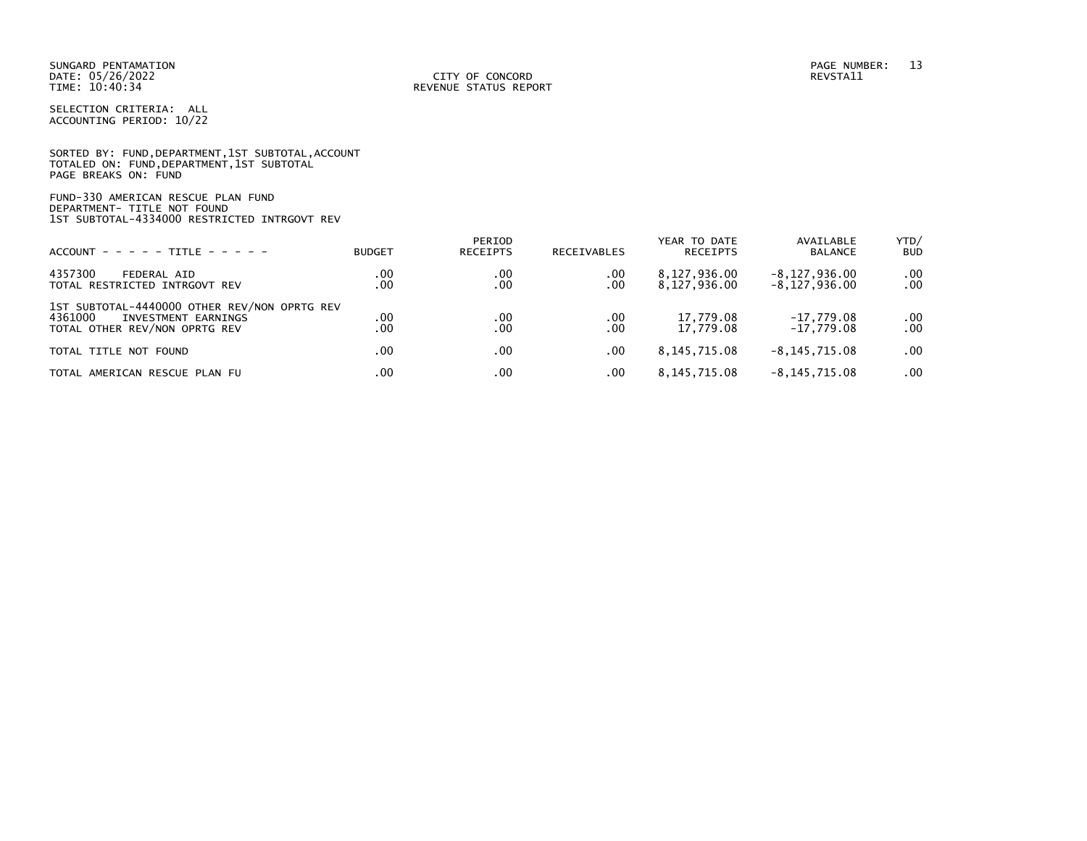|                      | SORTED BY: FUND, DEPARTMENT, 1ST SUBTOTAL, ACCOUNT |  |  |
|----------------------|----------------------------------------------------|--|--|
|                      | TOTALED ON: FUND, DEPARTMENT, 1ST SUBTOTAL         |  |  |
| PAGE BREAKS ON: FUND |                                                    |  |  |

FUND-330 AMERICAN RESCUE PLAN FUND DEPARTMENT- TITLE NOT FOUND 1ST SUBTOTAL-4334000 RESTRICTED INTRGOVT REV

| $ACCOUNT - - - - - TITE - - - - -$                                                                              | <b>BUDGET</b> | PERIOD<br>RECEIPTS | RECEIVABLES | YEAR TO DATE<br>RECEIPTS     | AVAILABLE<br>BALANCE                   | YTD/<br><b>BUD</b>   |
|-----------------------------------------------------------------------------------------------------------------|---------------|--------------------|-------------|------------------------------|----------------------------------------|----------------------|
| 4357300<br>FEDERAL AID<br>TOTAL RESTRICTED INTRGOVT REV                                                         | .00<br>.00    | .00<br>.00         | .00<br>.00  | 8,127,936.00<br>8,127,936.00 | $-8, 127, 936.00$<br>$-8, 127, 936.00$ | $.00 \,$<br>$.00 \,$ |
| 1ST SUBTOTAL-4440000 OTHER REV/NON OPRTG REV<br>4361000<br>INVESTMENT EARNINGS<br>TOTAL OTHER REV/NON OPRTG REV | .00<br>.00    | .00<br>.00         | .00<br>.00  | 17.779.08<br>17.779.08       | $-17.779.08$<br>$-17.779.08$           | $.00 \,$<br>.00      |
| TOTAL TITLE NOT FOUND                                                                                           | .00           | .00                | .00         | 8, 145, 715.08               | $-8.145.715.08$                        | $.00 \cdot$          |
| TOTAL AMERICAN RESCUE PLAN FU                                                                                   | .00           | .00                | .00         | 8,145,715.08                 | $-8, 145, 715.08$                      | $.00 \,$             |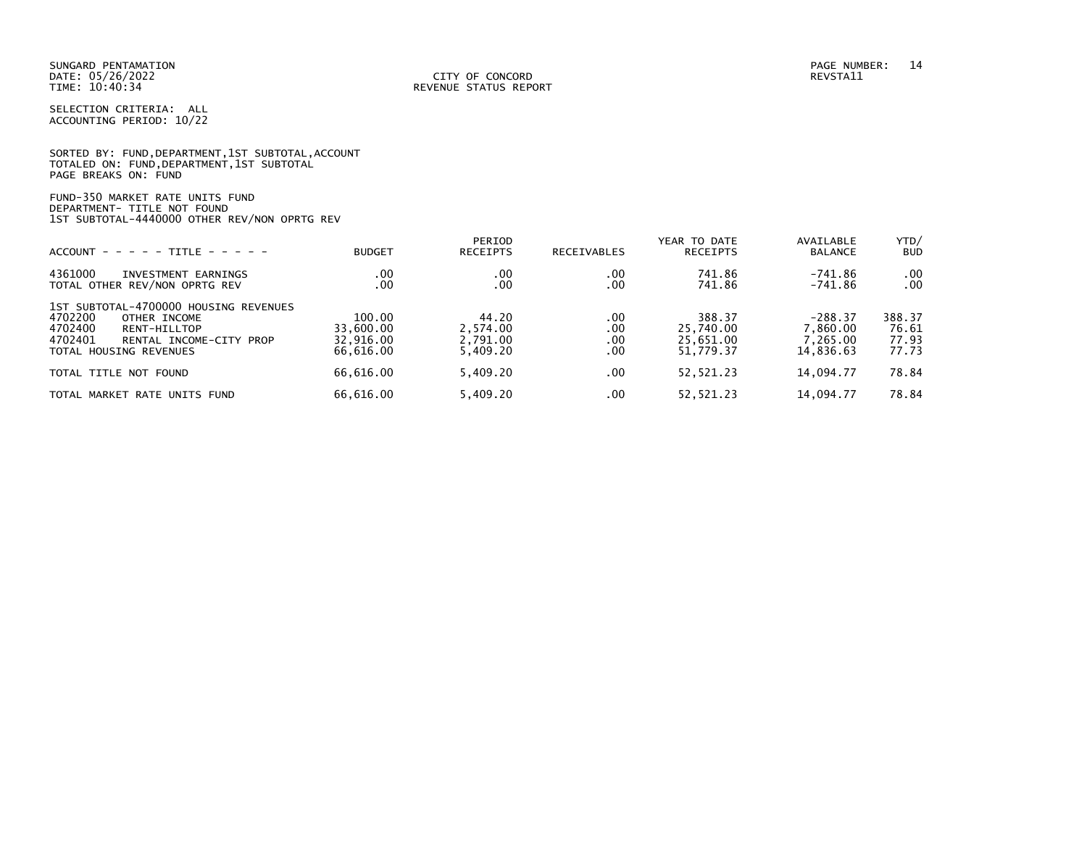|                      | SORTED BY: FUND, DEPARTMENT, 1ST SUBTOTAL, ACCOUNT |  |
|----------------------|----------------------------------------------------|--|
|                      | TOTALED ON: FUND,DEPARTMENT,1ST SUBTOTAL           |  |
| PAGE BREAKS ON: FUND |                                                    |  |

FUND-350 MARKET RATE UNITS FUND DEPARTMENT- TITLE NOT FOUND 1ST SUBTOTAL-4440000 OTHER REV/NON OPRTG REV

| $ACCOUNT - - - - - TITE - - - - -$                                                                                                                          | <b>BUDGET</b>                                 | PERIOD<br><b>RECEIPTS</b>                 | RECEIVABLES              | YEAR TO DATE<br>RECEIPTS                      | AVAILABLE<br><b>BALANCE</b>                    | YTD/<br><b>BUD</b>                |
|-------------------------------------------------------------------------------------------------------------------------------------------------------------|-----------------------------------------------|-------------------------------------------|--------------------------|-----------------------------------------------|------------------------------------------------|-----------------------------------|
| 4361000<br>INVESTMENT EARNINGS<br>TOTAL OTHER REV/NON OPRTG REV                                                                                             | .00<br>.00                                    | .00<br>.00                                | .00<br>.00               | 741.86<br>741.86                              | -741.86<br>$-741.86$                           | .00<br>.00                        |
| 1ST SUBTOTAL-4700000 HOUSING REVENUES<br>4702200<br>OTHER INCOME<br>4702400<br>RENT-HILLTOP<br>4702401<br>RENTAL INCOME-CITY PROP<br>TOTAL HOUSING REVENUES | 100.00<br>33.600.00<br>32.916.00<br>66.616.00 | 44.20<br>2.574.00<br>2,791.00<br>5.409.20 | .00<br>.00<br>.00<br>.00 | 388.37<br>25,740.00<br>25,651.00<br>51.779.37 | $-288.37$<br>7,860.00<br>7.265.00<br>14.836.63 | 388.37<br>76.61<br>77.93<br>77.73 |
| TOTAL TITLE NOT FOUND                                                                                                                                       | 66.616.00                                     | 5.409.20                                  | .00                      | 52,521.23                                     | 14.094.77                                      | 78.84                             |
| TOTAL MARKET<br>RATE UNITS FUND .                                                                                                                           | 66.616.00                                     | 5.409.20                                  | .00                      | 52.521.23                                     | 14.094.77                                      | 78.84                             |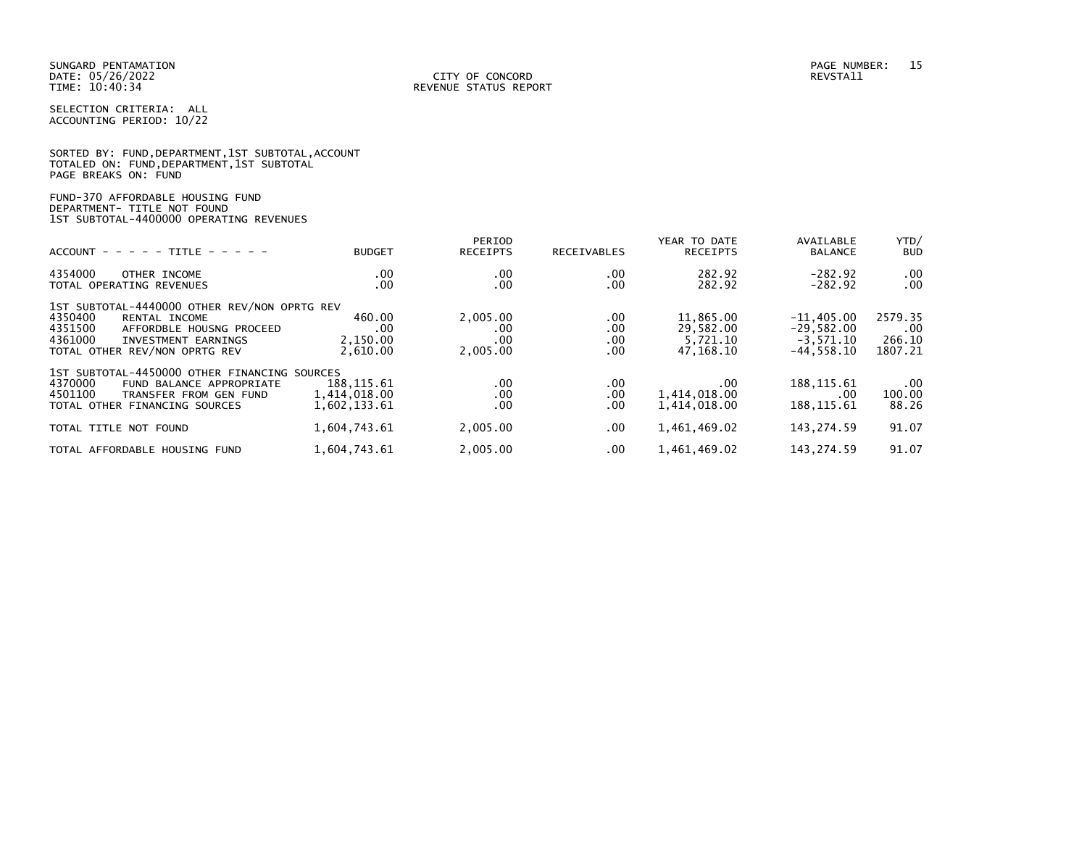PAGE BREAKS ON: FUND

SELECTION CRITERIA: ALL ACCOUNTING PERIOD: 10/22

SORTED BY: FUND,DEPARTMENT,1ST SUBTOTAL,ACCOUNT TOTALED ON: FUND,DEPARTMENT,1ST SUBTOTAL

| FUND-370 AFFORDABLE HOUSING FUND<br>DEPARTMENT- TITLE NOT FOUND<br>1ST SUBTOTAL-4400000 OPERATING REVENUES                                                                         |                                             |                                    |                                      |                                                 |                                                             |                                     |
|------------------------------------------------------------------------------------------------------------------------------------------------------------------------------------|---------------------------------------------|------------------------------------|--------------------------------------|-------------------------------------------------|-------------------------------------------------------------|-------------------------------------|
| TITLE $- - - - -$<br>$ACCOUNT - - - - -$                                                                                                                                           | <b>BUDGET</b>                               | PERIOD<br><b>RECEIPTS</b>          | <b>RECEIVABLES</b>                   | YEAR TO DATE<br><b>RECEIPTS</b>                 | AVAILABLE<br><b>BALANCE</b>                                 | YTD/<br><b>BUD</b>                  |
| 4354000<br>OTHER INCOME<br>TOTAL OPERATING REVENUES                                                                                                                                | $.00 \,$<br>.00                             | .00<br>.00                         | $.00 \,$<br>.00.                     | 282.92<br>282.92                                | $-282.92$<br>$-282.92$                                      | .00<br>.00                          |
| 1ST SUBTOTAL-4440000 OTHER REV/NON OPRTG REV<br>4350400<br>RENTAL INCOME<br>4351500<br>AFFORDBLE HOUSNG PROCEED<br>4361000<br>INVESTMENT EARNINGS<br>TOTAL OTHER REV/NON OPRTG REV | 460.00<br>.00<br>2,150.00<br>2,610.00       | 2,005.00<br>.00<br>.00<br>2,005.00 | .00.<br>$.00 \,$<br>$.00 \,$<br>.00. | 11,865.00<br>29,582.00<br>5,721.10<br>47,168.10 | $-11,405.00$<br>$-29,582.00$<br>$-3,571.10$<br>$-44,558.10$ | 2579.35<br>.00<br>266.10<br>1807.21 |
| 1ST SUBTOTAL-4450000 OTHER FINANCING SOURCES<br>4370000<br>FUND BALANCE APPROPRIATE<br>4501100<br>TRANSFER FROM GEN FUND<br>TOTAL OTHER FINANCING SOURCES                          | 188, 115.61<br>1,414,018.00<br>1,602,133.61 | .00<br>.00<br>.00                  | .00.<br>.00<br>.00                   | $.00 \,$<br>1,414,018.00<br>1,414,018.00        | 188, 115.61<br>$.00 \cdot$<br>188, 115.61                   | .00<br>100.00<br>88.26              |
| TOTAL TITLE NOT FOUND                                                                                                                                                              | 1,604,743.61                                | 2,005.00                           | $.00 \,$                             | 1,461,469.02                                    | 143,274.59                                                  | 91.07                               |
| TOTAL AFFORDABLE HOUSING FUND                                                                                                                                                      | 1,604,743.61                                | 2,005.00                           | .00.                                 | 1,461,469.02                                    | 143, 274.59                                                 | 91.07                               |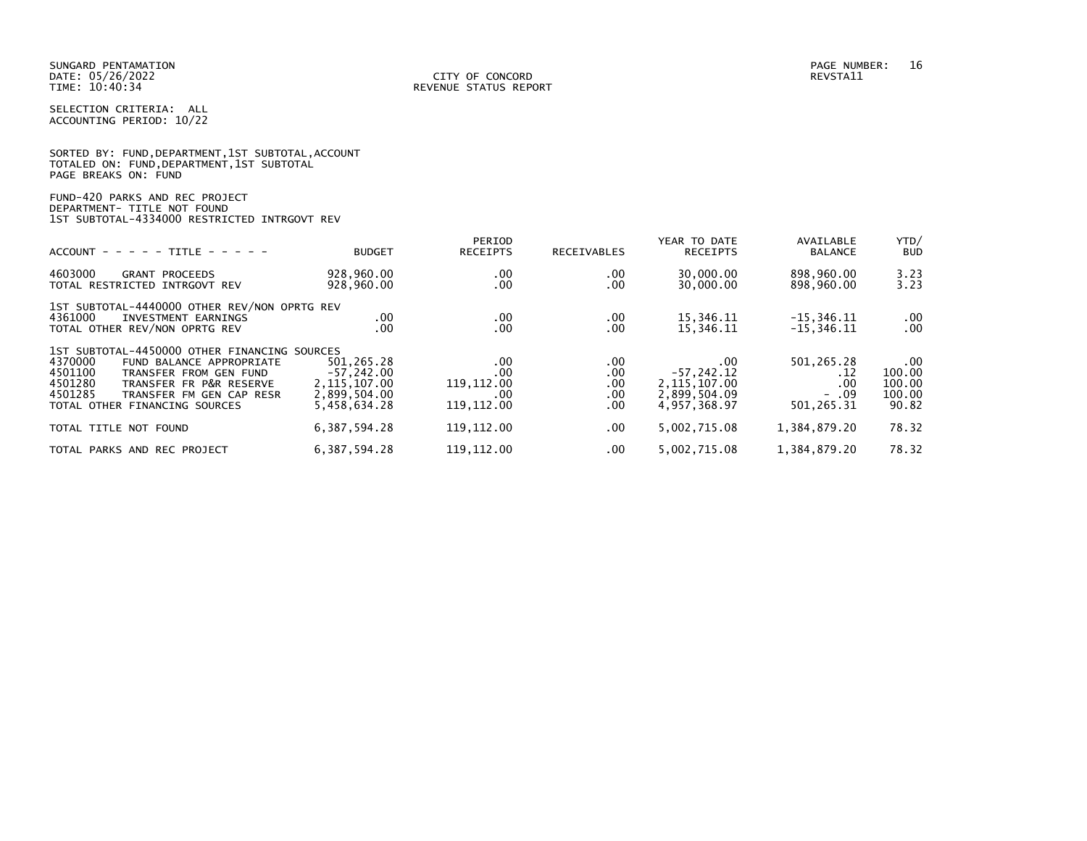|                      |  |  | SORTED BY: FUND, DEPARTMENT, 1ST SUBTOTAL, ACCOUNT |  |
|----------------------|--|--|----------------------------------------------------|--|
|                      |  |  | TOTALED ON: FUND,DEPARTMENT,1ST SUBTOTAL           |  |
| PAGE BREAKS ON: FUND |  |  |                                                    |  |

# FUND-420 PARKS AND REC PROJECT DEPARTMENT- TITLE NOT FOUND 1ST SUBTOTAL-4334000 RESTRICTED INTRGOVT REV

|                                              |                 | PERIOD          |             | YEAR TO DATE    | AVAILABLE      | YTD/       |
|----------------------------------------------|-----------------|-----------------|-------------|-----------------|----------------|------------|
| $ACCOUNT - - - - TITLE - - - - -$            | <b>BUDGET</b>   | <b>RECEIPTS</b> | RECEIVABLES | <b>RECEIPTS</b> | <b>BALANCE</b> | <b>BUD</b> |
| 4603000<br><b>GRANT PROCEEDS</b>             | 928,960.00      | .00             | .00         | 30,000.00       | 898,960.00     | 3.23       |
| TOTAL RESTRICTED INTRGOVT REV                | 928,960.00      | .00             | .00         | 30,000.00       | 898,960.00     | 3.23       |
| 1ST SUBTOTAL-4440000 OTHER REV/NON OPRTG REV |                 |                 |             |                 |                |            |
| 4361000<br>INVESTMENT EARNINGS               | .00.            | $.00 \,$        | .00         | 15,346.11       | $-15, 346.11$  | $.00 \,$   |
| TOTAL OTHER REV/NON OPRTG REV                | $.00 \,$        | .00             | .00         | 15,346.11       | $-15, 346.11$  | .00        |
| 1ST SUBTOTAL-4450000 OTHER FINANCING SOURCES |                 |                 |             |                 |                |            |
| 4370000<br>FUND BALANCE APPROPRIATE          | 501.265.28      | .00             | .00         | .00             | 501, 265.28    | $.00 \,$   |
| 4501100<br>TRANSFER FROM GEN FUND            | $-57.242.00$    | .00             | .00         | $-57, 242.12$   | . 12           | 100.00     |
| 4501280<br>TRANSFER FR P&R RESERVE           | 2, 115, 107.00  | 119, 112.00     | .00         | 2,115,107.00    | .00            | 100.00     |
| 4501285<br>TRANSFER FM GEN CAP RESR          | 2,899,504.00    | .00             | .00         | 2,899,504.09    | $-0.09$        | 100.00     |
| TOTAL OTHER FINANCING SOURCES                | 5,458,634.28    | 119, 112.00     | .00         | 4.957.368.97    | 501, 265.31    | 90.82      |
| TOTAL TITLE NOT FOUND                        | 6, 387, 594. 28 | 119, 112.00     | .00         | 5,002,715.08    | 1,384,879.20   | 78.32      |
| TOTAL PARKS AND REC PROJECT                  | 6, 387, 594. 28 | 119.112.00      | .00         | 5.002.715.08    | 1,384,879.20   | 78.32      |
|                                              |                 |                 |             |                 |                |            |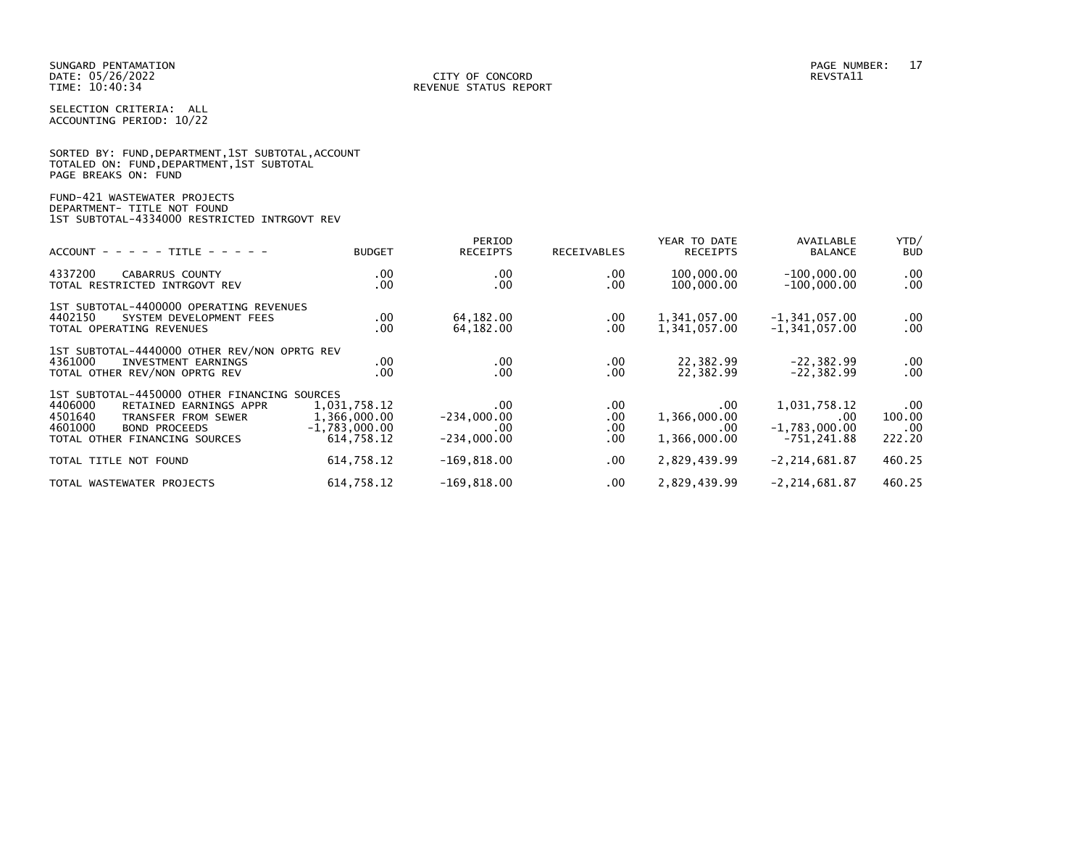|                      |  |  | SORTED BY: FUND, DEPARTMENT, 1ST SUBTOTAL, ACCOUNT |  |
|----------------------|--|--|----------------------------------------------------|--|
|                      |  |  | TOTALED ON: FUND,DEPARTMENT,1ST SUBTOTAL           |  |
| PAGE BREAKS ON: FUND |  |  |                                                    |  |

# FUND-421 WASTEWATER PROJECTS DEPARTMENT- TITLE NOT FOUND 1ST SUBTOTAL-4334000 RESTRICTED INTRGOVT REV

| $ACCOUNT - - - - - TITLE - - - - -$                                                                                                                                                     | <b>BUDGET</b>                                                 | PERIOD<br><b>RECEIPTS</b>                     | RECEIVABLES                      | YEAR TO DATE<br><b>RECEIPTS</b>             | AVAILABLE<br><b>BALANCE</b>                                | YTD/<br><b>BUD</b>                  |
|-----------------------------------------------------------------------------------------------------------------------------------------------------------------------------------------|---------------------------------------------------------------|-----------------------------------------------|----------------------------------|---------------------------------------------|------------------------------------------------------------|-------------------------------------|
| 4337200<br><b>CABARRUS COUNTY</b><br>TOTAL RESTRICTED INTRGOVT REV                                                                                                                      | $.00 \,$<br>.00                                               | $.00 \,$<br>.00                               | .00.<br>.00.                     | 100,000.00<br>100,000.00                    | $-100,000.00$<br>$-100.000.00$                             | $.00 \,$<br>$.00 \,$                |
| 1ST SUBTOTAL-4400000 OPERATING REVENUES<br>4402150<br>SYSTEM DEVELOPMENT FEES<br>TOTAL OPERATING REVENUES                                                                               | $.00 \,$<br>.00                                               | 64,182.00<br>64,182.00                        | $.00 \,$<br>.00.                 | 1,341,057.00<br>1,341,057.00                | $-1,341,057.00$<br>$-1, 341, 057.00$                       | $.00 \,$<br>$.00 \,$                |
| 1ST SUBTOTAL-4440000 OTHER REV/NON OPRTG REV<br>4361000<br>INVESTMENT EARNINGS<br>TOTAL OTHER REV/NON OPRTG REV                                                                         | .00<br>.00                                                    | $.00 \,$<br>$.00 \times$                      | .00<br>.00                       | 22,382.99<br>22,382.99                      | $-22, 382.99$<br>$-22.382.99$                              | $.00 \,$<br>$.00 \,$                |
| 1ST SUBTOTAL-4450000 OTHER FINANCING SOURCES<br>4406000<br>RETAINED EARNINGS APPR<br>4501640<br>TRANSFER FROM SEWER<br>4601000<br><b>BOND PROCEEDS</b><br>TOTAL OTHER FINANCING SOURCES | 1,031,758.12<br>1,366,000.00<br>$-1,783,000.00$<br>614.758.12 | .00.<br>$-234,000.00$<br>.00<br>$-234,000.00$ | .00.<br>.00.<br>.00.<br>$.00 \,$ | .00.<br>1,366,000.00<br>.00<br>1,366,000.00 | 1,031,758.12<br>$.00 \,$<br>$-1,783,000.00$<br>-751.241.88 | $.00 \,$<br>100.00<br>.00<br>222.20 |
| TOTAL TITLE NOT FOUND                                                                                                                                                                   | 614,758.12                                                    | $-169, 818.00$                                | .00.                             | 2,829,439.99                                | $-2, 214, 681.87$                                          | 460.25                              |
| TOTAL WASTEWATER PROJECTS                                                                                                                                                               | 614,758.12                                                    | $-169, 818.00$                                | .00.                             | 2,829,439.99                                | $-2, 214, 681.87$                                          | 460.25                              |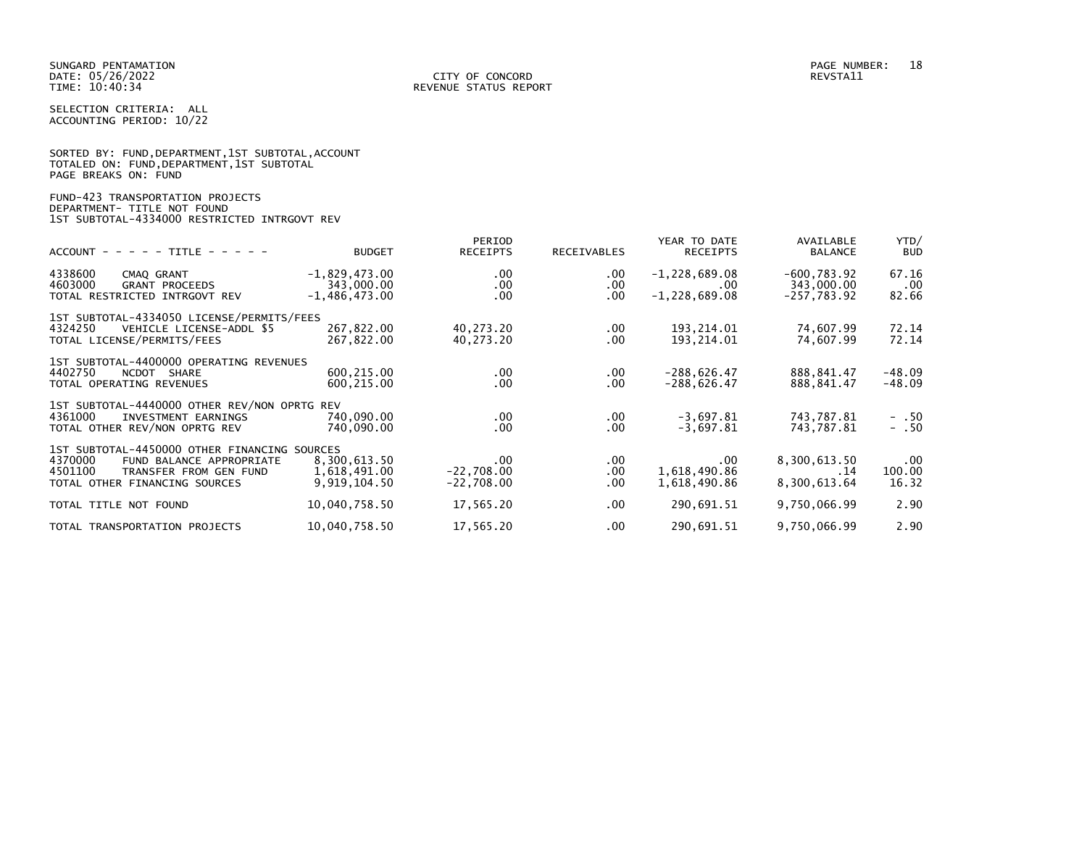|                      |  |  | SORTED BY: FUND, DEPARTMENT, 1ST SUBTOTAL, ACCOUNT |  |
|----------------------|--|--|----------------------------------------------------|--|
|                      |  |  | TOTALED ON: FUND,DEPARTMENT,1ST SUBTOTAL           |  |
| PAGE BREAKS ON: FUND |  |  |                                                    |  |

# FUND-423 TRANSPORTATION PROJECTS DEPARTMENT- TITLE NOT FOUND 1ST SUBTOTAL-4334000 RESTRICTED INTRGOVT REV

| $ACCOUNT - - - - - TITLE - - - - -$                                                                                                                       | <b>BUDGET</b>                                    | PERIOD<br><b>RECEIPTS</b>                | <b>RECEIVABLES</b>          | YEAR TO DATE<br><b>RECEIPTS</b>                    | AVAILABLE<br><b>BALANCE</b>                   | YTD/<br><b>BUD</b>          |
|-----------------------------------------------------------------------------------------------------------------------------------------------------------|--------------------------------------------------|------------------------------------------|-----------------------------|----------------------------------------------------|-----------------------------------------------|-----------------------------|
| 4338600<br>CMAQ GRANT<br>4603000<br><b>GRANT PROCEEDS</b><br>TOTAL RESTRICTED INTRGOVT REV                                                                | $-1,829,473.00$<br>343,000.00<br>$-1,486,473.00$ | $.00 \,$<br>$.00 \,$<br>$.00 \,$         | $.00 \,$<br>.00<br>$.00 \,$ | $-1,228,689.08$<br>$.00 \times$<br>$-1,228,689.08$ | $-600, 783.92$<br>343,000.00<br>$-257,783.92$ | 67.16<br>$.00 \,$<br>82.66  |
| 1ST SUBTOTAL-4334050 LICENSE/PERMITS/FEES<br>4324250<br>VEHICLE LICENSE-ADDL \$5<br>TOTAL LICENSE/PERMITS/FEES                                            | 267,822.00<br>267,822.00                         | 40,273.20<br>40,273.20                   | $.00 \,$<br>.00             | 193,214.01<br>193,214.01                           | 74,607.99<br>74,607.99                        | 72.14<br>72.14              |
| 1ST SUBTOTAL-4400000 OPERATING REVENUES<br>4402750<br>NCDOT<br>SHARE<br>TOTAL OPERATING REVENUES                                                          | 600,215.00<br>600,215.00                         | $.00 \cdot$<br>$.00 \,$                  | $.00 \,$<br>.00             | $-288,626.47$<br>$-288,626.47$                     | 888,841.47<br>888,841.47                      | -48.09<br>$-48.09$          |
| 1ST SUBTOTAL-4440000 OTHER REV/NON OPRTG REV<br>4361000<br>INVESTMENT EARNINGS<br>TOTAL OTHER REV/NON OPRTG REV                                           | 740,090.00<br>740,090.00                         | $.00 \cdot$<br>$.00 \,$                  | $.00 \,$<br>.00             | $-3,697.81$<br>$-3,697.81$                         | 743,787.81<br>743,787.81                      | $- .50$<br>$- .50$          |
| 1ST SUBTOTAL-4450000 OTHER FINANCING SOURCES<br>4370000<br>FUND BALANCE APPROPRIATE<br>4501100<br>TRANSFER FROM GEN FUND<br>TOTAL OTHER FINANCING SOURCES | 8,300,613.50<br>1,618,491.00<br>9,919,104.50     | $.00 \,$<br>$-22,708.00$<br>$-22,708.00$ | $.00 \,$<br>.00<br>$.00 \,$ | $.00 \,$<br>1,618,490.86<br>1,618,490.86           | 8,300,613.50<br>. 14<br>8,300,613.64          | $.00 \,$<br>100.00<br>16.32 |
| TOTAL TITLE NOT FOUND                                                                                                                                     | 10,040,758.50                                    | 17,565.20                                | $.00 \,$                    | 290,691.51                                         | 9,750,066.99                                  | 2.90                        |
| TOTAL TRANSPORTATION PROJECTS                                                                                                                             | 10,040,758.50                                    | 17,565.20                                | $.00 \,$                    | 290,691.51                                         | 9,750,066.99                                  | 2.90                        |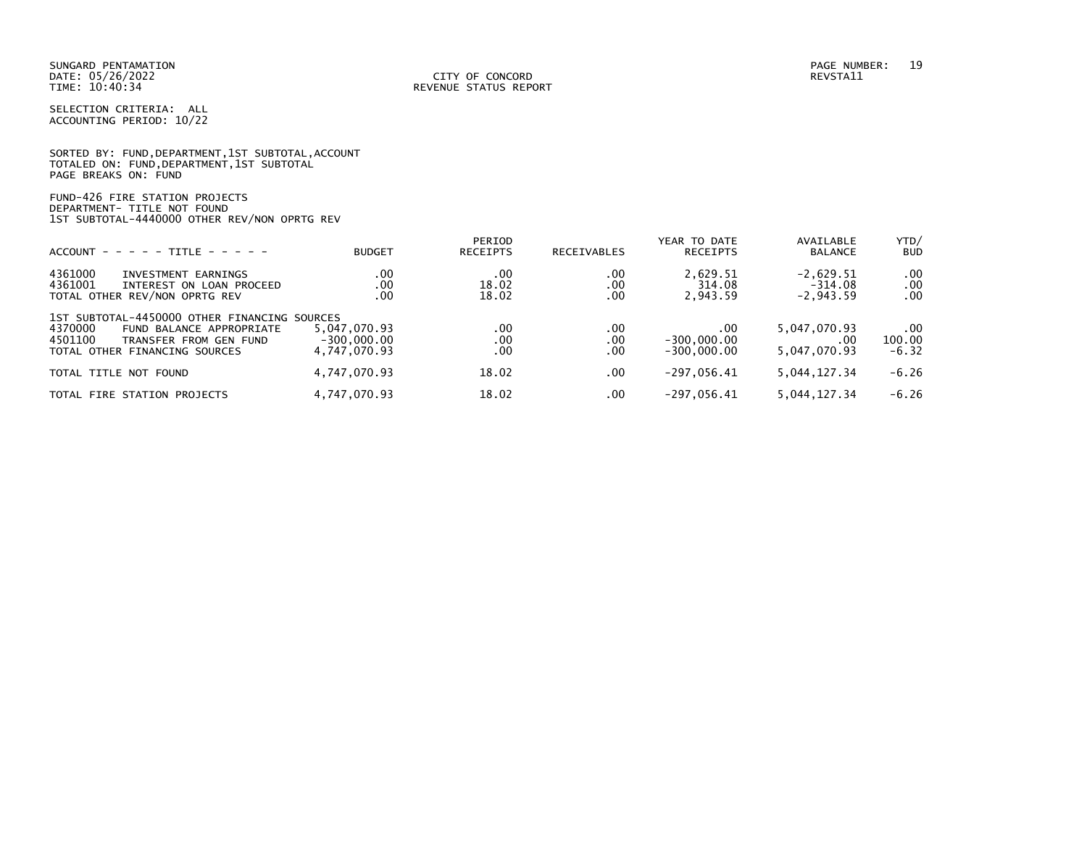|                      |  |  | SORTED BY: FUND, DEPARTMENT, 1ST SUBTOTAL, ACCOUNT |  |
|----------------------|--|--|----------------------------------------------------|--|
|                      |  |  | TOTALED ON: FUND, DEPARTMENT, 1ST SUBTOTAL         |  |
| PAGE BREAKS ON: FUND |  |  |                                                    |  |

FUND-426 FIRE STATION PROJECTS DEPARTMENT- TITLE NOT FOUND 1ST SUBTOTAL-4440000 OTHER REV/NON OPRTG REV

| $ACCOUNT - - - - - TITE - - - - -$                                                                                                                        | <b>BUDGET</b>                                 | PERIOD<br><b>RECEIPTS</b> | RECEIVABLES       | YEAR TO DATE<br><b>RECEIPTS</b>       | AVAILABLE<br><b>BALANCE</b>             | YTD/<br><b>BUD</b>       |
|-----------------------------------------------------------------------------------------------------------------------------------------------------------|-----------------------------------------------|---------------------------|-------------------|---------------------------------------|-----------------------------------------|--------------------------|
| 4361000<br>INVESTMENT EARNINGS<br>4361001<br>INTEREST ON LOAN PROCEED<br>TOTAL OTHER REV/NON OPRTG REV                                                    | .00<br>.00<br>.00                             | .00<br>18.02<br>18.02     | .00<br>.00<br>.00 | 2,629.51<br>314.08<br>2,943.59        | $-2,629.51$<br>$-314.08$<br>$-2,943.59$ | .00<br>.00<br>.00        |
| 1ST SUBTOTAL-4450000 OTHER FINANCING SOURCES<br>4370000<br>FUND BALANCE APPROPRIATE<br>4501100<br>TRANSFER FROM GEN FUND<br>TOTAL OTHER FINANCING SOURCES | 5,047,070.93<br>$-300.000.00$<br>4,747,070.93 | .00<br>.00<br>.00         | .00<br>.00<br>.00 | .00<br>$-300,000.00$<br>$-300,000,00$ | 5,047,070.93<br>.00<br>5,047,070.93     | .00<br>100.00<br>$-6.32$ |
| TOTAL TITLE NOT FOUND                                                                                                                                     | 4,747,070.93                                  | 18.02                     | .00               | $-297.056.41$                         | 5,044,127.34                            | $-6.26$                  |
| TOTAL FIRE STATION PROJECTS                                                                                                                               | 4,747,070.93                                  | 18.02                     | .00               | $-297.056.41$                         | 5,044,127.34                            | $-6.26$                  |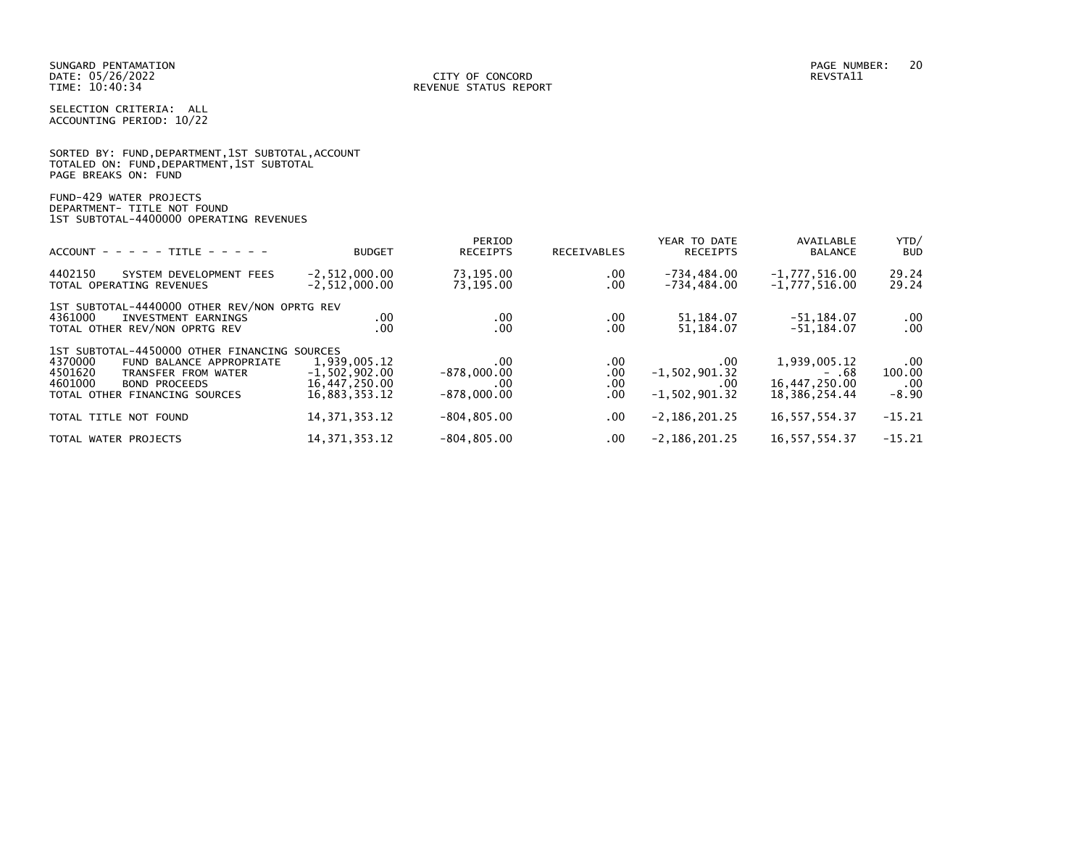|                      |  |  | SORTED BY: FUND, DEPARTMENT, 1ST SUBTOTAL, ACCOUNT |  |
|----------------------|--|--|----------------------------------------------------|--|
|                      |  |  | TOTALED ON: FUND, DEPARTMENT, 1ST SUBTOTAL         |  |
| PAGE BREAKS ON: FUND |  |  |                                                    |  |

FUND-429 WATER PROJECTS DEPARTMENT- TITLE NOT FOUND 1ST SUBTOTAL-4400000 OPERATING REVENUES

| $ACCOUNT - - - - + TITE - - - - -$                                                                                                                                                        | <b>BUDGET</b>                                                     | PERIOD<br><b>RECEIPTS</b>                    | <b>RECEIVABLES</b>        | YEAR TO DATE<br><b>RECEIPTS</b>                    | AVAILABLE<br><b>BALANCE</b>                                | YTD/<br><b>BUD</b>                          |
|-------------------------------------------------------------------------------------------------------------------------------------------------------------------------------------------|-------------------------------------------------------------------|----------------------------------------------|---------------------------|----------------------------------------------------|------------------------------------------------------------|---------------------------------------------|
| 4402150<br>SYSTEM DEVELOPMENT FEES<br>TOTAL OPERATING REVENUES                                                                                                                            | $-2, 512, 000.00$<br>$-2, 512, 000.00$                            | 73,195.00<br>73.195.00                       | .00.<br>.00               | $-734, 484.00$<br>$-734, 484.00$                   | $-1,777,516.00$<br>$-1,777,516.00$                         | 29.24<br>29.24                              |
| 1ST SUBTOTAL-4440000 OTHER REV/NON OPRTG REV<br>4361000<br>INVESTMENT EARNINGS<br>TOTAL OTHER REV/NON OPRTG REV                                                                           | .00<br>.00                                                        | .00<br>.00                                   | $.00 \,$<br>.00           | 51, 184.07<br>51, 184.07                           | $-51.184.07$<br>$-51.184.07$                               | $\begin{array}{c} 0.00 \\ -0.0 \end{array}$ |
| 1ST SUBTOTAL-4450000 OTHER FINANCING SOURCES<br>4370000<br>FUND BALANCE APPROPRIATE<br>4501620<br>TRANSFER FROM WATER<br>4601000<br><b>BOND PROCEEDS</b><br>TOTAL OTHER FINANCING SOURCES | 1,939,005.12<br>$-1.502.902.00$<br>16,447,250.00<br>16.883.353.12 | .00<br>$-878,000,00$<br>.00<br>$-878,000,00$ | .00.<br>.00<br>.00<br>.00 | .00<br>$-1.502.901.32$<br>.00<br>$-1, 502, 901.32$ | 1.939.005.12<br>- .68<br>16,447,250.00<br>18, 386, 254, 44 | .00<br>100.00<br>.00<br>$-8.90$             |
| TOTAL TITLE NOT FOUND                                                                                                                                                                     | 14, 371, 353. 12                                                  | $-804.805.00$                                | $.00 \,$                  | $-2,186,201.25$                                    | 16, 557, 554.37                                            | $-15.21$                                    |
| TOTAL WATER PROJECTS                                                                                                                                                                      | 14, 371, 353. 12                                                  | $-804, 805.00$                               | .00                       | $-2, 186, 201.25$                                  | 16, 557, 554.37                                            | $-15.21$                                    |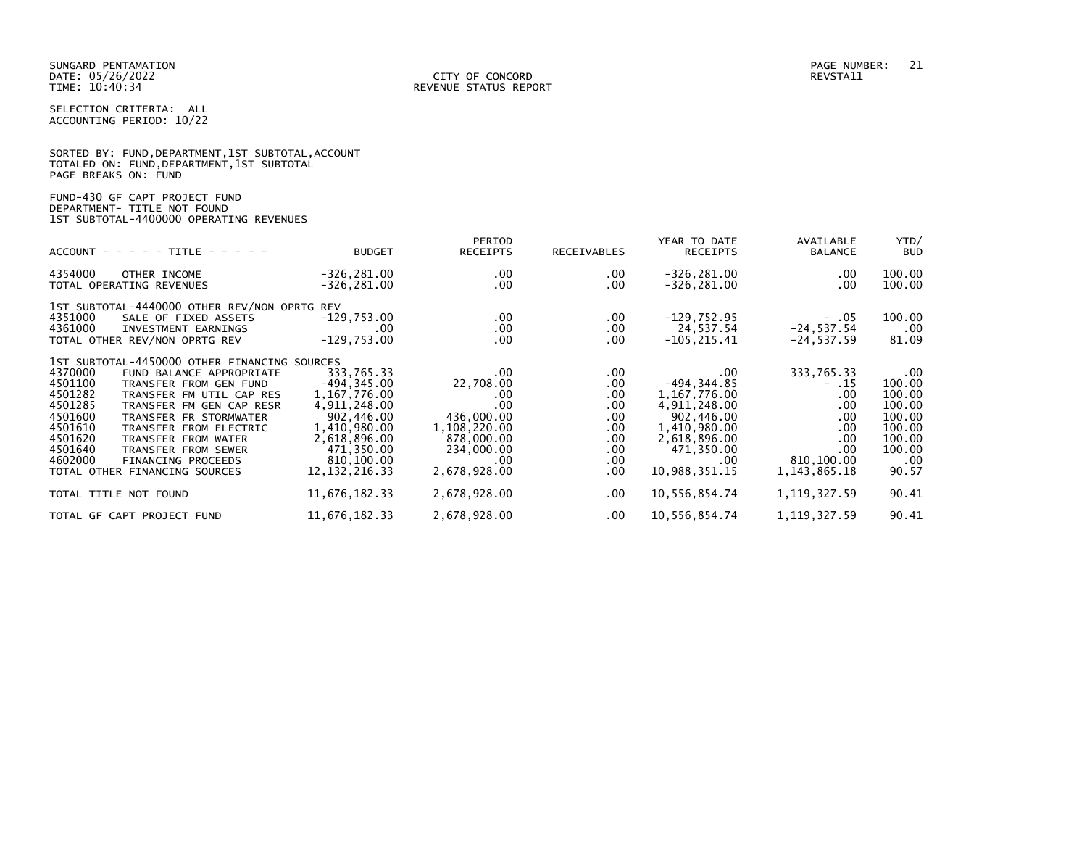SORTED BY: FUND, DEPARTMENT, 1ST SUBTOTAL, ACCOUNT

| . <b>.</b><br>______                                                                                    | ------ | PERIOD<br>-------- | ----------- | YEAR TO DATE<br>-------- | AVAILABLE<br>_ _ _ | YTD/<br>---- |
|---------------------------------------------------------------------------------------------------------|--------|--------------------|-------------|--------------------------|--------------------|--------------|
| FUND-430 GF CAPT PROJECT FUND<br>DEPARTMENT- TITLE NOT FOUND<br>1ST SUBTOTAL-4400000 OPERATING REVENUES |        |                    |             |                          |                    |              |
| TOTALED ON: FUND, DEPARTMENT, 1ST SUBTOTAL<br>PAGE BREAKS ON: FUND                                      |        |                    |             |                          |                    |              |

| $ACCOUNT$ - - - - TITLE - - - -                                                                                                                                                                                                                                                                                                                                                                                        | <b>BUDGET</b>                                                                                                                                              | <b>RECEIPTS</b>                                                                                                             | <b>RECEIVABLES</b>                                                                                              | <b>RECEIPTS</b>                                                                                                                                | <b>BALANCE</b>                                                                                           | <b>BUD</b>                                                                                          |
|------------------------------------------------------------------------------------------------------------------------------------------------------------------------------------------------------------------------------------------------------------------------------------------------------------------------------------------------------------------------------------------------------------------------|------------------------------------------------------------------------------------------------------------------------------------------------------------|-----------------------------------------------------------------------------------------------------------------------------|-----------------------------------------------------------------------------------------------------------------|------------------------------------------------------------------------------------------------------------------------------------------------|----------------------------------------------------------------------------------------------------------|-----------------------------------------------------------------------------------------------------|
| 4354000<br>OTHER INCOME<br>TOTAL OPERATING REVENUES                                                                                                                                                                                                                                                                                                                                                                    | $-326, 281.00$<br>-326,281.00                                                                                                                              | $.00 \,$<br>.00                                                                                                             | $.00 \,$<br>$.00 \,$                                                                                            | $-326, 281.00$<br>$-326, 281.00$                                                                                                               | $.00 \,$<br>$.00 \,$                                                                                     | 100.00<br>100.00                                                                                    |
| 1ST SUBTOTAL-4440000 OTHER REV/NON OPRTG REV<br>4351000<br>SALE OF FIXED ASSETS<br>4361000<br>INVESTMENT EARNINGS<br>TOTAL OTHER REV/NON OPRTG REV                                                                                                                                                                                                                                                                     | $-129,753.00$<br>.00<br>$-129,753.00$                                                                                                                      | $.00 \,$<br>$.00 \,$<br>$.00 \,$                                                                                            | $.00 \,$<br>$.00 \,$<br>$.00 \,$                                                                                | $-129,752.95$<br>24,537.54<br>$-105, 215.41$                                                                                                   | $-0.05$<br>$-24, 537.54$<br>$-24, 537.59$                                                                | 100.00<br>$.00 \,$<br>81.09                                                                         |
| 1ST SUBTOTAL-4450000 OTHER FINANCING SOURCES<br>4370000<br>FUND BALANCE APPROPRIATE<br>4501100<br>TRANSFER FROM GEN FUND<br>4501282<br>TRANSFER FM UTIL CAP RES<br>4501285<br>TRANSFER FM GEN CAP RESR<br>4501600<br>TRANSFER FR STORMWATER<br>4501610<br>TRANSFER FROM ELECTRIC<br>4501620<br>TRANSFER FROM WATER<br>4501640<br>TRANSFER FROM SEWER<br>4602000<br>FINANCING PROCEEDS<br>TOTAL OTHER FINANCING SOURCES | 333,765.33<br>$-494, 345.00$<br>1,167,776.00<br>4,911,248.00<br>902,446.00<br>1,410,980.00<br>2,618,896.00<br>471,350.00<br>810,100.00<br>12, 132, 216, 33 | $.00 \,$<br>22,708.00<br>$.00 \,$<br>.00.<br>436,000.00<br>1,108,220.00<br>878,000.00<br>234,000.00<br>.00.<br>2,678,928.00 | $.00 \,$<br>$.00 \,$<br>$.00 \,$<br>$.00 \,$<br>$.00 \,$<br>$.00 \,$<br>$.00 \,$<br>$.00 \,$<br>.00<br>$.00 \,$ | $.00 \,$<br>$-494, 344.85$<br>1,167,776.00<br>4,911,248.00<br>902,446.00<br>1,410,980.00<br>2,618,896.00<br>471,350.00<br>.00<br>10,988,351.15 | 333,765.33<br>$- .15$<br>.00.<br>.00<br>.00.<br>.00.<br>$.00 \,$<br>.00<br>810,100.00<br>1, 143, 865. 18 | $.00 \,$<br>100.00<br>100.00<br>100.00<br>100.00<br>100.00<br>100.00<br>100.00<br>$.00 \,$<br>90.57 |
| TOTAL TITLE NOT FOUND                                                                                                                                                                                                                                                                                                                                                                                                  | 11,676,182.33                                                                                                                                              | 2,678,928.00                                                                                                                | $.00 \,$                                                                                                        | 10,556,854.74                                                                                                                                  | 1, 119, 327.59                                                                                           | 90.41                                                                                               |
| TOTAL GF CAPT PROJECT FUND                                                                                                                                                                                                                                                                                                                                                                                             | 11,676,182.33                                                                                                                                              | 2,678,928.00                                                                                                                | $.00 \,$                                                                                                        | 10,556,854.74                                                                                                                                  | 1, 119, 327.59                                                                                           | 90.41                                                                                               |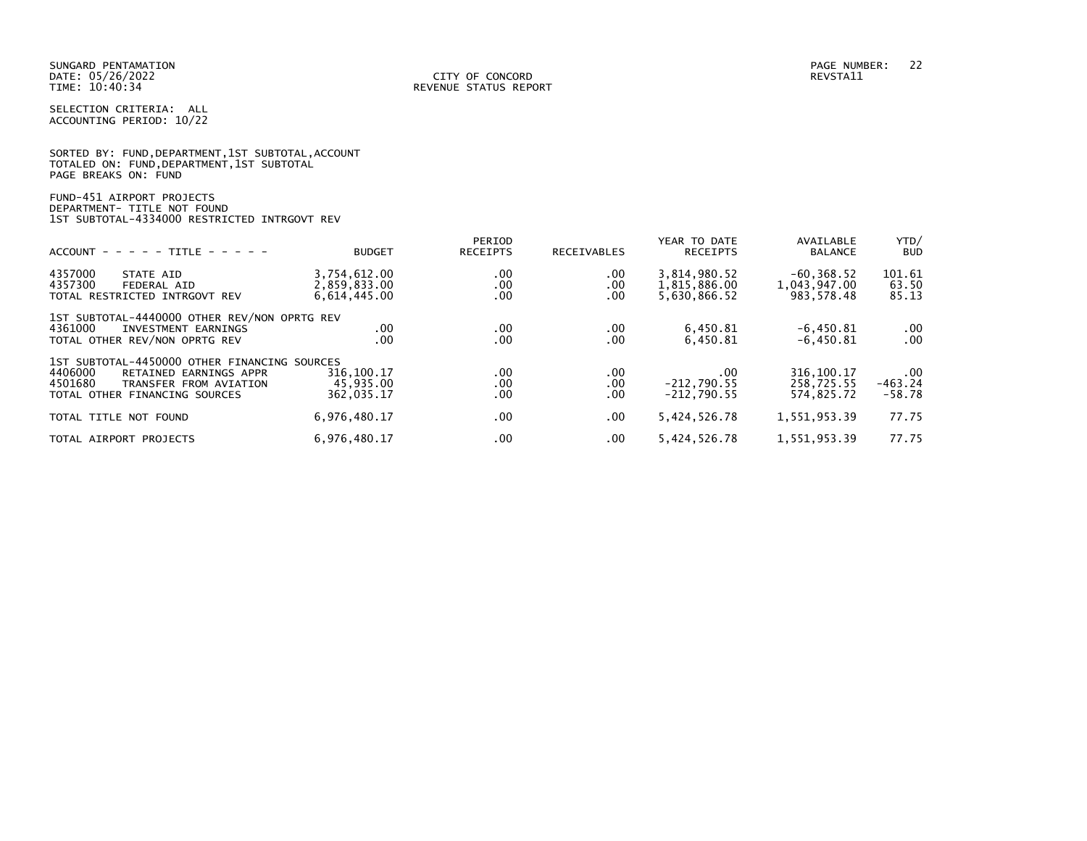|                      |                                            | SORTED BY: FUND, DEPARTMENT, 1ST SUBTOTAL, ACCOUNT |
|----------------------|--------------------------------------------|----------------------------------------------------|
|                      | TOTALED ON: FUND, DEPARTMENT, 1ST SUBTOTAL |                                                    |
| PAGE BREAKS ON: FUND |                                            |                                                    |

# FUND-451 AIRPORT PROJECTS DEPARTMENT- TITLE NOT FOUND 1ST SUBTOTAL-4334000 RESTRICTED INTRGOVT REV

| $ACCOUNT - - - - - TITE - - - - -$                                                                                                                      | <b>BUDGET</b>                                | PERIOD<br><b>RECEIPTS</b> | <b>RECEIVABLES</b>     | YEAR TO DATE<br><b>RECEIPTS</b>              | AVAILABLE<br><b>BALANCE</b>                 | YTD/<br><b>BUD</b>                |
|---------------------------------------------------------------------------------------------------------------------------------------------------------|----------------------------------------------|---------------------------|------------------------|----------------------------------------------|---------------------------------------------|-----------------------------------|
| 4357000<br>STATE AID<br>4357300<br>FEDERAL AID<br>TOTAL RESTRICTED INTRGOVT REV                                                                         | 3,754,612.00<br>2,859,833.00<br>6,614,445.00 | .00<br>.00<br>.00         | $.00 \,$<br>.00<br>.00 | 3,814,980.52<br>1,815,886.00<br>5,630,866.52 | $-60, 368.52$<br>1,043,947.00<br>983,578.48 | 101.61<br>63.50<br>85.13          |
| 1ST SUBTOTAL-4440000 OTHER REV/NON OPRTG REV<br>4361000<br>INVESTMENT EARNINGS<br>TOTAL OTHER REV/NON OPRTG REV                                         | .00<br>.00                                   | .00<br>.00                | .00<br>.00             | 6,450.81<br>6,450.81                         | $-6,450.81$<br>$-6,450.81$                  | $.00 \,$<br>.00                   |
| 1ST SUBTOTAL-4450000 OTHER FINANCING SOURCES<br>4406000<br>RETAINED EARNINGS APPR<br>4501680<br>TRANSFER FROM AVIATION<br>TOTAL OTHER FINANCING SOURCES | 316,100.17<br>45.935.00<br>362,035.17        | .00<br>.00.<br>.00        | .00<br>.00<br>.00      | .00<br>$-212,790.55$<br>$-212.790.55$        | 316, 100. 17<br>258.725.55<br>574.825.72    | $.00 \,$<br>$-463.24$<br>$-58.78$ |
| TOTAL TITLE NOT FOUND                                                                                                                                   | 6,976,480.17                                 | .00                       | .00                    | 5,424,526.78                                 | 1,551,953.39                                | 77.75                             |
| TOTAL AIRPORT PROJECTS                                                                                                                                  | 6,976,480.17                                 | .00                       | $.00 \,$               | 5,424,526.78                                 | 1,551,953.39                                | 77.75                             |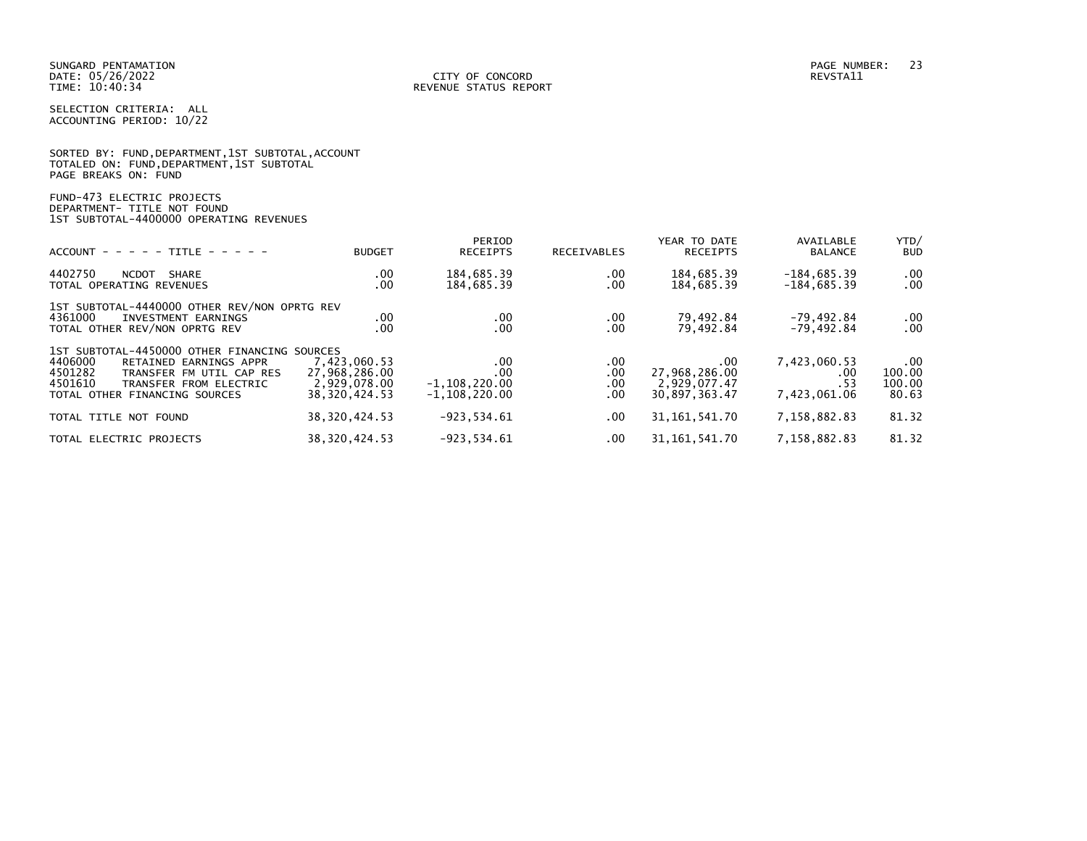| SORTED BY: FUND, DEPARTMENT, 1ST SUBTOTAL, ACCOUNT |  |
|----------------------------------------------------|--|
| TOTALED ON: FUND,DEPARTMENT,1ST SUBTOTAL           |  |
| PAGE BREAKS ON: FUND                               |  |

FUND-473 ELECTRIC PROJECTS DEPARTMENT- TITLE NOT FOUND 1ST SUBTOTAL-4400000 OPERATING REVENUES

| $ACCOUNT - - - - + TITE - - - - -$                                                                                                                                                             | <b>BUDGET</b>                                                  | PERIOD<br><b>RECEIPTS</b>                          | <b>RECEIVABLES</b>         | YEAR TO DATE<br><b>RECEIPTS</b>                                | AVAILABLE<br><b>BALANCE</b>                | YTD/<br><b>BUD</b>                    |
|------------------------------------------------------------------------------------------------------------------------------------------------------------------------------------------------|----------------------------------------------------------------|----------------------------------------------------|----------------------------|----------------------------------------------------------------|--------------------------------------------|---------------------------------------|
| 4402750<br><b>NCDOT</b><br>SHARE<br>TOTAL OPERATING REVENUES                                                                                                                                   | .00<br>.00                                                     | 184,685.39<br>184,685.39                           | .00.<br>.00                | 184,685.39<br>184,685.39                                       | $-184,685.39$<br>$-184,685.39$             | $.00 \,$<br>$.00 \,$                  |
| 1ST SUBTOTAL-4440000 OTHER REV/NON OPRTG REV<br>4361000<br>INVESTMENT EARNINGS<br>TOTAL OTHER REV/NON OPRTG REV                                                                                | .00<br>.00                                                     | .00<br>.00                                         | .00<br>.00                 | 79,492.84<br>79,492.84                                         | $-79,492.84$<br>$-79,492.84$               | $.00 \,$<br>.00                       |
| 1ST SUBTOTAL-4450000 OTHER FINANCING SOURCES<br>4406000<br>RETAINED EARNINGS APPR<br>4501282<br>TRANSFER FM UTIL CAP RES<br>4501610<br>TRANSFER FROM ELECTRIC<br>TOTAL OTHER FINANCING SOURCES | 7,423,060.53<br>27,968,286.00<br>2,929,078.00<br>38.320.424.53 | .00<br>.00<br>$-1, 108, 220.00$<br>$-1.108.220.00$ | .00.<br>.00<br>.00<br>.00. | $.00 \times$<br>27,968,286.00<br>2,929,077.47<br>30.897.363.47 | 7,423,060.53<br>.00<br>.53<br>7,423,061.06 | $.00 \,$<br>100.00<br>100.00<br>80.63 |
| TOTAL TITLE NOT FOUND                                                                                                                                                                          | 38, 320, 424.53                                                | $-923.534.61$                                      | $.00 \,$                   | 31, 161, 541. 70                                               | 7,158,882.83                               | 81.32                                 |
| TOTAL ELECTRIC PROJECTS                                                                                                                                                                        | 38, 320, 424.53                                                | $-923, 534.61$                                     | .00.                       | 31, 161, 541. 70                                               | 7,158,882.83                               | 81.32                                 |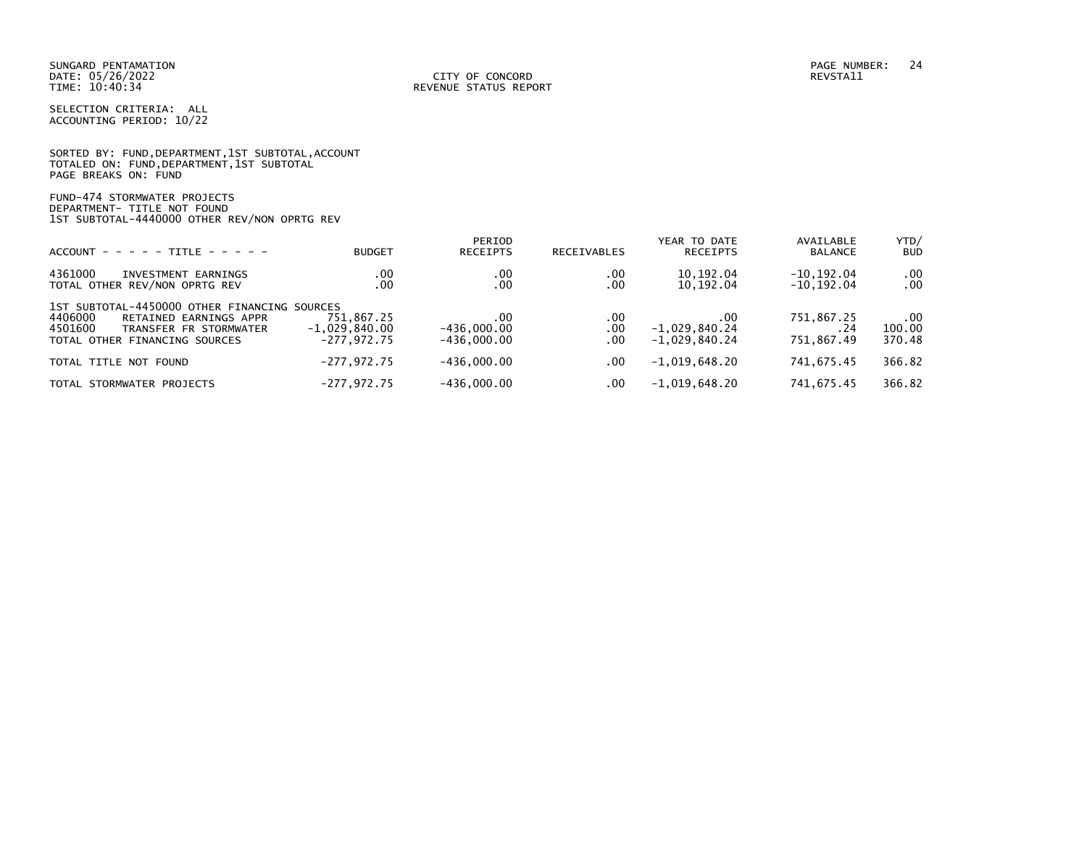|                      |  |  | SORTED BY: FUND, DEPARTMENT, 1ST SUBTOTAL, ACCOUNT |  |
|----------------------|--|--|----------------------------------------------------|--|
|                      |  |  | TOTALED ON: FUND,DEPARTMENT,1ST SUBTOTAL           |  |
| PAGE BREAKS ON: FUND |  |  |                                                    |  |

FUND-474 STORMWATER PROJECTS DEPARTMENT- TITLE NOT FOUND 1ST SUBTOTAL-4440000 OTHER REV/NON OPRTG REV

| $ACCOUNT - - - - - TITLE - - - - -$                                                                                                                     | <b>BUDGET</b>                                  | PERIOD<br><b>RECEIPTS</b>             | <b>RECEIVABLES</b> | YEAR TO DATE<br><b>RECEIPTS</b>           | AVAILABLE<br><b>BALANCE</b>      | YTD/<br><b>BUD</b>           |
|---------------------------------------------------------------------------------------------------------------------------------------------------------|------------------------------------------------|---------------------------------------|--------------------|-------------------------------------------|----------------------------------|------------------------------|
| 4361000<br>INVESTMENT EARNINGS<br>TOTAL OTHER REV/NON OPRTG REV                                                                                         | .00<br>.00                                     | .00<br>.00                            | .00<br>.00         | 10,192.04<br>10,192.04                    | $-10, 192.04$<br>$-10, 192.04$   | $.00 \,$<br>$.00 \,$         |
| 1ST SUBTOTAL-4450000 OTHER FINANCING SOURCES<br>4406000<br>RETAINED EARNINGS APPR<br>4501600<br>TRANSFER FR STORMWATER<br>TOTAL OTHER FINANCING SOURCES | 751,867.25<br>$-1,029,840.00$<br>$-277.972.75$ | .00<br>$-436,000.00$<br>$-436.000.00$ | .00<br>.00<br>.00  | .00<br>$-1,029,840.24$<br>$-1.029.840.24$ | 751,867.25<br>. 24<br>751,867.49 | $.00 \,$<br>100.00<br>370.48 |
| TOTAL TITLE NOT FOUND                                                                                                                                   | $-277.972.75$                                  | $-436.000.00$                         | .00.               | $-1,019,648.20$                           | 741.675.45                       | 366.82                       |
| TOTAL STORMWATER PROJECTS                                                                                                                               | $-277,972.75$                                  | $-436,000.00$                         | .00                | $-1,019,648.20$                           | 741,675.45                       | 366.82                       |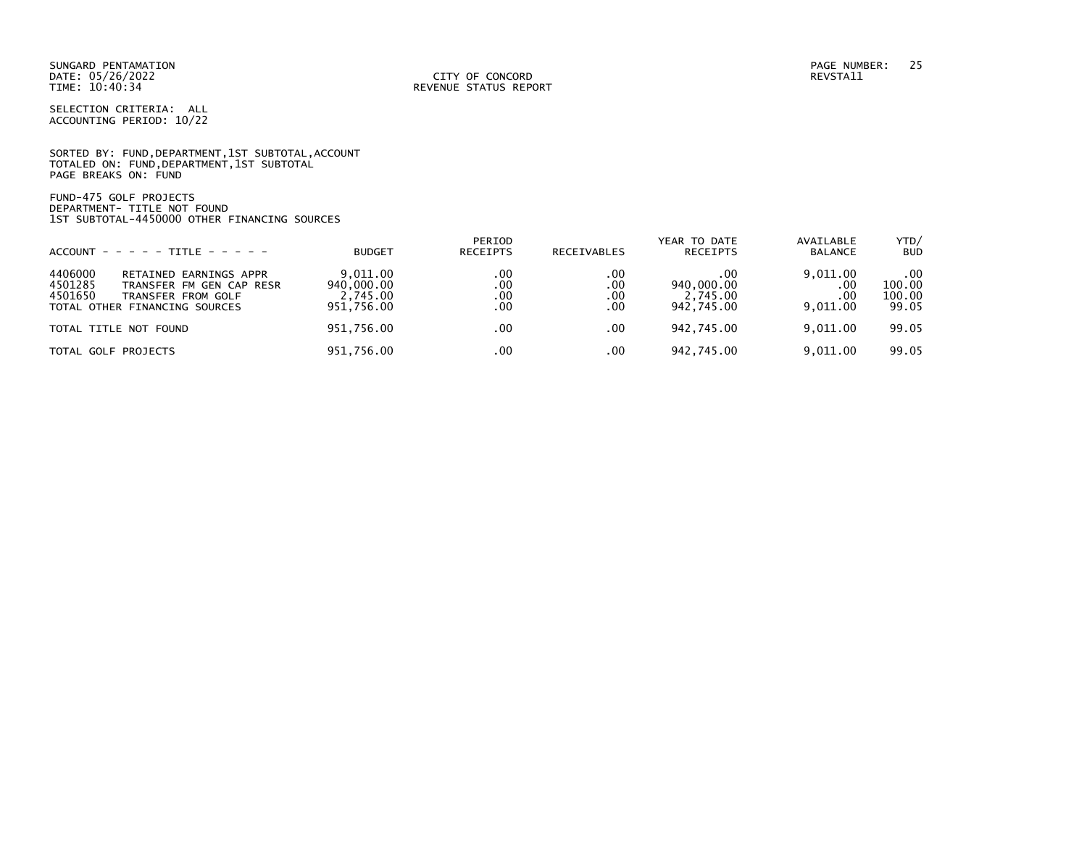SUNGARD PENTAMATION PAGE NUMBER: 25 DATE: 05/26/2022<br>TIME: 10:40:34

SELECTION CRITERIA: ALL ACCOUNTING PERIOD: 10/22

SORTED BY: FUND, DEPARTMENT, 1ST SUBTOTAL, ACCOUNT TOTALED ON: FUND,DEPARTMENT,1ST SUBTOTAL PAGE BREAKS ON: FUND

FUND-475 GOLF PROJECTS DEPARTMENT- TITLE NOT FOUND 1ST SUBTOTAL-4450000 OTHER FINANCING SOURCES

| $ACCOUNT - - - - - TITE - - - - -$                                                                                                         | <b>BUDGET</b>                                    | PERIOD<br><b>RECEIPTS</b>     | RECEIVABLES              | YEAR TO DATE<br><b>RECEIPTS</b>             | AVAILABLE<br><b>BALANCE</b>        | YTD/<br><b>BUD</b>               |
|--------------------------------------------------------------------------------------------------------------------------------------------|--------------------------------------------------|-------------------------------|--------------------------|---------------------------------------------|------------------------------------|----------------------------------|
| 4406000<br>RETAINED EARNINGS APPR<br>4501285<br>TRANSFER FM GEN CAP RESR<br>4501650<br>TRANSFER FROM GOLF<br>TOTAL OTHER FINANCING SOURCES | 9.011.00<br>940,000.00<br>2.745.00<br>951.756.00 | .00<br>.00<br>$.00 \,$<br>.00 | .00<br>.00<br>.00<br>.00 | .00<br>940,000.00<br>2,745.00<br>942.745.00 | 9,011.00<br>.00<br>.00<br>9.011.00 | .00<br>100.00<br>100.00<br>99.05 |
| TOTAL TITLE NOT FOUND                                                                                                                      | 951,756.00                                       | $.00 \,$                      | .00                      | 942,745.00                                  | 9.011.00                           | 99.05                            |
| TOTAL GOLF PROJECTS                                                                                                                        | 951,756.00                                       | .00                           | .00                      | 942,745.00                                  | 9,011.00                           | 99.05                            |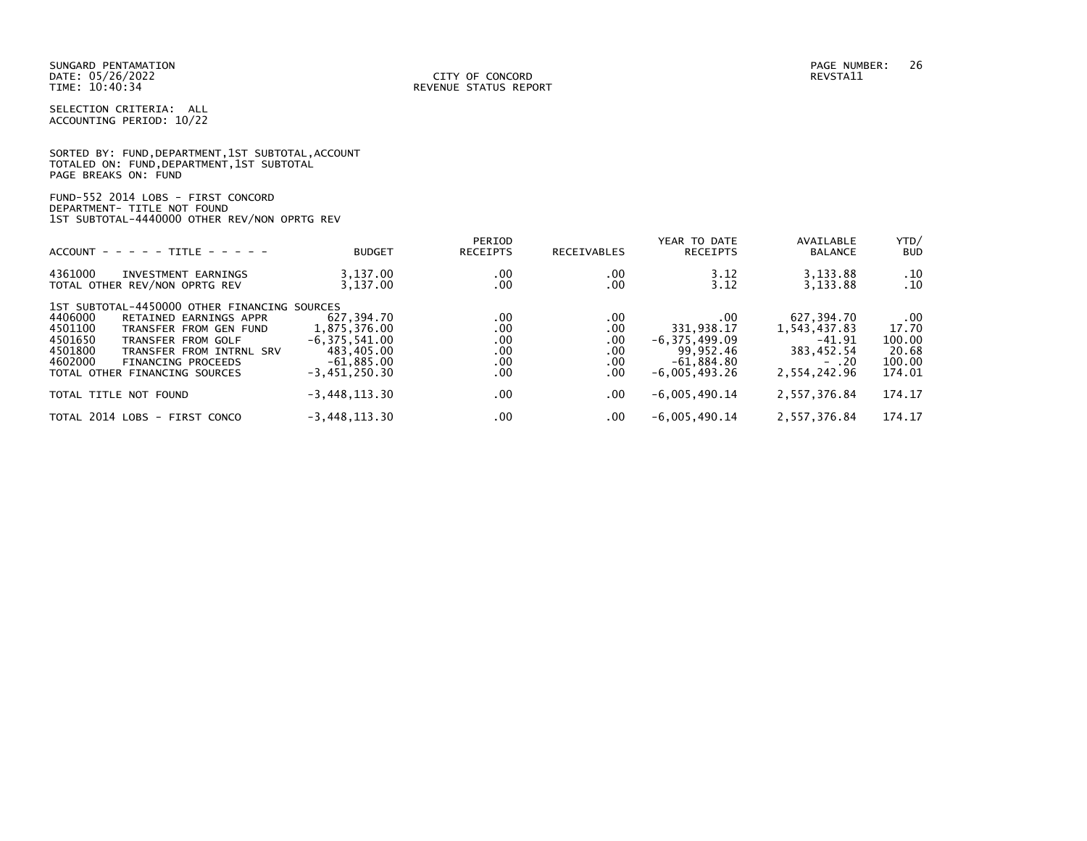|                      | SORTED BY: FUND, DEPARTMENT, 1ST SUBTOTAL, ACCOUNT |  |
|----------------------|----------------------------------------------------|--|
|                      | TOTALED ON: FUND,DEPARTMENT,1ST SUBTOTAL           |  |
| PAGE BREAKS ON: FUND |                                                    |  |

FUND-552 2014 LOBS - FIRST CONCORD DEPARTMENT- TITLE NOT FOUND 1ST SUBTOTAL-4440000 OTHER REV/NON OPRTG REV

| $ACCOUNT - - - - - TITE - - - - -$                                                                                                                                                                                                                                      | <b>BUDGET</b>                                                                                    | PERIOD<br>RECEIPTS                     | <b>RECEIVABLES</b>                                  | YEAR TO DATE<br><b>RECEIPTS</b>                                                        | AVAILABLE<br><b>BALANCE</b>                                                      | YTD/<br><b>BUD</b>                                       |
|-------------------------------------------------------------------------------------------------------------------------------------------------------------------------------------------------------------------------------------------------------------------------|--------------------------------------------------------------------------------------------------|----------------------------------------|-----------------------------------------------------|----------------------------------------------------------------------------------------|----------------------------------------------------------------------------------|----------------------------------------------------------|
| 4361000<br>INVESTMENT EARNINGS<br>TOTAL OTHER REV/NON OPRTG REV                                                                                                                                                                                                         | 3,137.00<br>3,137.00                                                                             | .00<br>.00                             | .00<br>.00                                          | 3.12<br>3.12                                                                           | 3,133.88<br>3,133.88                                                             | .10<br>.10                                               |
| 1ST SUBTOTAL-4450000 OTHER FINANCING SOURCES<br>4406000<br>RETAINED EARNINGS APPR<br>4501100<br>TRANSFER FROM GEN FUND<br>4501650<br>TRANSFER FROM GOLF<br>4501800<br>TRANSFER FROM INTRNL SRV<br>4602000<br><b>FINANCING PROCEEDS</b><br>TOTAL OTHER FINANCING SOURCES | 627,394.70<br>1,875,376.00<br>$-6, 375, 541.00$<br>483,405.00<br>$-61,885.00$<br>$-3,451,250.30$ | .00<br>.00<br>.00<br>.00<br>.00<br>.00 | .00<br>.00<br>.00<br>.00<br>.00<br>.00 <sub>1</sub> | .00<br>331,938.17<br>$-6, 375, 499.09$<br>99,952.46<br>$-61,884.80$<br>$-6.005.493.26$ | 627,394.70<br>1,543,437.83<br>$-41.91$<br>383,452.54<br>$- 0.20$<br>2,554,242.96 | $.00 \,$<br>17.70<br>100.00<br>20.68<br>100.00<br>174.01 |
| TOTAL TITLE NOT FOUND                                                                                                                                                                                                                                                   | $-3,448,113.30$                                                                                  | .00                                    | .00.                                                | $-6,005,490.14$                                                                        | 2,557,376.84                                                                     | 174.17                                                   |
| TOTAL 2014 LOBS - FIRST CONCO                                                                                                                                                                                                                                           | $-3,448,113.30$                                                                                  | .00                                    | .00.                                                | $-6,005,490.14$                                                                        | 2,557,376.84                                                                     | 174.17                                                   |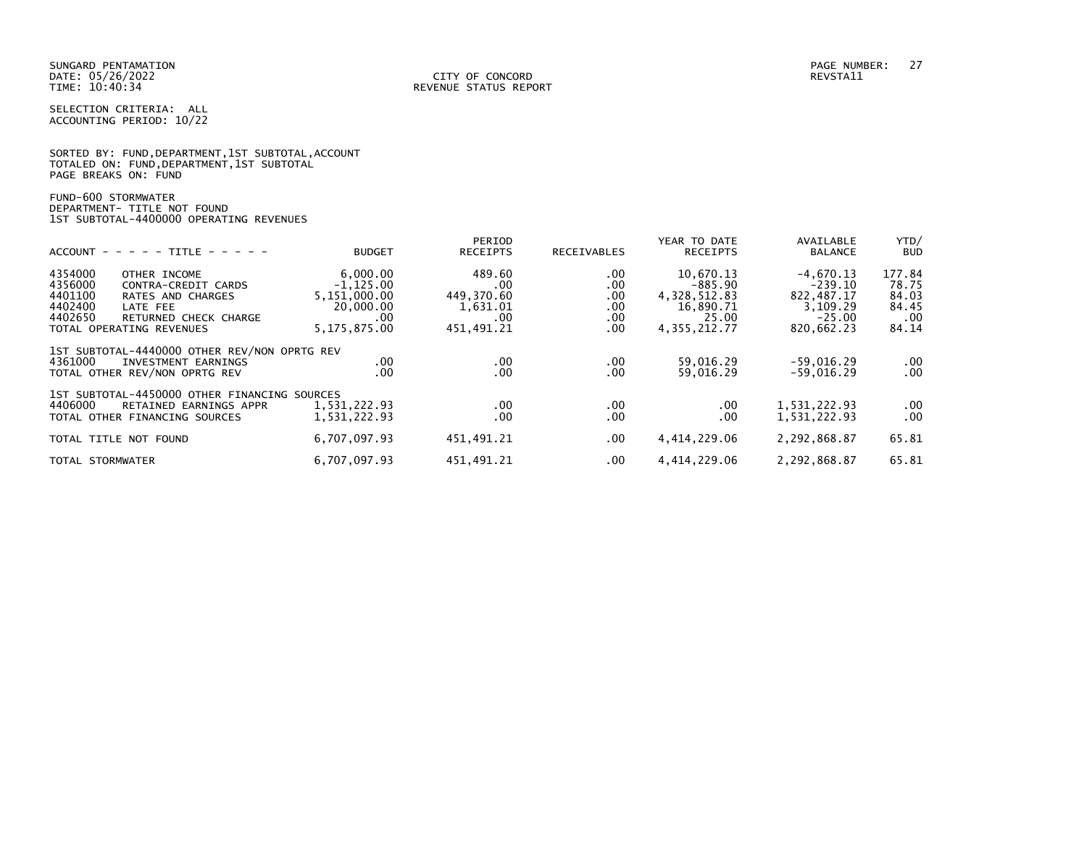|                      | SORTED BY: FUND, DEPARTMENT, 1ST SUBTOTAL, ACCOUNT |  |  |
|----------------------|----------------------------------------------------|--|--|
|                      | TOTALED ON: FUND,DEPARTMENT,1ST SUBTOTAL           |  |  |
| PAGE BREAKS ON: FUND |                                                    |  |  |

FUND-600 STORMWATER DEPARTMENT- TITLE NOT FOUND 1ST SUBTOTAL-4400000 OPERATING REVENUES

|                                                                                                                                                                                  |                                                                                   | PERIOD                                                       |                                        | YEAR TO DATE                                                                     | AVAILABLE                                                                    | YTD/                                                   |
|----------------------------------------------------------------------------------------------------------------------------------------------------------------------------------|-----------------------------------------------------------------------------------|--------------------------------------------------------------|----------------------------------------|----------------------------------------------------------------------------------|------------------------------------------------------------------------------|--------------------------------------------------------|
| $ACCOUNT - - - - - TITE - - - - -$                                                                                                                                               | <b>BUDGET</b>                                                                     | <b>RECEIPTS</b>                                              | <b>RECEIVABLES</b>                     | <b>RECEIPTS</b>                                                                  | <b>BALANCE</b>                                                               | <b>BUD</b>                                             |
| 4354000<br>OTHER INCOME<br>4356000<br>CONTRA-CREDIT CARDS<br>4401100<br>RATES AND CHARGES<br>4402400<br>LATE FEE<br>4402650<br>RETURNED CHECK CHARGE<br>TOTAL OPERATING REVENUES | 6,000.00<br>$-1, 125.00$<br>5,151,000.00<br>20,000.00<br>$.00 \,$<br>5,175,875.00 | 489.60<br>.00<br>449,370.60<br>1,631.01<br>.00<br>451,491.21 | .00<br>.00<br>.00<br>.00<br>.00<br>.00 | 10,670.13<br>$-885.90$<br>4, 328, 512.83<br>16,890.71<br>25.00<br>4, 355, 212.77 | $-4,670.13$<br>$-239.10$<br>822,487.17<br>3,109.29<br>$-25.00$<br>820,662.23 | 177.84<br>78.75<br>84.03<br>84.45<br>$.00 \,$<br>84.14 |
| 1ST SUBTOTAL-4440000 OTHER REV/NON OPRTG REV<br>4361000<br>INVESTMENT EARNINGS<br>TOTAL OTHER REV/NON OPRTG REV                                                                  | $.00 \,$<br>.00                                                                   | .00<br>$.00 \,$                                              | .00<br>.00                             | 59,016.29<br>59,016.29                                                           | $-59,016.29$<br>$-59,016.29$                                                 | $.00 \,$<br>.00                                        |
| 1ST SUBTOTAL-4450000 OTHER FINANCING SOURCES<br>4406000<br>RETAINED EARNINGS APPR<br>TOTAL OTHER FINANCING SOURCES                                                               | 1,531,222.93<br>1,531,222.93                                                      | .00<br>.00                                                   | .00.<br>.00                            | .00<br>.00                                                                       | 1,531,222.93<br>1,531,222.93                                                 | $.00 \,$<br>.00 <sub>1</sub>                           |
| TOTAL TITLE NOT FOUND                                                                                                                                                            | 6,707,097.93                                                                      | 451,491.21                                                   | .00.                                   | 4,414,229.06                                                                     | 2,292,868.87                                                                 | 65.81                                                  |
| TOTAL STORMWATER                                                                                                                                                                 | 6,707,097.93                                                                      | 451.491.21                                                   | .00.                                   | 4.414.229.06                                                                     | 2,292,868.87                                                                 | 65.81                                                  |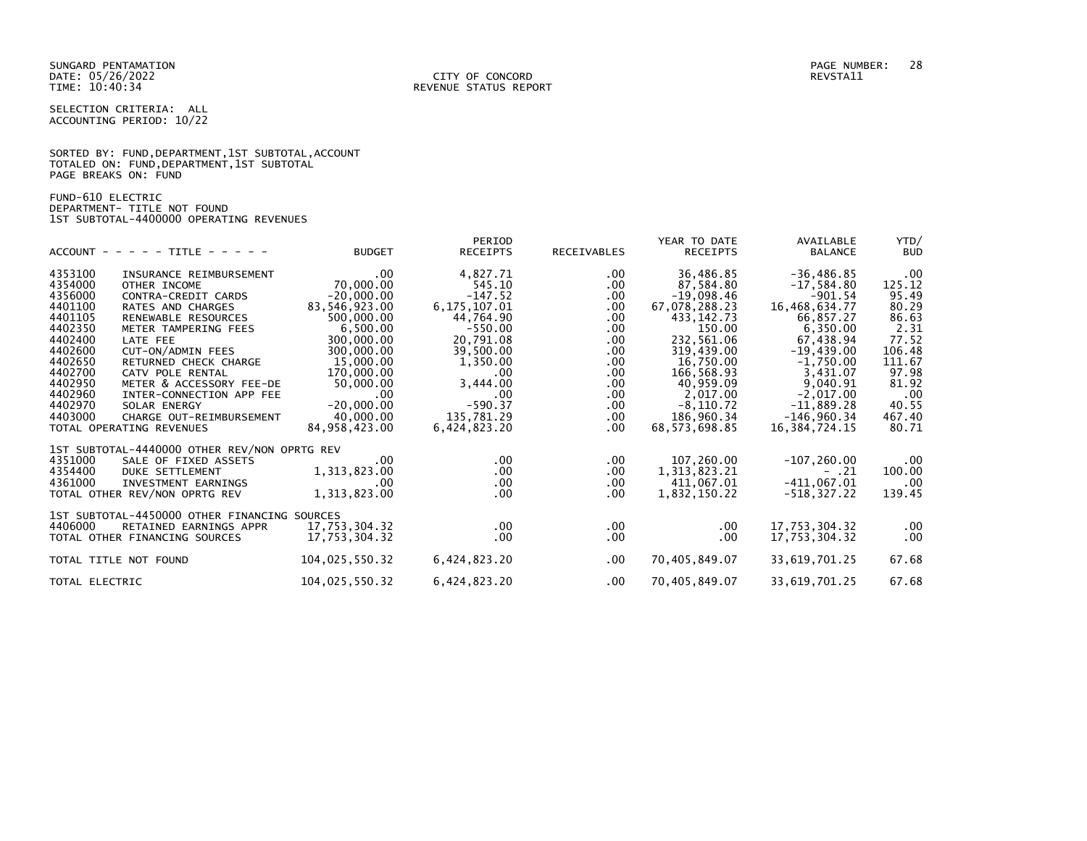SUNGARD PENTAMATION PAGE NUMBER: 28

SELECTION CRITERIA: ALL ACCOUNTING PERIOD: 10/22

|                      |  |  | SORTED BY: FUND, DEPARTMENT, 1ST SUBTOTAL, ACCOUNT |  |
|----------------------|--|--|----------------------------------------------------|--|
|                      |  |  | TOTALED ON: FUND, DEPARTMENT, 1ST SUBTOTAL         |  |
| PAGE BREAKS ON: FUND |  |  |                                                    |  |

FUND-610 ELECTRIC DEPARTMENT- TITLE NOT FOUND 1ST SUBTOTAL-4400000 OPERATING REVENUES

|                                              |                | PERIOD         |             | YEAR TO DATE  | AVAILABLE        | YTD/       |
|----------------------------------------------|----------------|----------------|-------------|---------------|------------------|------------|
| $ACCOUNT - - - - + TITE - - - - -$           | <b>BUDGET</b>  | RECEIPTS       | RECEIVABLES | RECEIPTS      | <b>BALANCE</b>   | <b>BUD</b> |
| 4353100<br>INSURANCE REIMBURSEMENT           | $.00 \,$       | 4,827.71       | $.00 \,$    | 36,486.85     | $-36, 486.85$    | $.00 \,$   |
| 4354000<br>OTHER INCOME                      | 70,000.00      | 545.10         | .00         | 87,584.80     | $-17,584.80$     | 125.12     |
| 4356000<br>CONTRA-CREDIT CARDS               | $-20,000.00$   | $-147.52$      | .00         | $-19,098.46$  | $-901.54$        | 95.49      |
| 4401100<br>RATES AND CHARGES                 | 83,546,923.00  | 6, 175, 107.01 | $.00 \,$    | 67,078,288.23 | 16,468,634.77    | 80.29      |
| 4401105<br>RENEWABLE RESOURCES               | 500,000.00     | 44,764.90      | $.00 \,$    | 433, 142. 73  | 66,857.27        | 86.63      |
| 4402350<br>METER TAMPERING FEES              | 6,500.00       | $-550.00$      | $.00 \,$    | 150.00        | 6,350.00         | 2.31       |
| 4402400<br>LATE FEE                          | 300,000.00     | 20,791.08      | $.00 \,$    | 232,561.06    | 67,438.94        | 77.52      |
| 4402600<br>CUT-ON/ADMIN FEES                 | 300,000.00     | 39,500.00      | $.00 \,$    | 319,439.00    | $-19,439.00$     | 106.48     |
| 4402650<br>RETURNED CHECK CHARGE             | 15,000.00      | 1,350.00       | $.00 \,$    | 16,750.00     | $-1,750.00$      | 111.67     |
| 4402700<br>CATV POLE RENTAL                  | 170,000.00     | $.00 \times$   |             | 166,568.93    | 3,431.07         | 97.98      |
| 4402950                                      |                |                | .00.        |               |                  |            |
| METER & ACCESSORY FEE-DE                     | 50,000.00      | 3,444.00       | $.00 \,$    | 40,959.09     | 9,040.91         | 81.92      |
| 4402960<br>INTER-CONNECTION APP FEE          | $.00 \,$       | .00            | .00         | 2,017.00      | $-2,017.00$      | $.00 \,$   |
| 4402970<br>SOLAR ENERGY                      | $-20,000.00$   | $-590.37$      | $.00 \,$    | $-8, 110.72$  | $-11,889.28$     | 40.55      |
| 4403000<br>CHARGE OUT-REIMBURSEMENT          | 40,000.00      | 135,781.29     | $.00 \,$    | 186,960.34    | $-146,960.34$    | 467.40     |
| TOTAL OPERATING REVENUES                     | 84,958,423.00  | 6,424,823.20   | $.00 \,$    | 68,573,698.85 | 16, 384, 724. 15 | 80.71      |
| 1ST SUBTOTAL-4440000 OTHER REV/NON OPRTG REV |                |                |             |               |                  |            |
| 4351000<br>SALE OF FIXED ASSETS              | .00            | $.00 \,$       | $.00 \,$    | 107,260.00    | $-107, 260.00$   | $.00 \,$   |
| 4354400<br>DUKE SETTLEMENT                   | 1,313,823.00   | $.00 \,$       | $.00 \,$    | 1,313,823.21  | $- .21$          | 100.00     |
| 4361000<br>INVESTMENT EARNINGS               | .00            | $.00 \,$       | $.00 \,$    | 411,067.01    | $-411,067.01$    | $.00 \,$   |
| TOTAL OTHER REV/NON OPRTG REV                | 1,313,823.00   | $.00 \,$       | $.00 \,$    | 1,832,150.22  | $-518, 327.22$   | 139.45     |
| 1ST SUBTOTAL-4450000 OTHER FINANCING SOURCES |                |                |             |               |                  |            |
| 4406000<br>RETAINED EARNINGS APPR            | 17,753,304.32  | $.00 \,$       | $.00 \,$    | $.00 \,$      | 17,753,304.32    | $.00 \,$   |
| TOTAL OTHER FINANCING SOURCES                | 17,753,304.32  | $.00 \,$       | $.00 \,$    | $.00 \,$      | 17,753,304.32    | $.00 \,$   |
|                                              |                |                |             |               |                  |            |
| TOTAL TITLE NOT FOUND                        | 104,025,550.32 | 6,424,823.20   | $.00 \,$    | 70,405,849.07 | 33,619,701.25    | 67.68      |
| TOTAL ELECTRIC                               | 104,025,550.32 | 6,424,823.20   | $.00 \,$    | 70,405,849.07 | 33,619,701.25    | 67.68      |
|                                              |                |                |             |               |                  |            |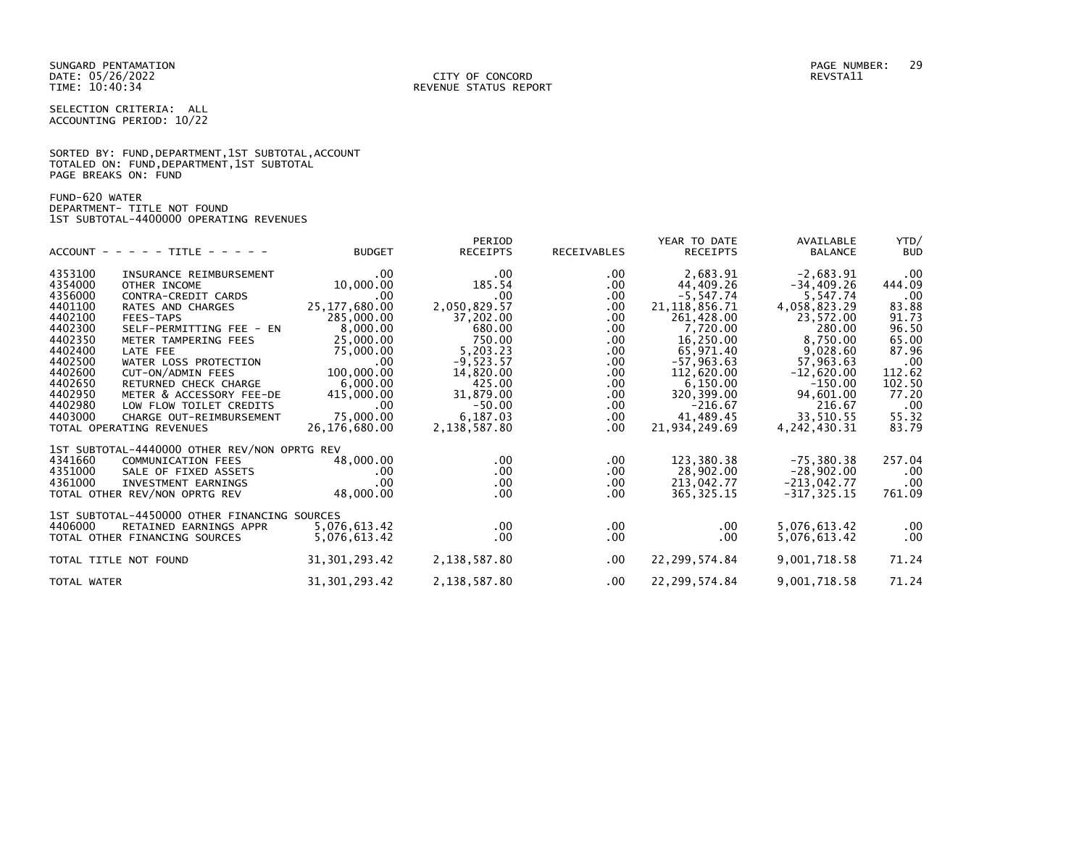SUNGARD PENTAMATION PAGE NUMBER: 29

SELECTION CRITERIA: ALL ACCOUNTING PERIOD: 10/22

|                      |  | SORTED BY: FUND, DEPARTMENT, 1ST SUBTOTAL, ACCOUNT |  |  |
|----------------------|--|----------------------------------------------------|--|--|
|                      |  | TOTALED ON: FUND, DEPARTMENT, 1ST SUBTOTAL         |  |  |
| PAGE BREAKS ON: FUND |  |                                                    |  |  |

FUND-620 WATER DEPARTMENT- TITLE NOT FOUND 1ST SUBTOTAL-4400000 OPERATING REVENUES

|                                              |                 | PERIOD          |                    | YEAR TO DATE     | AVAILABLE       | YTD/       |
|----------------------------------------------|-----------------|-----------------|--------------------|------------------|-----------------|------------|
| $ACCOUNT - - - - + TITE - - - - -$           | <b>BUDGET</b>   | <b>RECEIPTS</b> | <b>RECEIVABLES</b> | RECEIPTS         | <b>BALANCE</b>  | <b>BUD</b> |
| 4353100<br>INSURANCE REIMBURSEMENT           | $.00 \,$        | .00             | $.00 \,$           | 2,683.91         | $-2,683.91$     | .00        |
| 4354000<br>OTHER INCOME                      | 10,000.00       | 185.54          | .00.               | 44,409.26        | $-34,409.26$    | 444.09     |
| 4356000<br>CONTRA-CREDIT CARDS               | .00.            | .00             | $.00 \,$           | $-5,547.74$      | 5,547.74        | .00        |
| 4401100<br>RATES AND CHARGES                 | 25, 177, 680.00 | 2,050,829.57    | $.00 \,$           | 21, 118, 856. 71 | 4,058,823.29    | 83.88      |
| 4402100<br>FEES-TAPS                         | 285,000.00      | 37,202.00       | $.00 \,$           | 261,428.00       | 23,572.00       | 91.73      |
| 4402300<br>SELF-PERMITTING FEE - EN          | 8,000.00        | 680.00          | $.00 \,$           | 7,720.00         | 280.00          | 96.50      |
| 4402350<br>METER TAMPERING FEES              | 25,000.00       | 750.00          | $.00 \,$           | 16,250.00        | 8,750.00        | 65.00      |
| 4402400<br>LATE FEE                          | 75,000.00       | 5,203.23        | $.00 \,$           | 65,971.40        | 9,028.60        | 87.96      |
| 4402500<br>WATER LOSS PROTECTION             | $.00 \,$        | $-9,523.57$     | $.00 \,$           | $-57,963.63$     | 57,963.63       | .00        |
| 4402600<br>CUT-ON/ADMIN FEES                 | 100,000.00      | 14,820.00       | $.00 \,$           | 112,620.00       | $-12,620.00$    | 112.62     |
| 4402650<br>RETURNED CHECK CHARGE             | 6,000.00        | 425.00          | $.00 \,$           | 6,150.00         | $-150.00$       | 102.50     |
| 4402950<br>METER & ACCESSORY FEE-DE          | 415,000.00      | 31,879.00       | $.00 \,$           | 320,399.00       | 94,601.00       | 77.20      |
| 4402980<br>LOW FLOW TOILET CREDITS           | $.00 \,$        | $-50.00$        | $.00 \,$           | $-216.67$        | 216.67          | .00        |
| 4403000<br>CHARGE OUT-REIMBURSEMENT          | 75,000.00       | 6,187.03        | $.00 \,$           | 41,489.45        | 33,510.55       | 55.32      |
| TOTAL OPERATING REVENUES                     | 26,176,680.00   | 2,138,587.80    | $.00 \,$           | 21,934,249.69    | 4, 242, 430. 31 | 83.79      |
| 1ST SUBTOTAL-4440000 OTHER REV/NON OPRTG REV |                 |                 |                    |                  |                 |            |
| 4341660<br><b>COMMUNICATION FEES</b>         | 48,000.00       | $.00 \,$        | $.00 \,$           | 123,380.38       | $-75,380.38$    | 257.04     |
| 4351000<br>SALE OF FIXED ASSETS              | .00             | $.00 \,$        | .00                | 28,902.00        | $-28,902.00$    | .00        |
| 4361000<br>INVESTMENT EARNINGS               | $.00 \,$        | $.00 \,$        | $.00 \,$           | 213,042.77       | $-213,042.77$   | .00        |
| TOTAL OTHER REV/NON OPRTG REV                | 48,000.00       | $.00 \,$        | $.00 \,$           | 365, 325.15      | $-317, 325.15$  | 761.09     |
| 1ST SUBTOTAL-4450000 OTHER FINANCING SOURCES |                 |                 |                    |                  |                 |            |
| 4406000<br>RETAINED EARNINGS APPR            | 5,076,613.42    | $.00 \,$        | $.00 \,$           | $.00 \,$         | 5,076,613.42    | .00        |
| TOTAL OTHER FINANCING SOURCES                | 5,076,613.42    | .00             | $.00 \,$           | .00              | 5,076,613.42    | .00        |
| TOTAL TITLE NOT FOUND                        | 31, 301, 293.42 | 2,138,587.80    | $.00 \,$           | 22, 299, 574.84  | 9,001,718.58    | 71.24      |
| TOTAL WATER                                  | 31, 301, 293.42 | 2,138,587.80    | $.00 \,$           | 22, 299, 574.84  | 9,001,718.58    | 71.24      |
|                                              |                 |                 |                    |                  |                 |            |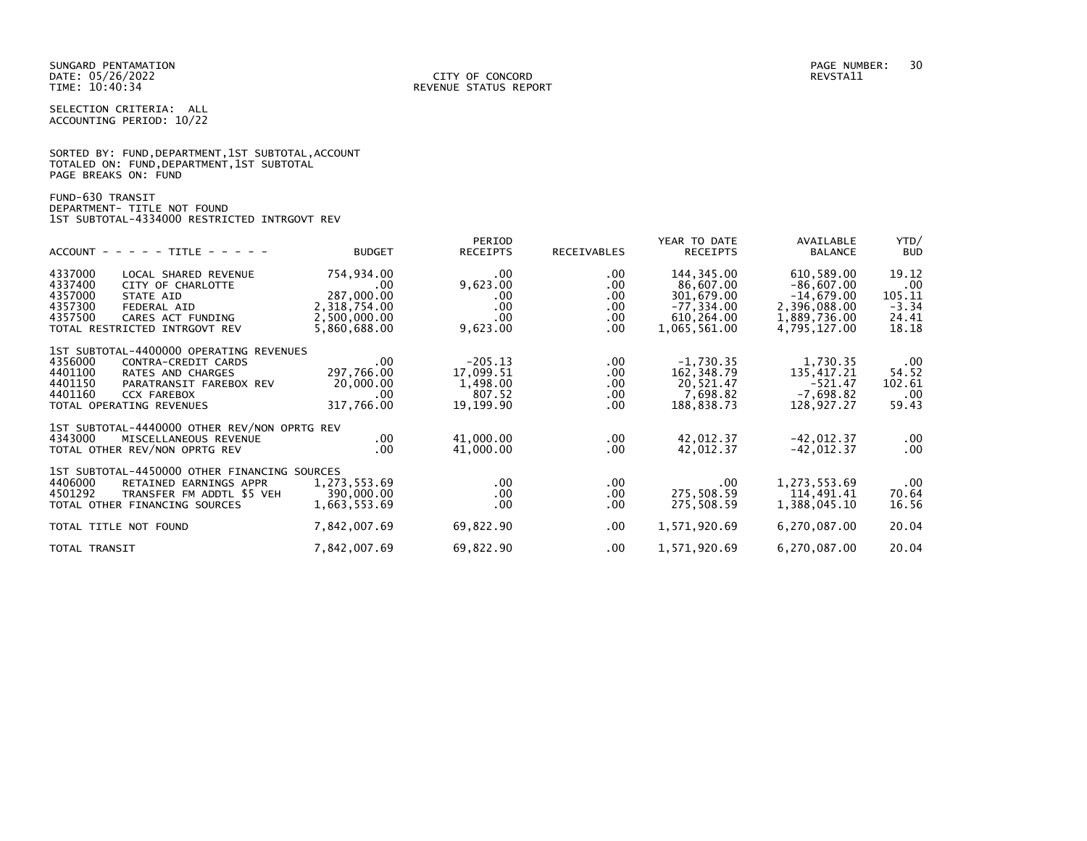|                      |  | SORTED BY: FUND, DEPARTMENT, 1ST SUBTOTAL, ACCOUNT |  |
|----------------------|--|----------------------------------------------------|--|
|                      |  | TOTALED ON: FUND, DEPARTMENT, 1ST SUBTOTAL         |  |
| PAGE BREAKS ON: FUND |  |                                                    |  |

# FUND-630 TRANSIT DEPARTMENT- TITLE NOT FOUND 1ST SUBTOTAL-4334000 RESTRICTED INTRGOVT REV

| $ACCOUNT - - - - - TITLE - - - - -$                                                                                                                                                                          | <b>BUDGET</b>                                                                   | PERIOD<br><b>RECEIPTS</b>                                 | RECEIVABLES                                                          | YEAR TO DATE<br><b>RECEIPTS</b>                                                      | AVAILABLE<br><b>BALANCE</b>                                                                | YTD/<br><b>BUD</b>                                  |
|--------------------------------------------------------------------------------------------------------------------------------------------------------------------------------------------------------------|---------------------------------------------------------------------------------|-----------------------------------------------------------|----------------------------------------------------------------------|--------------------------------------------------------------------------------------|--------------------------------------------------------------------------------------------|-----------------------------------------------------|
| 4337000<br>LOCAL SHARED REVENUE<br>4337400<br>CITY OF CHARLOTTE<br>4357000<br>STATE AID<br>4357300<br>FEDERAL AID<br>4357500<br>CARES ACT FUNDING<br>TOTAL RESTRICTED INTRGOVT REV                           | 754,934.00<br>.00<br>287,000.00<br>2,318,754.00<br>2,500,000.00<br>5,860,688.00 | .00.<br>9,623.00<br>.00.<br>.00<br>.00<br>9,623.00        | $.00 \,$<br>$.00 \,$<br>$.00 \,$<br>$.00 \,$<br>$.00 \,$<br>$.00 \,$ | 144,345.00<br>86,607.00<br>301,679.00<br>$-77, 334.00$<br>610,264.00<br>1,065,561.00 | 610,589.00<br>$-86,607.00$<br>$-14,679.00$<br>2,396,088.00<br>1,889,736.00<br>4,795,127.00 | 19.12<br>.00<br>105.11<br>$-3.34$<br>24.41<br>18.18 |
| 1ST SUBTOTAL-4400000 OPERATING REVENUES<br>4356000<br>CONTRA-CREDIT CARDS<br>4401100<br>RATES AND CHARGES<br>4401150<br>PARATRANSIT FAREBOX REV<br>4401160<br><b>CCX FAREBOX</b><br>TOTAL OPERATING REVENUES | .00<br>297,766.00<br>20,000.00<br>.00<br>317,766.00                             | $-205.13$<br>17,099.51<br>1,498.00<br>807.52<br>19,199.90 | $.00 \,$<br>$.00 \,$<br>$.00 \,$<br>$.00 \,$<br>$.00 \,$             | $-1,730.35$<br>162,348.79<br>20,521.47<br>7,698.82<br>188,838.73                     | 1,730.35<br>135,417.21<br>$-521.47$<br>$-7,698.82$<br>128,927.27                           | .00<br>54.52<br>102.61<br>.00<br>59.43              |
| 1ST SUBTOTAL-4440000 OTHER REV/NON OPRTG REV<br>4343000<br>MISCELLANEOUS REVENUE<br>TOTAL OTHER REV/NON OPRTG REV                                                                                            | $.00 \,$<br>$.00 \,$                                                            | 41,000.00<br>41,000.00                                    | $.00 \,$<br>$.00 \,$                                                 | 42,012.37<br>42,012.37                                                               | $-42,012.37$<br>$-42,012.37$                                                               | .00<br>.00                                          |
| 1ST SUBTOTAL-4450000 OTHER FINANCING SOURCES<br>4406000<br>RETAINED EARNINGS APPR<br>4501292<br>TRANSFER FM ADDTL \$5 VEH<br>TOTAL OTHER FINANCING SOURCES                                                   | 1,273,553.69<br>390,000,00<br>1,663,553.69                                      | $.00 \,$<br>$.00 \,$<br>.00                               | $.00 \,$<br>$.00 \,$<br>.00.                                         | $.00 \,$<br>275,508.59<br>275,508.59                                                 | 1,273,553.69<br>114,491.41<br>1,388,045.10                                                 | .00<br>70.64<br>16.56                               |
| TOTAL TITLE NOT FOUND                                                                                                                                                                                        | 7,842,007.69                                                                    | 69,822.90                                                 | $.00 \,$                                                             | 1,571,920.69                                                                         | 6,270,087.00                                                                               | 20.04                                               |
| TOTAL TRANSIT                                                                                                                                                                                                | 7,842,007.69                                                                    | 69,822.90                                                 | $.00 \,$                                                             | 1,571,920.69                                                                         | 6,270,087.00                                                                               | 20.04                                               |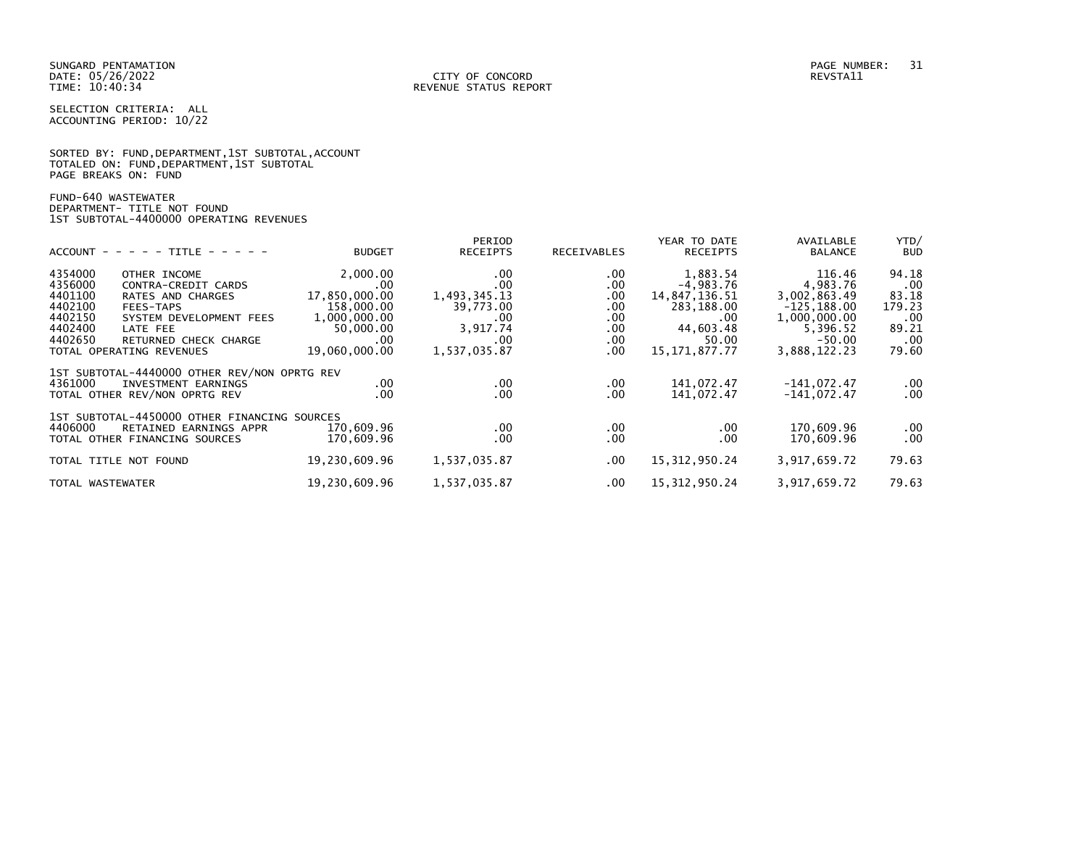SUNGARD PENTAMATION PAGE NUMBER: 31

SELECTION CRITERIA: ALL ACCOUNTING PERIOD: 10/22

|                      |  |  | SORTED BY: FUND, DEPARTMENT, 1ST SUBTOTAL, ACCOUNT |  |
|----------------------|--|--|----------------------------------------------------|--|
|                      |  |  | TOTALED ON: FUND, DEPARTMENT, 1ST SUBTOTAL         |  |
| PAGE BREAKS ON: FUND |  |  |                                                    |  |

FUND-640 WASTEWATER DEPARTMENT- TITLE NOT FOUND 1ST SUBTOTAL-4400000 OPERATING REVENUES

|                                              |               | PERIOD          |             | YEAR TO DATE     | AVAILABLE      | YTD/       |
|----------------------------------------------|---------------|-----------------|-------------|------------------|----------------|------------|
| $ACCOUNT - - - - - TITE - - - - -$           | <b>BUDGET</b> | <b>RECEIPTS</b> | RECEIVABLES | <b>RECEIPTS</b>  | <b>BALANCE</b> | <b>BUD</b> |
| 4354000<br>OTHER INCOME                      | 2,000.00      | .00             | .00         | 1,883.54         | 116.46         | 94.18      |
| 4356000<br>CONTRA-CREDIT CARDS               | $.00 \,$      | .00             | $.00 \,$    | $-4,983.76$      | 4,983.76       | .00        |
| 4401100<br>RATES AND CHARGES                 | 17,850,000.00 | 1,493,345.13    | .00         | 14,847,136.51    | 3,002,863.49   | 83.18      |
| 4402100<br>FEES-TAPS                         | 158,000.00    | 39,773.00       | .00.        | 283,188.00       | $-125, 188.00$ | 179.23     |
| 4402150<br>SYSTEM DEVELOPMENT FEES           | 1,000,000.00  | .00             | .00.        | .00              | 1,000,000.00   | .00        |
| 4402400<br>LATE FEE                          | 50,000.00     | 3,917.74        | .00         | 44,603.48        | 5,396.52       | 89.21      |
| 4402650<br>RETURNED CHECK CHARGE             | $.00 \,$      | .00             | .00         | 50.00            | $-50.00$       | .00        |
| TOTAL OPERATING REVENUES                     | 19,060,000.00 | 1,537,035.87    | .00         | 15, 171, 877. 77 | 3,888,122.23   | 79.60      |
| 1ST SUBTOTAL-4440000 OTHER REV/NON OPRTG REV |               |                 |             |                  |                |            |
| 4361000<br>INVESTMENT EARNINGS               | .00.          | $.00 \,$        | .00         | 141,072.47       | $-141,072.47$  | .00        |
| TOTAL OTHER REV/NON OPRTG REV                | .00           | $.00 \,$        | .00         | 141,072.47       | $-141,072.47$  | .00        |
| 1ST SUBTOTAL-4450000 OTHER FINANCING SOURCES |               |                 |             |                  |                |            |
| 4406000<br>RETAINED EARNINGS APPR            | 170,609.96    | $.00 \,$        | $.00 \,$    | .00.             | 170,609.96     | .00        |
| TOTAL OTHER FINANCING SOURCES                | 170,609.96    | .00             | .00.        | .00 <sub>1</sub> | 170,609.96     | .00        |
| TOTAL TITLE NOT FOUND                        | 19,230,609.96 | 1,537,035.87    | .00         | 15, 312, 950.24  | 3,917,659.72   | 79.63      |
| TOTAL WASTEWATER                             | 19,230,609.96 | 1,537,035.87    | $.00 \,$    | 15, 312, 950.24  | 3,917,659.72   | 79.63      |
|                                              |               |                 |             |                  |                |            |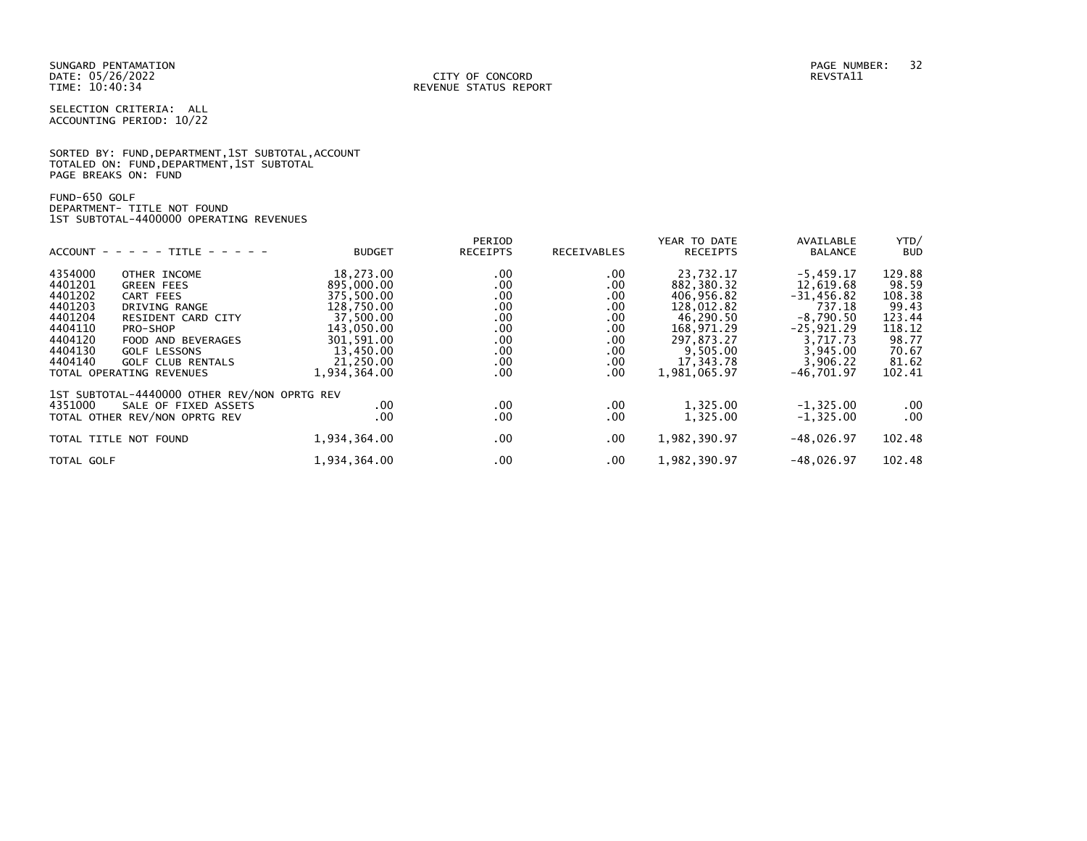SUNGARD PENTAMATION PAGE NUMBER: 32 DATE: 05/26/2022<br>TIME: 10:40:34

SELECTION CRITERIA: ALL ACCOUNTING PERIOD: 10/22

SORTED BY: FUND, DEPARTMENT, 1ST SUBTOTAL, ACCOUNT TOTALED ON: FUND,DEPARTMENT,1ST SUBTOTAL PAGE BREAKS ON: FUND

FUND-650 GOLF DEPARTMENT- TITLE NOT FOUND 1ST SUBTOTAL-4400000 OPERATING REVENUES

|                                    |               | PERIOD                                                                   |                    | YEAR TO DATE                  | AVAILABLE                | YTD/       |
|------------------------------------|---------------|--------------------------------------------------------------------------|--------------------|-------------------------------|--------------------------|------------|
| $ACCOUNT - - - - + TITE - - - - -$ | <b>BUDGET</b> | <b>RECEIPTS</b>                                                          | <b>RECEIVABLES</b> | <b>RECEIPTS</b>               | <b>BALANCE</b>           | <b>BUD</b> |
| OTHER INCOME                       | 18,273.00     | .00                                                                      | .00.               | 23,732.17                     | $-5,459.17$              | 129.88     |
| <b>GREEN FEES</b>                  |               |                                                                          |                    |                               |                          | 98.59      |
| CART FEES                          | 375,500.00    |                                                                          |                    | 406,956.82                    | $-31,456.82$             | 108.38     |
| DRIVING RANGE                      |               |                                                                          |                    |                               | 737.18                   | 99.43      |
| <b>RESIDENT CARD CITY</b>          | 37,500.00     | .00                                                                      | .00.               | 46,290.50                     | $-8,790.50$              | 123.44     |
| PRO-SHOP                           | 143,050.00    | .00                                                                      | .00                | 168,971.29                    | $-25,921.29$             | 118.12     |
| FOOD AND BEVERAGES                 | 301,591.00    | .00                                                                      | $.00 \,$           | 297,873.27                    | 3,717.73                 | 98.77      |
| <b>GOLF LESSONS</b>                | 13,450.00     | .00                                                                      | .00.               | 9,505.00                      | 3,945.00                 | 70.67      |
| <b>GOLF CLUB RENTALS</b>           | 21.250.00     | .00                                                                      |                    | 17,343.78                     | 3,906.22                 | 81.62      |
| TOTAL OPERATING REVENUES           | 1,934,364.00  | .00                                                                      | .00.               | 1,981,065.97                  | $-46,701.97$             | 102.41     |
|                                    |               |                                                                          |                    |                               |                          |            |
| SALE OF FIXED ASSETS               | .00.          | .00                                                                      | $.00 \,$           | 1,325.00                      | $-1, 325.00$             | $.00 \,$   |
| TOTAL OTHER REV/NON OPRTG REV      | .00           | .00                                                                      | .00.               | 1,325.00                      | $-1, 325.00$             | $.00 \,$   |
| TOTAL TITLE NOT FOUND              | 1,934,364.00  | .00                                                                      | $.00 \,$           | 1,982,390.97                  | $-48,026.97$             | 102.48     |
|                                    | 1,934,364.00  | .00                                                                      | .00.               | 1,982,390.97                  | $-48,026.97$             | 102.48     |
|                                    |               | 895,000,00<br>128,750.00<br>1ST SUBTOTAL-4440000 OTHER REV/NON OPRTG REV | .00<br>.00<br>.00  | .00<br>.00<br>.00<br>$.00 \,$ | 882,380.32<br>128,012.82 | 12,619.68  |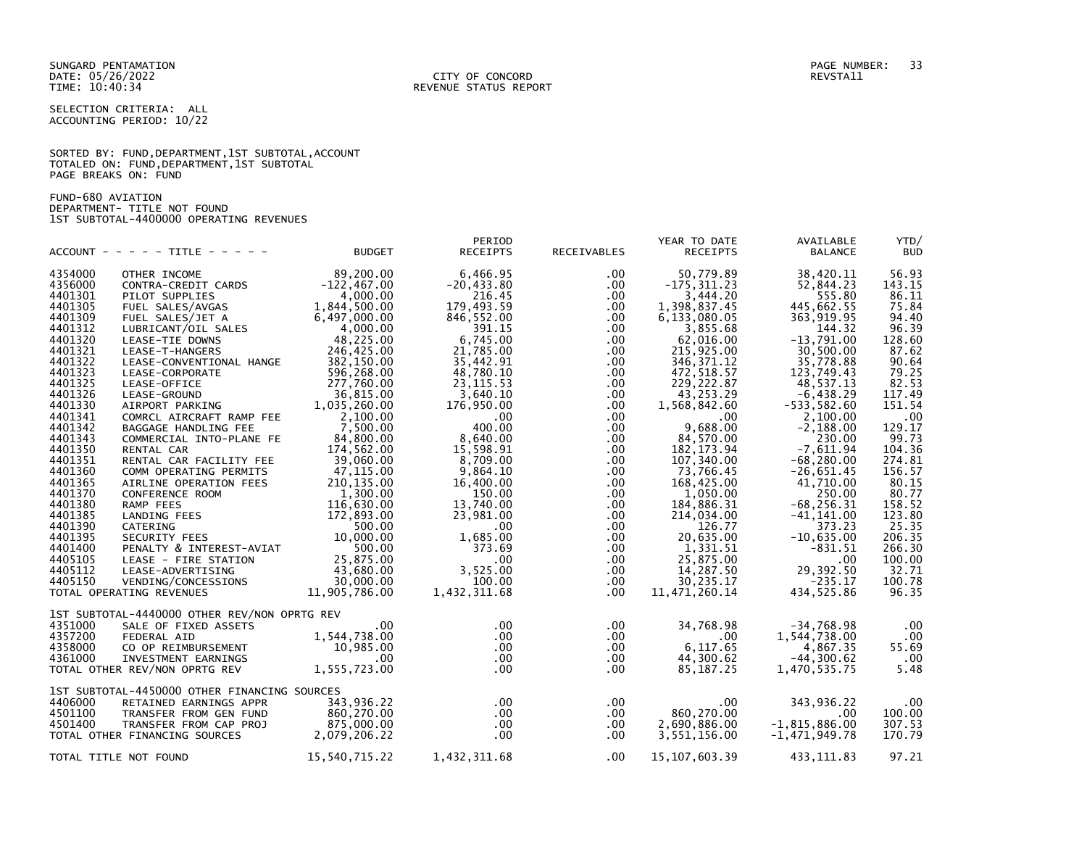SUNGARD PENTAMATION PAGE NUMBER: 33 DATE: 05/26/2022<br>TIME: 10:40:34

SELECTION CRITERIA: ALL ACCOUNTING PERIOD: 10/22

### SORTED BY: FUND,DEPARTMENT,1ST SUBTOTAL,ACCOUNT TOTALED ON: FUND,DEPARTMENT,1ST SUBTOTAL PAGE BREAKS ON: FUND

FUND-680 AVIATION DEPARTMENT- TITLE NOT FOUND 1ST SUBTOTAL-4400000 OPERATING REVENUES

| ACCOUNT - - - - - TITLE - - - - - | <b>BUDGET</b>                                                                                                                                                                                                                                                                                                                                                                                                                                                                                                                     | PERIOD<br><b>RECEIPTS</b>                                                                                                                                                                                                                                                                                                                                                                                                                                                                                                                                                                                                                                              | RECEIVABLES                                                                                                                                                                                                                                                                                                                                                                                            | YEAR TO DATE<br><b>RECEIPTS</b>                                                                                                                                                                                                                                                                                   | AVAILABLE<br><b>BALANCE</b>                                                                                                                                                                                                                                                                                                                                                                                                                                                                            | YTD/<br><b>BUD</b>                                                                                                                                                                                                                                                                                                                                                                                                                  |
|-----------------------------------|-----------------------------------------------------------------------------------------------------------------------------------------------------------------------------------------------------------------------------------------------------------------------------------------------------------------------------------------------------------------------------------------------------------------------------------------------------------------------------------------------------------------------------------|------------------------------------------------------------------------------------------------------------------------------------------------------------------------------------------------------------------------------------------------------------------------------------------------------------------------------------------------------------------------------------------------------------------------------------------------------------------------------------------------------------------------------------------------------------------------------------------------------------------------------------------------------------------------|--------------------------------------------------------------------------------------------------------------------------------------------------------------------------------------------------------------------------------------------------------------------------------------------------------------------------------------------------------------------------------------------------------|-------------------------------------------------------------------------------------------------------------------------------------------------------------------------------------------------------------------------------------------------------------------------------------------------------------------|--------------------------------------------------------------------------------------------------------------------------------------------------------------------------------------------------------------------------------------------------------------------------------------------------------------------------------------------------------------------------------------------------------------------------------------------------------------------------------------------------------|-------------------------------------------------------------------------------------------------------------------------------------------------------------------------------------------------------------------------------------------------------------------------------------------------------------------------------------------------------------------------------------------------------------------------------------|
| OTHER INCOME                      |                                                                                                                                                                                                                                                                                                                                                                                                                                                                                                                                   |                                                                                                                                                                                                                                                                                                                                                                                                                                                                                                                                                                                                                                                                        | $.00 \,$                                                                                                                                                                                                                                                                                                                                                                                               |                                                                                                                                                                                                                                                                                                                   |                                                                                                                                                                                                                                                                                                                                                                                                                                                                                                        | 56.93                                                                                                                                                                                                                                                                                                                                                                                                                               |
|                                   |                                                                                                                                                                                                                                                                                                                                                                                                                                                                                                                                   |                                                                                                                                                                                                                                                                                                                                                                                                                                                                                                                                                                                                                                                                        |                                                                                                                                                                                                                                                                                                                                                                                                        |                                                                                                                                                                                                                                                                                                                   |                                                                                                                                                                                                                                                                                                                                                                                                                                                                                                        | 143.15                                                                                                                                                                                                                                                                                                                                                                                                                              |
|                                   |                                                                                                                                                                                                                                                                                                                                                                                                                                                                                                                                   |                                                                                                                                                                                                                                                                                                                                                                                                                                                                                                                                                                                                                                                                        |                                                                                                                                                                                                                                                                                                                                                                                                        |                                                                                                                                                                                                                                                                                                                   |                                                                                                                                                                                                                                                                                                                                                                                                                                                                                                        | 86.11                                                                                                                                                                                                                                                                                                                                                                                                                               |
|                                   |                                                                                                                                                                                                                                                                                                                                                                                                                                                                                                                                   |                                                                                                                                                                                                                                                                                                                                                                                                                                                                                                                                                                                                                                                                        |                                                                                                                                                                                                                                                                                                                                                                                                        |                                                                                                                                                                                                                                                                                                                   |                                                                                                                                                                                                                                                                                                                                                                                                                                                                                                        | 75.84                                                                                                                                                                                                                                                                                                                                                                                                                               |
|                                   |                                                                                                                                                                                                                                                                                                                                                                                                                                                                                                                                   |                                                                                                                                                                                                                                                                                                                                                                                                                                                                                                                                                                                                                                                                        |                                                                                                                                                                                                                                                                                                                                                                                                        |                                                                                                                                                                                                                                                                                                                   |                                                                                                                                                                                                                                                                                                                                                                                                                                                                                                        | 94.40                                                                                                                                                                                                                                                                                                                                                                                                                               |
| LUBRICANT/OIL SALES               |                                                                                                                                                                                                                                                                                                                                                                                                                                                                                                                                   | 391.15                                                                                                                                                                                                                                                                                                                                                                                                                                                                                                                                                                                                                                                                 | $.00 \,$                                                                                                                                                                                                                                                                                                                                                                                               |                                                                                                                                                                                                                                                                                                                   | 144.32                                                                                                                                                                                                                                                                                                                                                                                                                                                                                                 | 96.39                                                                                                                                                                                                                                                                                                                                                                                                                               |
| LEASE-TIE DOWNS                   |                                                                                                                                                                                                                                                                                                                                                                                                                                                                                                                                   |                                                                                                                                                                                                                                                                                                                                                                                                                                                                                                                                                                                                                                                                        | $.00 \,$                                                                                                                                                                                                                                                                                                                                                                                               |                                                                                                                                                                                                                                                                                                                   | $-13,791.00$                                                                                                                                                                                                                                                                                                                                                                                                                                                                                           | 128.60                                                                                                                                                                                                                                                                                                                                                                                                                              |
| LEASE-T-HANGERS                   | 246,425.00                                                                                                                                                                                                                                                                                                                                                                                                                                                                                                                        | 21,785.00                                                                                                                                                                                                                                                                                                                                                                                                                                                                                                                                                                                                                                                              | $.00 \,$                                                                                                                                                                                                                                                                                                                                                                                               | 215,925.00                                                                                                                                                                                                                                                                                                        | 30.500.00                                                                                                                                                                                                                                                                                                                                                                                                                                                                                              | 87.62                                                                                                                                                                                                                                                                                                                                                                                                                               |
|                                   | 382,150.00                                                                                                                                                                                                                                                                                                                                                                                                                                                                                                                        | 35,442.91                                                                                                                                                                                                                                                                                                                                                                                                                                                                                                                                                                                                                                                              | .00                                                                                                                                                                                                                                                                                                                                                                                                    | 346, 371.12                                                                                                                                                                                                                                                                                                       | 35,778.88                                                                                                                                                                                                                                                                                                                                                                                                                                                                                              | 90.64                                                                                                                                                                                                                                                                                                                                                                                                                               |
| LEASE-CORPORATE                   | 596,268.00                                                                                                                                                                                                                                                                                                                                                                                                                                                                                                                        | 48,780.10                                                                                                                                                                                                                                                                                                                                                                                                                                                                                                                                                                                                                                                              | $.00 \,$                                                                                                                                                                                                                                                                                                                                                                                               |                                                                                                                                                                                                                                                                                                                   | 123,749.43                                                                                                                                                                                                                                                                                                                                                                                                                                                                                             | 79.25                                                                                                                                                                                                                                                                                                                                                                                                                               |
| LEASE-OFFICE                      |                                                                                                                                                                                                                                                                                                                                                                                                                                                                                                                                   | 23, 115.53                                                                                                                                                                                                                                                                                                                                                                                                                                                                                                                                                                                                                                                             |                                                                                                                                                                                                                                                                                                                                                                                                        |                                                                                                                                                                                                                                                                                                                   |                                                                                                                                                                                                                                                                                                                                                                                                                                                                                                        | 82.53                                                                                                                                                                                                                                                                                                                                                                                                                               |
| LEASE-GROUND                      |                                                                                                                                                                                                                                                                                                                                                                                                                                                                                                                                   | 3,640.10                                                                                                                                                                                                                                                                                                                                                                                                                                                                                                                                                                                                                                                               | $.00 \,$                                                                                                                                                                                                                                                                                                                                                                                               | 43,253.29                                                                                                                                                                                                                                                                                                         | $-6,438.29$                                                                                                                                                                                                                                                                                                                                                                                                                                                                                            | 117.49                                                                                                                                                                                                                                                                                                                                                                                                                              |
| AIRPORT PARKING                   |                                                                                                                                                                                                                                                                                                                                                                                                                                                                                                                                   | 176,950.00                                                                                                                                                                                                                                                                                                                                                                                                                                                                                                                                                                                                                                                             | $.00 \,$                                                                                                                                                                                                                                                                                                                                                                                               |                                                                                                                                                                                                                                                                                                                   | $-533,582.60$                                                                                                                                                                                                                                                                                                                                                                                                                                                                                          | 151.54                                                                                                                                                                                                                                                                                                                                                                                                                              |
| COMRCL AIRCRAFT RAMP FEE          | 2,100.00                                                                                                                                                                                                                                                                                                                                                                                                                                                                                                                          | $.00 \,$                                                                                                                                                                                                                                                                                                                                                                                                                                                                                                                                                                                                                                                               | $.00 \,$                                                                                                                                                                                                                                                                                                                                                                                               | $.00 \,$                                                                                                                                                                                                                                                                                                          | 2,100.00                                                                                                                                                                                                                                                                                                                                                                                                                                                                                               | .00                                                                                                                                                                                                                                                                                                                                                                                                                                 |
| BAGGAGE HANDLING FEE              |                                                                                                                                                                                                                                                                                                                                                                                                                                                                                                                                   |                                                                                                                                                                                                                                                                                                                                                                                                                                                                                                                                                                                                                                                                        | $.00 \,$                                                                                                                                                                                                                                                                                                                                                                                               |                                                                                                                                                                                                                                                                                                                   |                                                                                                                                                                                                                                                                                                                                                                                                                                                                                                        | 129.17                                                                                                                                                                                                                                                                                                                                                                                                                              |
| COMMERCIAL INTO-PLANE FE          |                                                                                                                                                                                                                                                                                                                                                                                                                                                                                                                                   |                                                                                                                                                                                                                                                                                                                                                                                                                                                                                                                                                                                                                                                                        | $.00 \,$                                                                                                                                                                                                                                                                                                                                                                                               |                                                                                                                                                                                                                                                                                                                   |                                                                                                                                                                                                                                                                                                                                                                                                                                                                                                        | 99.73                                                                                                                                                                                                                                                                                                                                                                                                                               |
| RENTAL CAR                        |                                                                                                                                                                                                                                                                                                                                                                                                                                                                                                                                   |                                                                                                                                                                                                                                                                                                                                                                                                                                                                                                                                                                                                                                                                        |                                                                                                                                                                                                                                                                                                                                                                                                        |                                                                                                                                                                                                                                                                                                                   |                                                                                                                                                                                                                                                                                                                                                                                                                                                                                                        | 104.36                                                                                                                                                                                                                                                                                                                                                                                                                              |
|                                   |                                                                                                                                                                                                                                                                                                                                                                                                                                                                                                                                   |                                                                                                                                                                                                                                                                                                                                                                                                                                                                                                                                                                                                                                                                        |                                                                                                                                                                                                                                                                                                                                                                                                        |                                                                                                                                                                                                                                                                                                                   |                                                                                                                                                                                                                                                                                                                                                                                                                                                                                                        | 274.81                                                                                                                                                                                                                                                                                                                                                                                                                              |
|                                   |                                                                                                                                                                                                                                                                                                                                                                                                                                                                                                                                   |                                                                                                                                                                                                                                                                                                                                                                                                                                                                                                                                                                                                                                                                        |                                                                                                                                                                                                                                                                                                                                                                                                        |                                                                                                                                                                                                                                                                                                                   |                                                                                                                                                                                                                                                                                                                                                                                                                                                                                                        | 156.57                                                                                                                                                                                                                                                                                                                                                                                                                              |
| AIRLINE OPERATION FEES            |                                                                                                                                                                                                                                                                                                                                                                                                                                                                                                                                   |                                                                                                                                                                                                                                                                                                                                                                                                                                                                                                                                                                                                                                                                        |                                                                                                                                                                                                                                                                                                                                                                                                        |                                                                                                                                                                                                                                                                                                                   |                                                                                                                                                                                                                                                                                                                                                                                                                                                                                                        | 80.15                                                                                                                                                                                                                                                                                                                                                                                                                               |
|                                   |                                                                                                                                                                                                                                                                                                                                                                                                                                                                                                                                   |                                                                                                                                                                                                                                                                                                                                                                                                                                                                                                                                                                                                                                                                        |                                                                                                                                                                                                                                                                                                                                                                                                        |                                                                                                                                                                                                                                                                                                                   |                                                                                                                                                                                                                                                                                                                                                                                                                                                                                                        | 80.77                                                                                                                                                                                                                                                                                                                                                                                                                               |
|                                   |                                                                                                                                                                                                                                                                                                                                                                                                                                                                                                                                   |                                                                                                                                                                                                                                                                                                                                                                                                                                                                                                                                                                                                                                                                        |                                                                                                                                                                                                                                                                                                                                                                                                        |                                                                                                                                                                                                                                                                                                                   |                                                                                                                                                                                                                                                                                                                                                                                                                                                                                                        | 158.52                                                                                                                                                                                                                                                                                                                                                                                                                              |
|                                   |                                                                                                                                                                                                                                                                                                                                                                                                                                                                                                                                   |                                                                                                                                                                                                                                                                                                                                                                                                                                                                                                                                                                                                                                                                        |                                                                                                                                                                                                                                                                                                                                                                                                        |                                                                                                                                                                                                                                                                                                                   |                                                                                                                                                                                                                                                                                                                                                                                                                                                                                                        | 123.80                                                                                                                                                                                                                                                                                                                                                                                                                              |
|                                   |                                                                                                                                                                                                                                                                                                                                                                                                                                                                                                                                   |                                                                                                                                                                                                                                                                                                                                                                                                                                                                                                                                                                                                                                                                        |                                                                                                                                                                                                                                                                                                                                                                                                        |                                                                                                                                                                                                                                                                                                                   |                                                                                                                                                                                                                                                                                                                                                                                                                                                                                                        | 25.35                                                                                                                                                                                                                                                                                                                                                                                                                               |
|                                   |                                                                                                                                                                                                                                                                                                                                                                                                                                                                                                                                   |                                                                                                                                                                                                                                                                                                                                                                                                                                                                                                                                                                                                                                                                        |                                                                                                                                                                                                                                                                                                                                                                                                        |                                                                                                                                                                                                                                                                                                                   |                                                                                                                                                                                                                                                                                                                                                                                                                                                                                                        | 206.35                                                                                                                                                                                                                                                                                                                                                                                                                              |
|                                   |                                                                                                                                                                                                                                                                                                                                                                                                                                                                                                                                   |                                                                                                                                                                                                                                                                                                                                                                                                                                                                                                                                                                                                                                                                        |                                                                                                                                                                                                                                                                                                                                                                                                        |                                                                                                                                                                                                                                                                                                                   |                                                                                                                                                                                                                                                                                                                                                                                                                                                                                                        | 266.30                                                                                                                                                                                                                                                                                                                                                                                                                              |
|                                   |                                                                                                                                                                                                                                                                                                                                                                                                                                                                                                                                   |                                                                                                                                                                                                                                                                                                                                                                                                                                                                                                                                                                                                                                                                        |                                                                                                                                                                                                                                                                                                                                                                                                        |                                                                                                                                                                                                                                                                                                                   |                                                                                                                                                                                                                                                                                                                                                                                                                                                                                                        | 100.00                                                                                                                                                                                                                                                                                                                                                                                                                              |
|                                   |                                                                                                                                                                                                                                                                                                                                                                                                                                                                                                                                   |                                                                                                                                                                                                                                                                                                                                                                                                                                                                                                                                                                                                                                                                        |                                                                                                                                                                                                                                                                                                                                                                                                        |                                                                                                                                                                                                                                                                                                                   |                                                                                                                                                                                                                                                                                                                                                                                                                                                                                                        | 32.71                                                                                                                                                                                                                                                                                                                                                                                                                               |
|                                   |                                                                                                                                                                                                                                                                                                                                                                                                                                                                                                                                   |                                                                                                                                                                                                                                                                                                                                                                                                                                                                                                                                                                                                                                                                        |                                                                                                                                                                                                                                                                                                                                                                                                        |                                                                                                                                                                                                                                                                                                                   |                                                                                                                                                                                                                                                                                                                                                                                                                                                                                                        | 100.78                                                                                                                                                                                                                                                                                                                                                                                                                              |
|                                   |                                                                                                                                                                                                                                                                                                                                                                                                                                                                                                                                   |                                                                                                                                                                                                                                                                                                                                                                                                                                                                                                                                                                                                                                                                        |                                                                                                                                                                                                                                                                                                                                                                                                        |                                                                                                                                                                                                                                                                                                                   |                                                                                                                                                                                                                                                                                                                                                                                                                                                                                                        | 96.35                                                                                                                                                                                                                                                                                                                                                                                                                               |
|                                   |                                                                                                                                                                                                                                                                                                                                                                                                                                                                                                                                   |                                                                                                                                                                                                                                                                                                                                                                                                                                                                                                                                                                                                                                                                        |                                                                                                                                                                                                                                                                                                                                                                                                        |                                                                                                                                                                                                                                                                                                                   |                                                                                                                                                                                                                                                                                                                                                                                                                                                                                                        |                                                                                                                                                                                                                                                                                                                                                                                                                                     |
|                                   |                                                                                                                                                                                                                                                                                                                                                                                                                                                                                                                                   |                                                                                                                                                                                                                                                                                                                                                                                                                                                                                                                                                                                                                                                                        |                                                                                                                                                                                                                                                                                                                                                                                                        |                                                                                                                                                                                                                                                                                                                   |                                                                                                                                                                                                                                                                                                                                                                                                                                                                                                        | .00                                                                                                                                                                                                                                                                                                                                                                                                                                 |
|                                   |                                                                                                                                                                                                                                                                                                                                                                                                                                                                                                                                   |                                                                                                                                                                                                                                                                                                                                                                                                                                                                                                                                                                                                                                                                        |                                                                                                                                                                                                                                                                                                                                                                                                        |                                                                                                                                                                                                                                                                                                                   |                                                                                                                                                                                                                                                                                                                                                                                                                                                                                                        | .00                                                                                                                                                                                                                                                                                                                                                                                                                                 |
|                                   |                                                                                                                                                                                                                                                                                                                                                                                                                                                                                                                                   |                                                                                                                                                                                                                                                                                                                                                                                                                                                                                                                                                                                                                                                                        |                                                                                                                                                                                                                                                                                                                                                                                                        |                                                                                                                                                                                                                                                                                                                   |                                                                                                                                                                                                                                                                                                                                                                                                                                                                                                        | 55.69                                                                                                                                                                                                                                                                                                                                                                                                                               |
|                                   |                                                                                                                                                                                                                                                                                                                                                                                                                                                                                                                                   |                                                                                                                                                                                                                                                                                                                                                                                                                                                                                                                                                                                                                                                                        |                                                                                                                                                                                                                                                                                                                                                                                                        |                                                                                                                                                                                                                                                                                                                   |                                                                                                                                                                                                                                                                                                                                                                                                                                                                                                        | .00                                                                                                                                                                                                                                                                                                                                                                                                                                 |
|                                   |                                                                                                                                                                                                                                                                                                                                                                                                                                                                                                                                   |                                                                                                                                                                                                                                                                                                                                                                                                                                                                                                                                                                                                                                                                        |                                                                                                                                                                                                                                                                                                                                                                                                        |                                                                                                                                                                                                                                                                                                                   |                                                                                                                                                                                                                                                                                                                                                                                                                                                                                                        | 5.48                                                                                                                                                                                                                                                                                                                                                                                                                                |
|                                   |                                                                                                                                                                                                                                                                                                                                                                                                                                                                                                                                   |                                                                                                                                                                                                                                                                                                                                                                                                                                                                                                                                                                                                                                                                        |                                                                                                                                                                                                                                                                                                                                                                                                        |                                                                                                                                                                                                                                                                                                                   |                                                                                                                                                                                                                                                                                                                                                                                                                                                                                                        |                                                                                                                                                                                                                                                                                                                                                                                                                                     |
|                                   |                                                                                                                                                                                                                                                                                                                                                                                                                                                                                                                                   |                                                                                                                                                                                                                                                                                                                                                                                                                                                                                                                                                                                                                                                                        |                                                                                                                                                                                                                                                                                                                                                                                                        |                                                                                                                                                                                                                                                                                                                   |                                                                                                                                                                                                                                                                                                                                                                                                                                                                                                        | $.00 \,$                                                                                                                                                                                                                                                                                                                                                                                                                            |
| TRANSFER FROM GEN FUND            |                                                                                                                                                                                                                                                                                                                                                                                                                                                                                                                                   |                                                                                                                                                                                                                                                                                                                                                                                                                                                                                                                                                                                                                                                                        |                                                                                                                                                                                                                                                                                                                                                                                                        |                                                                                                                                                                                                                                                                                                                   | .00                                                                                                                                                                                                                                                                                                                                                                                                                                                                                                    | 100.00                                                                                                                                                                                                                                                                                                                                                                                                                              |
|                                   |                                                                                                                                                                                                                                                                                                                                                                                                                                                                                                                                   |                                                                                                                                                                                                                                                                                                                                                                                                                                                                                                                                                                                                                                                                        |                                                                                                                                                                                                                                                                                                                                                                                                        |                                                                                                                                                                                                                                                                                                                   |                                                                                                                                                                                                                                                                                                                                                                                                                                                                                                        | 307.53                                                                                                                                                                                                                                                                                                                                                                                                                              |
|                                   |                                                                                                                                                                                                                                                                                                                                                                                                                                                                                                                                   |                                                                                                                                                                                                                                                                                                                                                                                                                                                                                                                                                                                                                                                                        | $.00 \cdot$                                                                                                                                                                                                                                                                                                                                                                                            |                                                                                                                                                                                                                                                                                                                   |                                                                                                                                                                                                                                                                                                                                                                                                                                                                                                        | 170.79                                                                                                                                                                                                                                                                                                                                                                                                                              |
| TOTAL TITLE NOT FOUND             | 15,540,715.22                                                                                                                                                                                                                                                                                                                                                                                                                                                                                                                     |                                                                                                                                                                                                                                                                                                                                                                                                                                                                                                                                                                                                                                                                        |                                                                                                                                                                                                                                                                                                                                                                                                        | 15,107,603.39                                                                                                                                                                                                                                                                                                     | 433,111.83                                                                                                                                                                                                                                                                                                                                                                                                                                                                                             | 97.21                                                                                                                                                                                                                                                                                                                                                                                                                               |
|                                   | CONTRA-CREDIT CARDS<br>PILOT SUPPLIES<br>FUEL SALES/AVGAS<br>FUEL SALES/JET A<br>RENTAL CAR FACILITY FEE<br>COMM OPERATING PERMITS<br>CONFERENCE ROOM<br>RAMP FEES<br>LANDING FEES<br>CATERING<br>SECURITY FEES<br>LEASE - FIRE STATION<br>LEASE-ADVERTISING<br>VENDING/CONCESSIONS<br>TOTAL OPERATING REVENUES<br>SALE OF FIXED ASSETS<br><b>FEDERAL AID</b><br>CO OP REIMBURSEMENT<br>INVESTMENT EARNINGS<br>TOTAL OTHER REV/NON OPRTG REV<br>RETAINED EARNINGS APPR<br>TRANSFER FROM CAP PROJ<br>TOTAL OTHER FINANCING SOURCES | 89,200.00<br>$-122, 467.00$<br>4,000.00<br>1,844,500.00<br>6,497,000.00<br>4,000.00<br>48,225.00<br>LEASE-CONVENTIONAL HANGE<br>277,760.00<br>$1,035,260.00$<br>1,035,260.00<br>7,500.00<br>84,800.00<br>174,562.00<br>$-39,060.00$<br>47,115.00<br>210,135.00<br>1,300.00<br>116,630.00<br>172,893.00<br>500.00<br>10,000.00<br>PENALTY & INTEREST-AVIAT<br>500.00<br>25,875.00<br>43,680.00<br>$45, 000.00$<br>30,000.00<br>11,905,786.00<br>1ST SUBTOTAL-4440000 OTHER REV/NON OPRTG REV<br>$.00 \,$<br>1,544,738.00<br>10,985.00<br>$00$<br>1,555,723.00<br>1ST SUBTOTAL-4450000 OTHER FINANCING SOURCES<br>343,936.22<br>860,270.00<br>875,000.00<br>2,079,206.22 | 6,466.95<br>$-20, 433.80$<br>216.45<br>179,493.59<br>846,552.00<br>6,745.00<br>400.00<br>8.640.00<br>15,598.91<br>8,709.00<br>9,864.10<br>16,400.00<br>150.00<br>13,740.00<br>23,981.00<br>$.00 \,$<br>1,685.00<br>373.69<br>$.00\,$<br>3,525.00<br>100.00<br>1,432,311.68<br>$.00 \,$<br>$.00 \,$<br>$.00 \,$<br>$.00 \,$<br>$.00 \,$<br>$.00 \,$<br>$.00 \,$<br>$.00 \,$<br>$.00 \,$<br>1,432,311.68 | $.00 \,$<br>.00.<br>$.00 \,$<br>$.00 \,$<br>.00<br>$.00 \,$<br>$.00 \,$<br>$.00 \,$<br>$.00 \,$<br>$.00 \,$<br>$.00 \,$<br>.00<br>$.00 \,$<br>$.00 \,$<br>$.00 \,$<br>$.00 \,$<br>$.00 \,$<br>$.00 \,$<br>$.00 \,$<br>$.00 \,$<br>$.00\,$<br>$.00 \,$<br>$.00 \,$<br>$.00 \,$<br>$.00 \,$<br>$.00 \,$<br>$.00 \,$ | 50,779.89<br>$-175, 311.23$<br>3,444.20<br>1,398,837.45<br>6,133,080.05<br>3,855.68<br>62,016.00<br>472, 518.57<br>229, 222.87<br>1,568,842.60<br>9,688.00<br>84,570.00<br>182, 173.94<br>107,340.00<br>73,766.45<br>168,425.00<br>1,050.00<br>184,886.31<br>214,034.00<br>126.77<br>20,635.00<br>1,331.51<br>25,875.00<br>14,287.50<br>30, 235.17<br>11,471,260.14<br>34,768.98<br>$.00\,$<br>6,117.65<br>44,300.62<br>85,187.25<br>$.00 \,$<br>860,270.00<br>2,690,886.00<br>3,551,156.00<br>$.00\,$ | 38,420.11<br>52,844.23<br>555.80<br>445,662.55<br>363, 919.95<br>48,537.13<br>$-2,188.00$<br>230.00<br>$-7,611.94$<br>$-68, 280.00$<br>$-26,651.45$<br>41,710.00<br>250.00<br>$-68, 256.31$<br>$-41, 141.00$<br>373.23<br>$-10,635.00$<br>$-831.51$<br>.00<br>29,392.50<br>$-235.17$<br>434,525.86<br>$-34,768.98$<br>1,544,738.00<br>4,867.35<br>$-44, 300.62$<br>1,470,535.75<br>343,936.22<br>$-1,815,886.00$<br>$-1,471,949.78$ |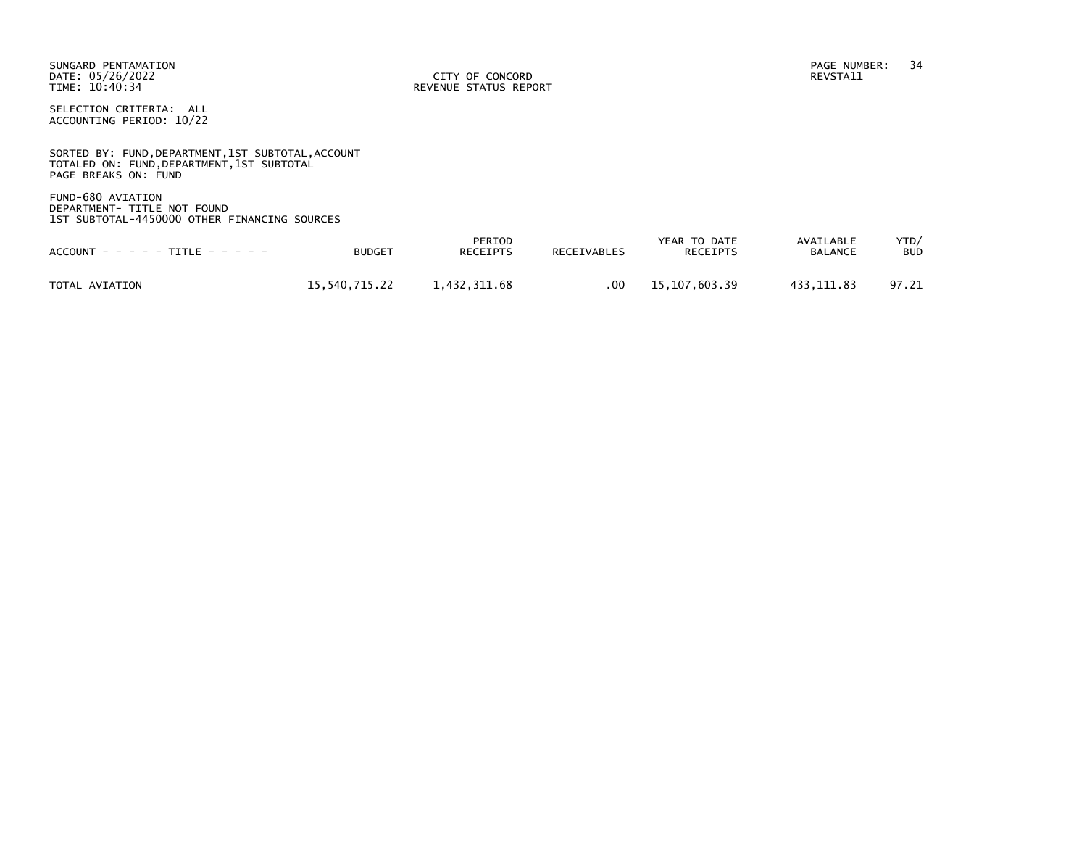SUNGARD PENTAMATION PAGE NUMBER: 34 DATE: 05/26/2022<br>TIME: 10:40:34

REVENUE STATUS REPORT

SELECTION CRITERIA: ALL ACCOUNTING PERIOD: 10/22

SORTED BY: FUND, DEPARTMENT, 1ST SUBTOTAL, ACCOUNT TOTALED ON: FUND,DEPARTMENT,1ST SUBTOTAL PAGE BREAKS ON: FUND

FUND-680 AVIATION DEPARTMENT- TITLE NOT FOUND 1ST SUBTOTAL-4450000 OTHER FINANCING SOURCES

| $ACCOUNT - - - - TITLE - - - - -$ | <b>BUDGET</b> | PERIOD<br>RECEIPTS | <b>RECEIVABLES</b> | YEAR TO DATE<br><b>RECEIPTS</b> | AVAILABLE<br><b>BALANCE</b> | YTD/<br><b>BUD</b> |
|-----------------------------------|---------------|--------------------|--------------------|---------------------------------|-----------------------------|--------------------|
| TOTAL AVIATION                    | 15.540.715.22 | 1.432.311.68       | .00                | 15,107,603.39                   | 433.111.83                  | 97.21              |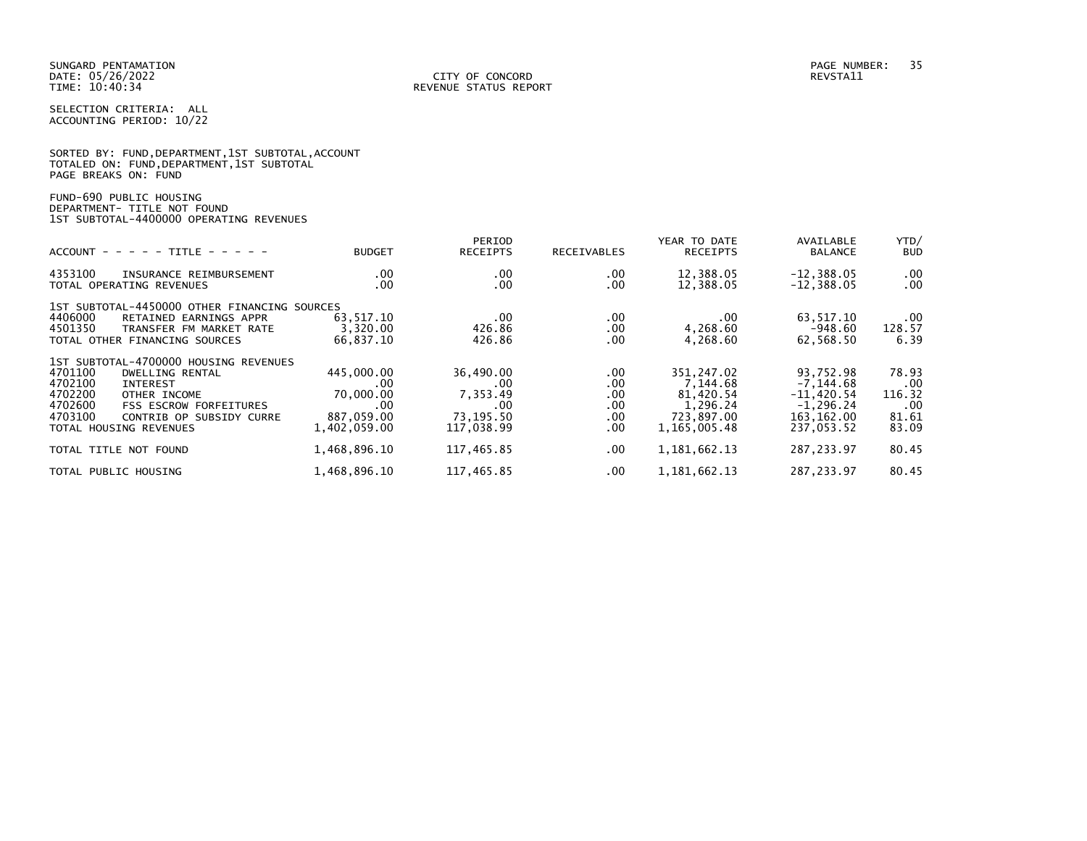|                      |  |  | SORTED BY: FUND, DEPARTMENT, 1ST SUBTOTAL, ACCOUNT |  |
|----------------------|--|--|----------------------------------------------------|--|
|                      |  |  | TOTALED ON: FUND, DEPARTMENT, 1ST SUBTOTAL         |  |
| PAGE BREAKS ON: FUND |  |  |                                                    |  |

FUND-690 PUBLIC HOUSING DEPARTMENT- TITLE NOT FOUND 1ST SUBTOTAL-4400000 OPERATING REVENUES

| $ACCOUNT - - - - - TITLE - - - - -$                                                                                                                                                                                                | <b>BUDGET</b>                                                       | PERIOD<br><b>RECEIPTS</b>                                      | RECEIVABLES                                 | YEAR TO DATE<br><b>RECEIPTS</b>                                               | AVAILABLE<br><b>BALANCE</b>                                                            | YTD/<br><b>BUD</b>                               |
|------------------------------------------------------------------------------------------------------------------------------------------------------------------------------------------------------------------------------------|---------------------------------------------------------------------|----------------------------------------------------------------|---------------------------------------------|-------------------------------------------------------------------------------|----------------------------------------------------------------------------------------|--------------------------------------------------|
| 4353100<br>INSURANCE REIMBURSEMENT<br>TOTAL OPERATING REVENUES                                                                                                                                                                     | $.00 \,$<br>.00                                                     | .00<br>.00                                                     | .00.<br>.00                                 | 12,388.05<br>12,388.05                                                        | $-12,388.05$<br>$-12,388.05$                                                           | .00<br>$.00 \,$                                  |
| 1ST SUBTOTAL-4450000 OTHER FINANCING SOURCES<br>4406000<br>RETAINED EARNINGS APPR<br>4501350<br>TRANSFER FM MARKET RATE<br>TOTAL OTHER FINANCING SOURCES                                                                           | 63,517.10<br>3,320.00<br>66,837.10                                  | .00<br>426.86<br>426.86                                        | .00.<br>.00.<br>.00.                        | $.00 \,$<br>4,268.60<br>4,268.60                                              | 63,517.10<br>$-948.60$<br>62,568.50                                                    | .00<br>128.57<br>6.39                            |
| 1ST SUBTOTAL-4700000 HOUSING REVENUES<br>4701100<br>DWELLING RENTAL<br>4702100<br>INTEREST<br>4702200<br>OTHER INCOME<br>4702600<br><b>FSS ESCROW FORFEITURES</b><br>4703100<br>CONTRIB OP SUBSIDY CURRE<br>TOTAL HOUSING REVENUES | 445,000.00<br>.00<br>70,000,00<br>.00<br>887,059.00<br>1,402,059.00 | 36,490.00<br>.00<br>7,353.49<br>.00<br>73,195.50<br>117,038.99 | .00.<br>.00<br>.00.<br>.00.<br>.00.<br>.00. | 351,247.02<br>7.144.68<br>81,420.54<br>1,296.24<br>723,897.00<br>1,165,005.48 | 93,752.98<br>$-7, 144.68$<br>$-11.420.54$<br>$-1, 296.24$<br>163, 162.00<br>237,053.52 | 78.93<br>.00<br>116.32<br>.00.<br>81.61<br>83.09 |
| TOTAL TITLE NOT FOUND<br>TOTAL PUBLIC HOUSING                                                                                                                                                                                      | 1,468,896.10<br>1,468,896.10                                        | 117,465.85<br>117,465.85                                       | $.00 \,$<br>.00.                            | 1, 181, 662. 13<br>1, 181, 662. 13                                            | 287, 233.97<br>287, 233.97                                                             | 80.45<br>80.45                                   |
|                                                                                                                                                                                                                                    |                                                                     |                                                                |                                             |                                                                               |                                                                                        |                                                  |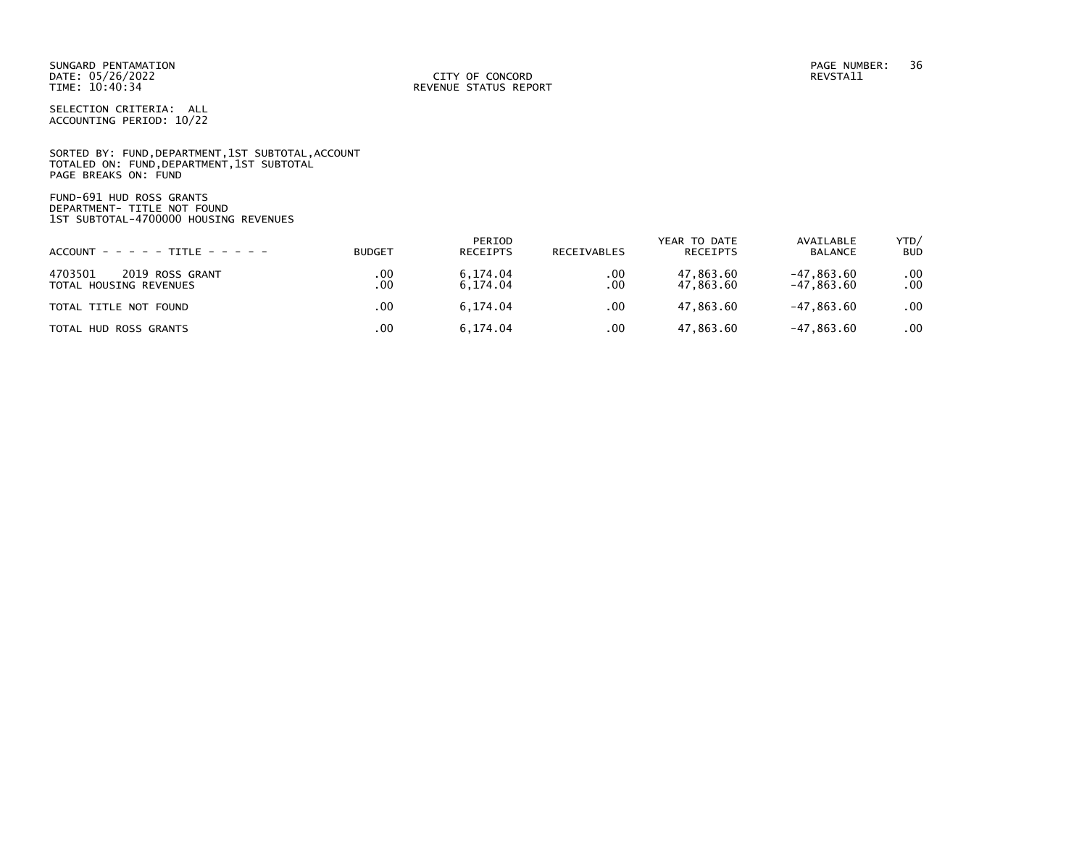SORTED BY: FUND, DEPARTMENT, 1ST SUBTOTAL, ACCOUNT TOTALED ON: FUND,DEPARTMENT,1ST SUBTOTAL PAGE BREAKS ON: FUND

FUND-691 HUD ROSS GRANTS DEPARTMENT- TITLE NOT FOUND 1ST SUBTOTAL-4700000 HOUSING REVENUES

| $ACCOUNT - - - - - TITE - - - - - -$                 | <b>BUDGET</b> | PERIOD<br><b>RECEIPTS</b> | RECEIVABLES | YEAR TO DATE<br>RECEIPTS | AVAILABLE<br><b>BALANCE</b>  | YTD/<br><b>BUD</b> |
|------------------------------------------------------|---------------|---------------------------|-------------|--------------------------|------------------------------|--------------------|
| 4703501<br>2019 ROSS GRANT<br>TOTAL HOUSING REVENUES | .00<br>.00    | 6.174.04<br>6.174.04      | .00<br>.00  | 47,863.60<br>47,863.60   | $-47,863.60$<br>$-47,863.60$ | $.00 \,$<br>.00    |
| TOTAL TITLE NOT FOUND                                | .00           | 6.174.04                  | .00         | 47.863.60                | -47.863.60                   | .00                |
| TOTAL HUD ROSS GRANTS                                | .00           | 6.174.04                  | .00         | 47,863.60                | $-47,863.60$                 | .00                |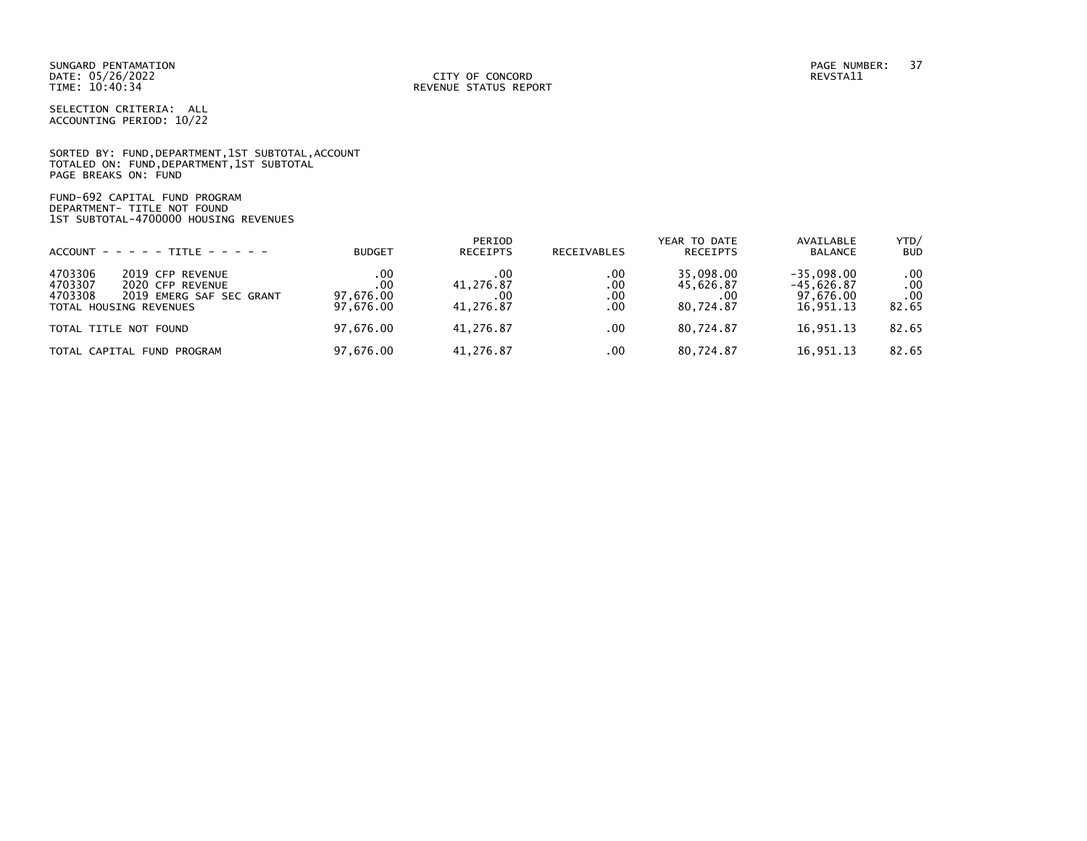SUNGARD PENTAMATION PAGE NUMBER: 37 DATE: 05/26/2022<br>TIME: 10:40:34

SELECTION CRITERIA: ALL ACCOUNTING PERIOD: 10/22

SORTED BY: FUND,DEPARTMENT,1ST SUBTOTAL,ACCOUNT TOTALED ON: FUND,DEPARTMENT,1ST SUBTOTAL PAGE BREAKS ON: FUND

FUND-692 CAPITAL FUND PROGRAM DEPARTMENT- TITLE NOT FOUND 1ST SUBTOTAL-4700000 HOUSING REVENUES

| $ACCOUNT - - - - - TITE - - - - -$                                                                                          | <b>BUDGET</b>                        | PERIOD<br><b>RECEIPTS</b>            | <b>RECEIVABLES</b>       | YEAR TO DATE<br><b>RECEIPTS</b>            | AVAILABLE<br>BALANCE                                   | YTD/<br><b>BUD</b>              |
|-----------------------------------------------------------------------------------------------------------------------------|--------------------------------------|--------------------------------------|--------------------------|--------------------------------------------|--------------------------------------------------------|---------------------------------|
| 4703306<br>2019 CFP REVENUE<br>4703307<br>2020 CFP REVENUE<br>4703308<br>2019 EMERG SAF SEC GRANT<br>TOTAL HOUSING REVENUES | .00<br>.00<br>97,676.00<br>97,676.00 | .00<br>41,276.87<br>.00<br>41.276.87 | .00<br>.00<br>.00<br>.00 | 35.098.00<br>45,626.87<br>.00<br>80.724.87 | $-35.098.00$<br>$-45.626.87$<br>97,676.00<br>16,951.13 | .00<br>.00<br>$.00 \,$<br>82.65 |
| TOTAL TITLE NOT FOUND                                                                                                       | 97.676.00                            | 41.276.87                            | .00                      | 80.724.87                                  | 16.951.13                                              | 82.65                           |
| TOTAL CAPITAL FUND PROGRAM                                                                                                  | 97,676.00                            | 41,276.87                            | .00                      | 80,724.87                                  | 16,951.13                                              | 82.65                           |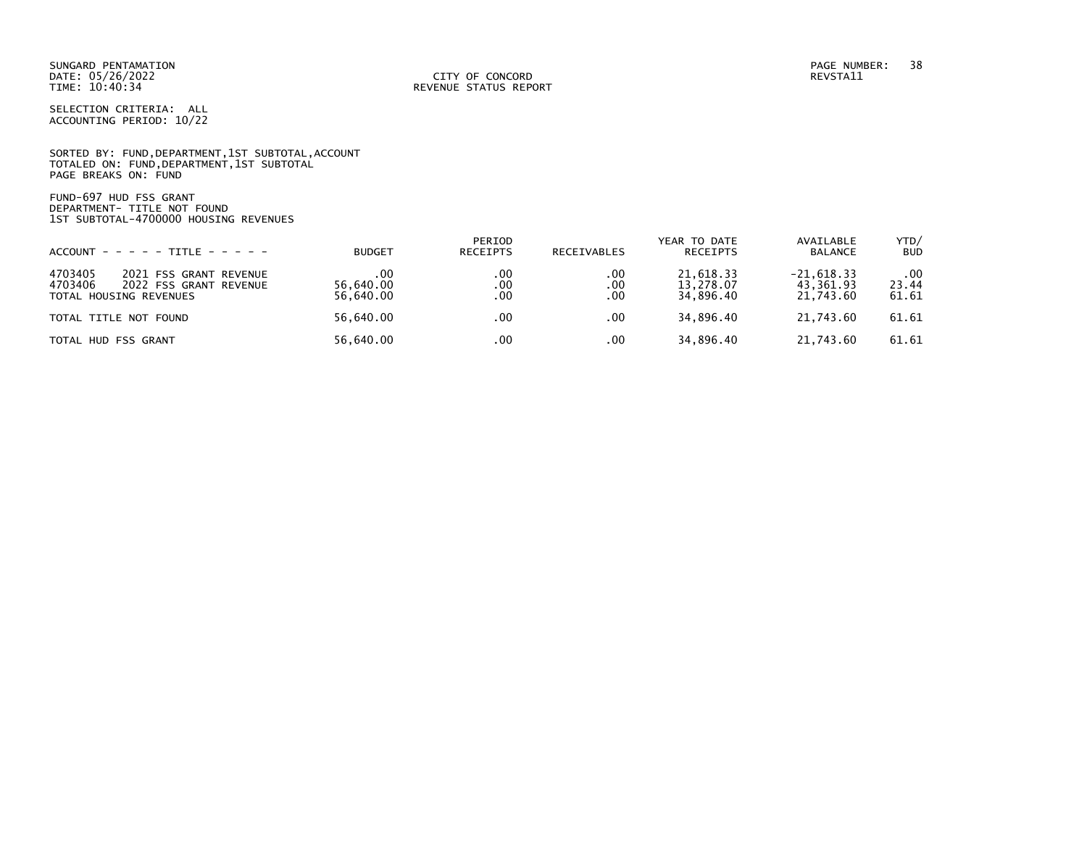SUNGARD PENTAMATION PAGE NUMBER: 38 DATE: 05/26/2022<br>TIME: 10:40:34

SELECTION CRITERIA: ALL ACCOUNTING PERIOD: 10/22

SORTED BY: FUND, DEPARTMENT, 1ST SUBTOTAL, ACCOUNT TOTALED ON: FUND,DEPARTMENT,1ST SUBTOTAL PAGE BREAKS ON: FUND

FUND-697 HUD FSS GRANT DEPARTMENT- TITLE NOT FOUND 1ST SUBTOTAL-4700000 HOUSING REVENUES

| $ACCOUNT - - - - - TITE - - - - - -$                                                             | <b>BUDGET</b>                  | PERIOD<br><b>RECEIPTS</b> | <b>RECEIVABLES</b> | YEAR TO DATE<br>RECEIPTS            | AVAILABLE<br><b>BALANCE</b>            | YTD/<br><b>BUD</b>    |
|--------------------------------------------------------------------------------------------------|--------------------------------|---------------------------|--------------------|-------------------------------------|----------------------------------------|-----------------------|
| 4703405<br>2021 FSS GRANT REVENUE<br>4703406<br>2022 FSS GRANT REVENUE<br>TOTAL HOUSING REVENUES | . 00<br>56.640.00<br>56.640.00 | .00<br>.00<br>.00         | .00<br>.00<br>.00  | 21.618.33<br>13,278.07<br>34.896.40 | $-21.618.33$<br>43,361.93<br>21.743.60 | .00<br>23.44<br>61.61 |
| TOTAL TITLE NOT FOUND                                                                            | 56.640.00                      | .00                       | .00                | 34.896.40                           | 21,743.60                              | 61.61                 |
| TOTAL HUD FSS GRANT                                                                              | 56.640.00                      | .00                       | .00                | 34.896.40                           | 21.743.60                              | 61.61                 |